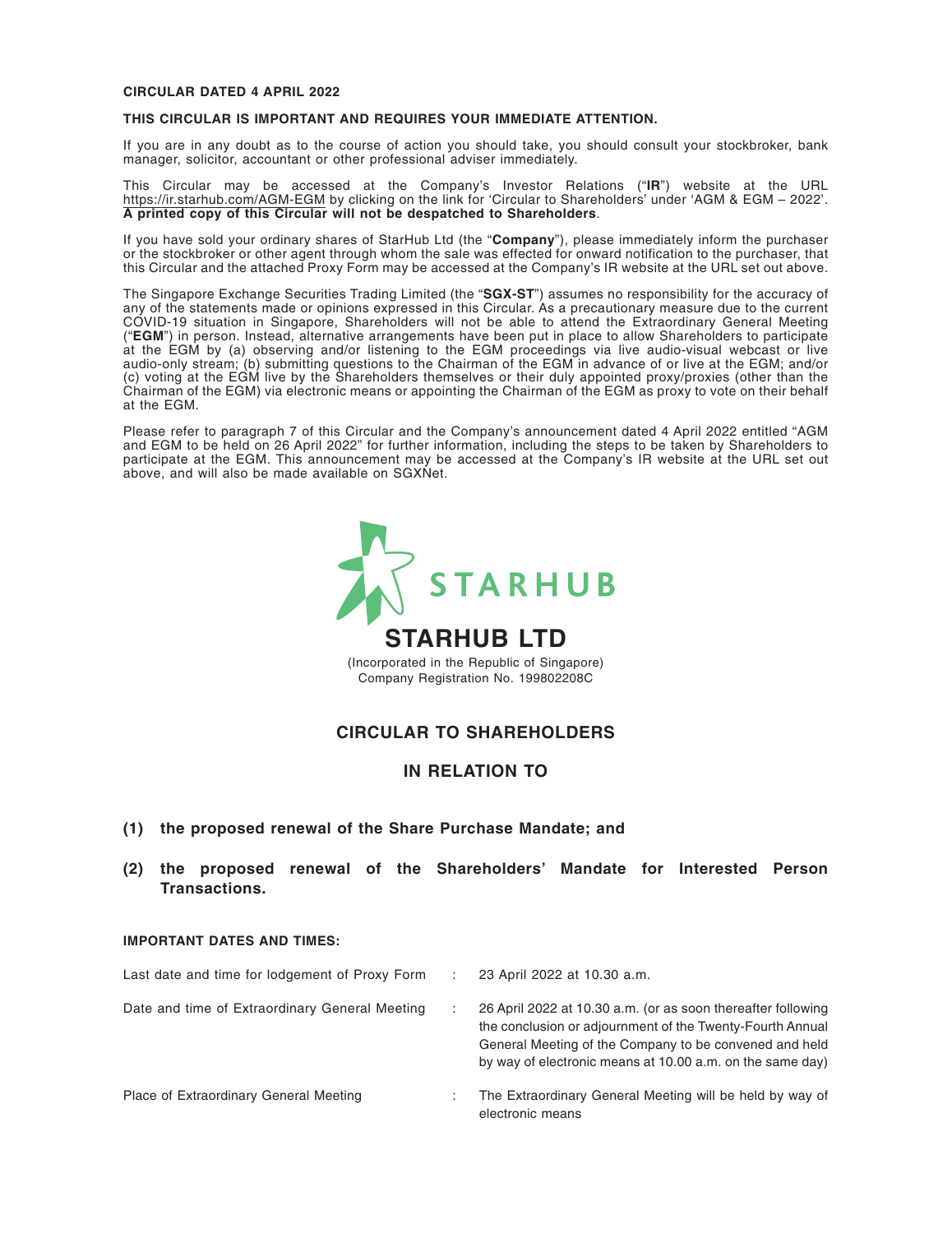#### **CIRCULAR DATED 4 APRIL 2022**

#### **THIS CIRCULAR IS IMPORTANT AND REQUIRES YOUR IMMEDIATE ATTENTION.**

If you are in any doubt as to the course of action you should take, you should consult your stockbroker, bank manager, solicitor, accountant or other professional adviser immediately.

This Circular may be accessed at the Company's Investor Relations ("**IR**") website at the URL https://ir.starhub.com/AGM-EGM by clicking on the link for 'Circular to Shareholders' under 'AGM & EGM – 2022'. **A printed copy of this Circular will not be despatched to Shareholders**.

If you have sold your ordinary shares of StarHub Ltd (the "**Company**"), please immediately inform the purchaser or the stockbroker or other agent through whom the sale was effected for onward notification to the purchaser, that this Circular and the attached Proxy Form may be accessed at the Company's IR website at the URL set out above.

The Singapore Exchange Securities Trading Limited (the "**SGX-ST**") assumes no responsibility for the accuracy of any of the statements made or opinions expressed in this Circular. As a precautionary measure due to the current COVID-19 situation in Singapore, Shareholders will not be able to attend the Extraordinary General Meeting ("**EGM**") in person. Instead, alternative arrangements have been put in place to allow Shareholders to participate at the EGM by (a) observing and/or listening to the EGM proceedings via live audio-visual webcast or live audio-only stream; (b) submitting questions to the Chairman of the EGM in advance of or live at the EGM; and/or (c) voting at the EGM live by the Shareholders themselves or their duly appointed proxy/proxies (other than the Chairman of the EGM) via electronic means or appointing the Chairman of the EGM as proxy to vote on their behalf at the EGM.

Please refer to paragraph 7 of this Circular and the Company's announcement dated 4 April 2022 entitled "AGM and EGM to be held on 26 April 2022" for further information, including the steps to be taken by Shareholders to participate at the EGM. This announcement may be accessed at the Company's IR website at the URL set out above, and will also be made available on SGXNet.



Company Registration No. 199802208C

### **CIRCULAR TO SHAREHOLDERS**

#### **IN RELATION TO**

- **(1) the proposed renewal of the Share Purchase Mandate; and**
- **(2) the proposed renewal of the Shareholders' Mandate for Interested Person Transactions.**

#### **IMPORTANT DATES AND TIMES:**

| Last date and time for lodgement of Proxy Form | 23 April 2022 at 10.30 a.m.                                                                                                                                                                                                                      |
|------------------------------------------------|--------------------------------------------------------------------------------------------------------------------------------------------------------------------------------------------------------------------------------------------------|
| Date and time of Extraordinary General Meeting | 26 April 2022 at 10.30 a.m. (or as soon thereafter following<br>the conclusion or adjournment of the Twenty-Fourth Annual<br>General Meeting of the Company to be convened and held<br>by way of electronic means at 10.00 a.m. on the same day) |
| Place of Extraordinary General Meeting         | The Extraordinary General Meeting will be held by way of<br>electronic means                                                                                                                                                                     |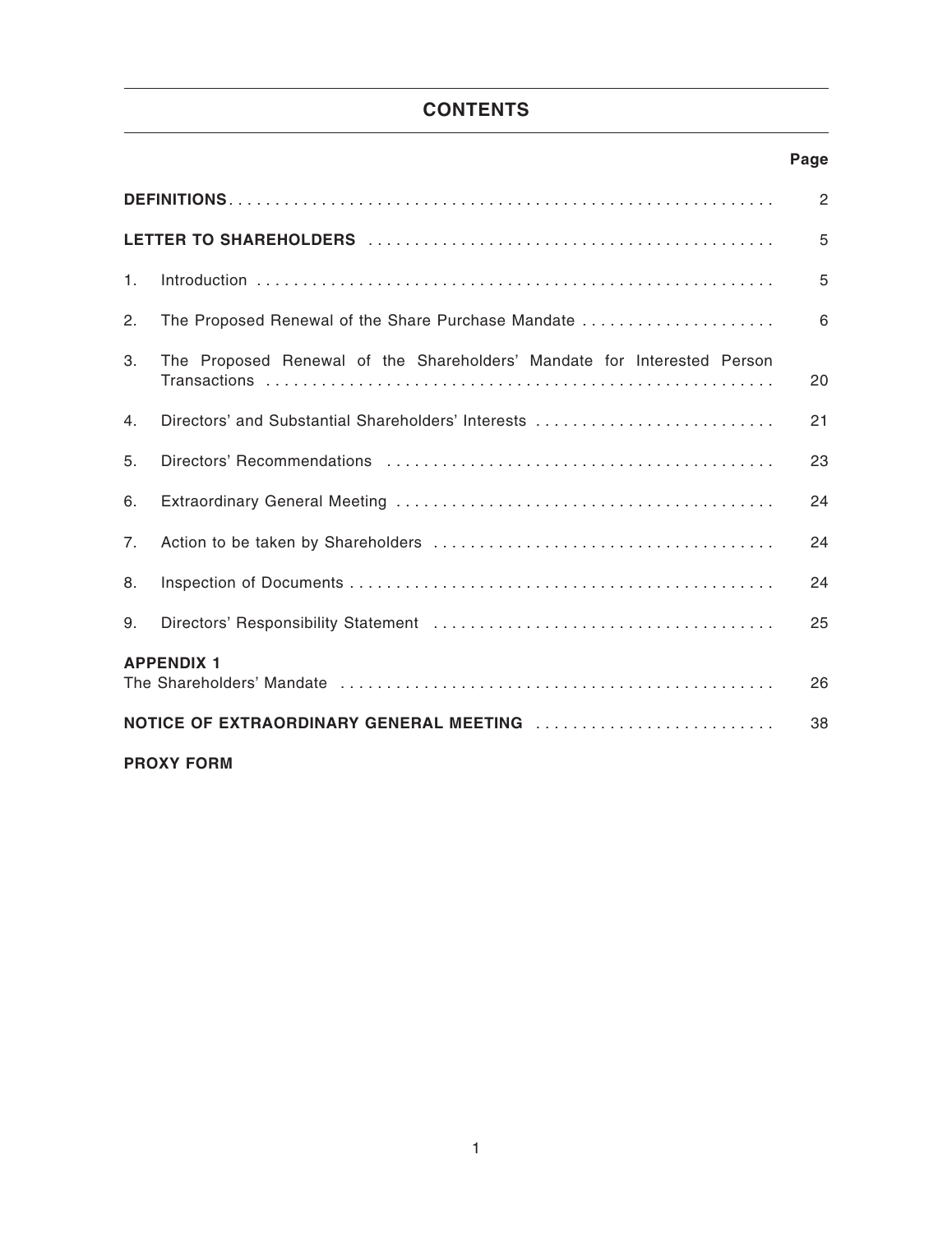# **CONTENTS**

### **Page**

|    |                                                                         | $\overline{2}$ |
|----|-------------------------------------------------------------------------|----------------|
|    |                                                                         | 5              |
| 1. |                                                                         | 5              |
| 2. | The Proposed Renewal of the Share Purchase Mandate                      | 6              |
| 3. | The Proposed Renewal of the Shareholders' Mandate for Interested Person | 20             |
| 4. | Directors' and Substantial Shareholders' Interests                      | 21             |
| 5. |                                                                         | 23             |
| 6. |                                                                         | 24             |
| 7. |                                                                         | 24             |
| 8. |                                                                         | 24             |
| 9. |                                                                         | 25             |
|    | <b>APPENDIX 1</b>                                                       | 26             |
|    | NOTICE OF EXTRAORDINARY GENERAL MEETING                                 | 38             |
|    | <b>PROXY FORM</b>                                                       |                |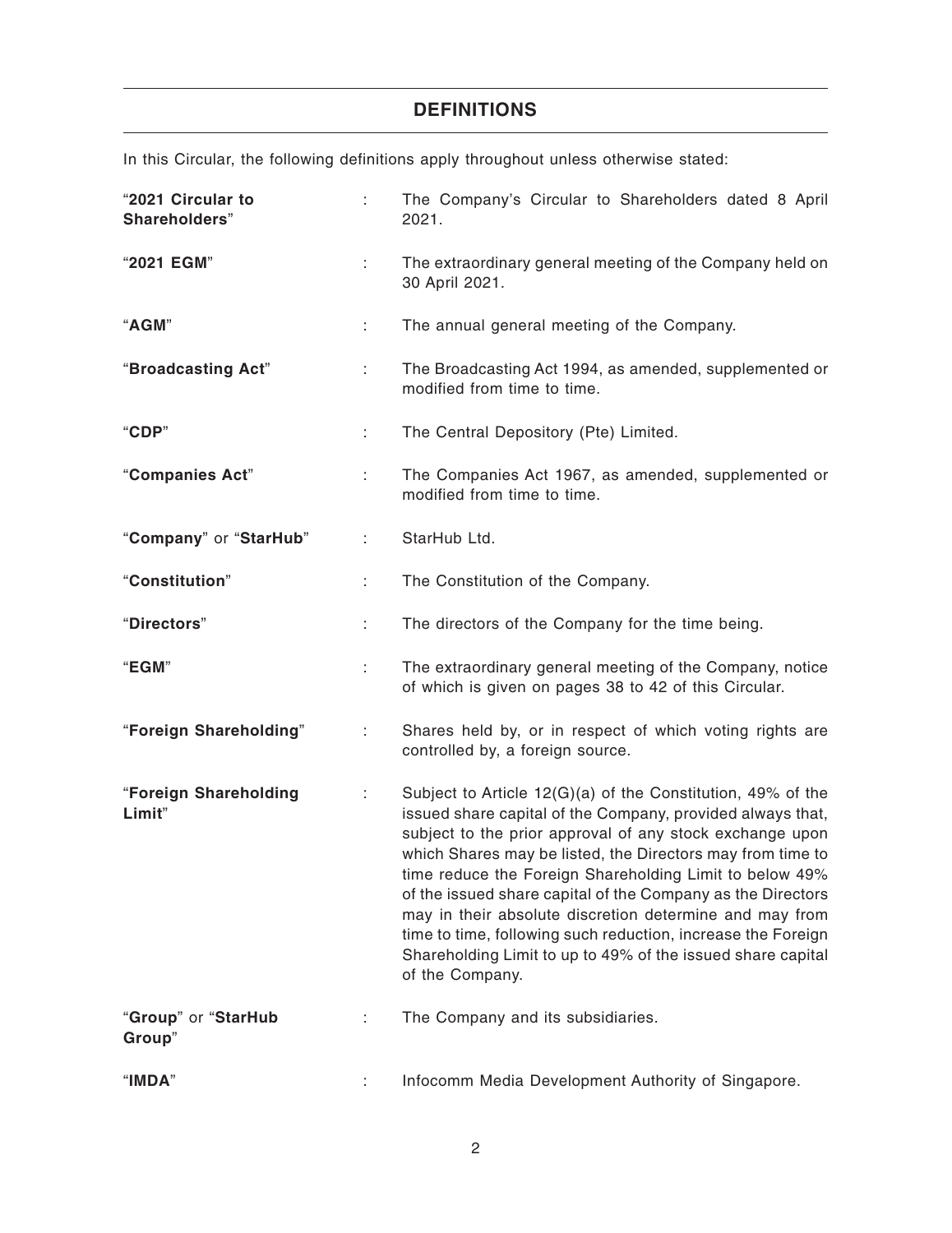# **DEFINITIONS**

In this Circular, the following definitions apply throughout unless otherwise stated:

| "2021 Circular to<br>Shareholders" |    | The Company's Circular to Shareholders dated 8 April<br>2021.                                                                                                                                                                                                                                                                                                                                                                                                                                                                                                                              |
|------------------------------------|----|--------------------------------------------------------------------------------------------------------------------------------------------------------------------------------------------------------------------------------------------------------------------------------------------------------------------------------------------------------------------------------------------------------------------------------------------------------------------------------------------------------------------------------------------------------------------------------------------|
| "2021 EGM"                         | ÷  | The extraordinary general meeting of the Company held on<br>30 April 2021.                                                                                                                                                                                                                                                                                                                                                                                                                                                                                                                 |
| "AGM"                              | ÷  | The annual general meeting of the Company.                                                                                                                                                                                                                                                                                                                                                                                                                                                                                                                                                 |
| "Broadcasting Act"                 | ÷. | The Broadcasting Act 1994, as amended, supplemented or<br>modified from time to time.                                                                                                                                                                                                                                                                                                                                                                                                                                                                                                      |
| "CDP"                              | ÷. | The Central Depository (Pte) Limited.                                                                                                                                                                                                                                                                                                                                                                                                                                                                                                                                                      |
| "Companies Act"                    | ÷  | The Companies Act 1967, as amended, supplemented or<br>modified from time to time.                                                                                                                                                                                                                                                                                                                                                                                                                                                                                                         |
| "Company" or "StarHub"             | ÷  | StarHub Ltd.                                                                                                                                                                                                                                                                                                                                                                                                                                                                                                                                                                               |
| "Constitution"                     | ÷  | The Constitution of the Company.                                                                                                                                                                                                                                                                                                                                                                                                                                                                                                                                                           |
| "Directors"                        | ÷  | The directors of the Company for the time being.                                                                                                                                                                                                                                                                                                                                                                                                                                                                                                                                           |
| "EGM"                              | t  | The extraordinary general meeting of the Company, notice<br>of which is given on pages 38 to 42 of this Circular.                                                                                                                                                                                                                                                                                                                                                                                                                                                                          |
| "Foreign Shareholding"             |    | Shares held by, or in respect of which voting rights are<br>controlled by, a foreign source.                                                                                                                                                                                                                                                                                                                                                                                                                                                                                               |
| "Foreign Shareholding<br>Limit"    |    | Subject to Article 12(G)(a) of the Constitution, 49% of the<br>issued share capital of the Company, provided always that,<br>subject to the prior approval of any stock exchange upon<br>which Shares may be listed, the Directors may from time to<br>time reduce the Foreign Shareholding Limit to below 49%<br>of the issued share capital of the Company as the Directors<br>may in their absolute discretion determine and may from<br>time to time, following such reduction, increase the Foreign<br>Shareholding Limit to up to 49% of the issued share capital<br>of the Company. |
| "Group" or "StarHub<br>Group"      |    | The Company and its subsidiaries.                                                                                                                                                                                                                                                                                                                                                                                                                                                                                                                                                          |
| " $IMDA"$                          |    | Infocomm Media Development Authority of Singapore.                                                                                                                                                                                                                                                                                                                                                                                                                                                                                                                                         |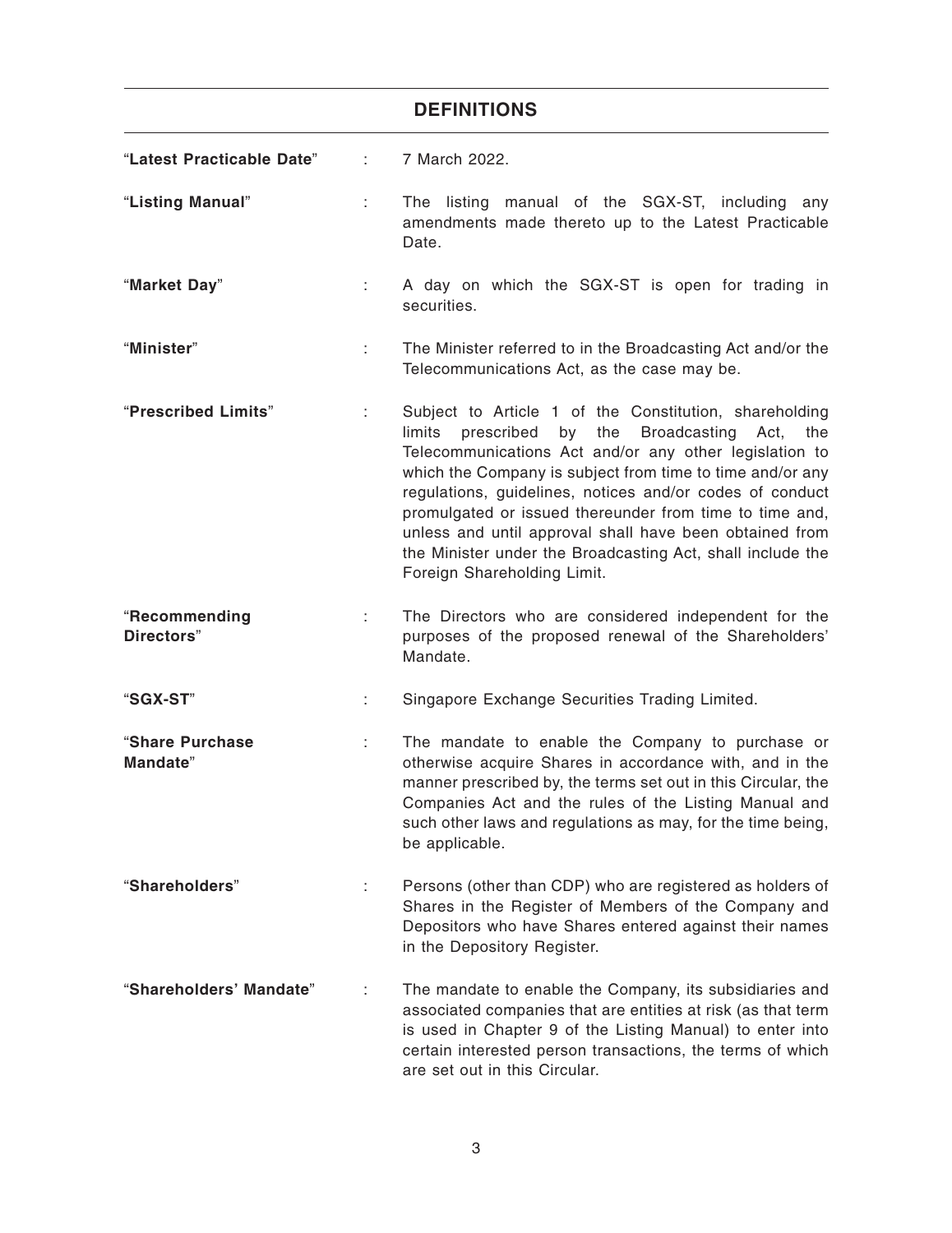# **DEFINITIONS**

| "Latest Practicable Date"   | ÷. | 7 March 2022.                                                                                                                                                                                                                                                                                                                                                                                                                                                                                                                           |
|-----------------------------|----|-----------------------------------------------------------------------------------------------------------------------------------------------------------------------------------------------------------------------------------------------------------------------------------------------------------------------------------------------------------------------------------------------------------------------------------------------------------------------------------------------------------------------------------------|
| "Listing Manual"            | ÷. | The listing manual of the SGX-ST, including any<br>amendments made thereto up to the Latest Practicable<br>Date.                                                                                                                                                                                                                                                                                                                                                                                                                        |
| "Market Day"                | ÷. | A day on which the SGX-ST is open for trading in<br>securities.                                                                                                                                                                                                                                                                                                                                                                                                                                                                         |
| "Minister"                  | ÷. | The Minister referred to in the Broadcasting Act and/or the<br>Telecommunications Act, as the case may be.                                                                                                                                                                                                                                                                                                                                                                                                                              |
| "Prescribed Limits"         | ÷. | Subject to Article 1 of the Constitution, shareholding<br>limits<br><b>Broadcasting</b><br>prescribed<br>by<br>the<br>Act,<br>the<br>Telecommunications Act and/or any other legislation to<br>which the Company is subject from time to time and/or any<br>regulations, guidelines, notices and/or codes of conduct<br>promulgated or issued thereunder from time to time and,<br>unless and until approval shall have been obtained from<br>the Minister under the Broadcasting Act, shall include the<br>Foreign Shareholding Limit. |
| "Recommending<br>Directors" | ÷. | The Directors who are considered independent for the<br>purposes of the proposed renewal of the Shareholders'<br>Mandate.                                                                                                                                                                                                                                                                                                                                                                                                               |
| "SGX-ST"                    | ÷  | Singapore Exchange Securities Trading Limited.                                                                                                                                                                                                                                                                                                                                                                                                                                                                                          |
| "Share Purchase<br>Mandate" | t. | The mandate to enable the Company to purchase or<br>otherwise acquire Shares in accordance with, and in the<br>manner prescribed by, the terms set out in this Circular, the<br>Companies Act and the rules of the Listing Manual and<br>such other laws and regulations as may, for the time being,<br>be applicable.                                                                                                                                                                                                                  |
| "Shareholders"              | ÷  | Persons (other than CDP) who are registered as holders of<br>Shares in the Register of Members of the Company and<br>Depositors who have Shares entered against their names<br>in the Depository Register.                                                                                                                                                                                                                                                                                                                              |
| "Shareholders' Mandate"     |    | The mandate to enable the Company, its subsidiaries and<br>associated companies that are entities at risk (as that term<br>is used in Chapter 9 of the Listing Manual) to enter into<br>certain interested person transactions, the terms of which<br>are set out in this Circular.                                                                                                                                                                                                                                                     |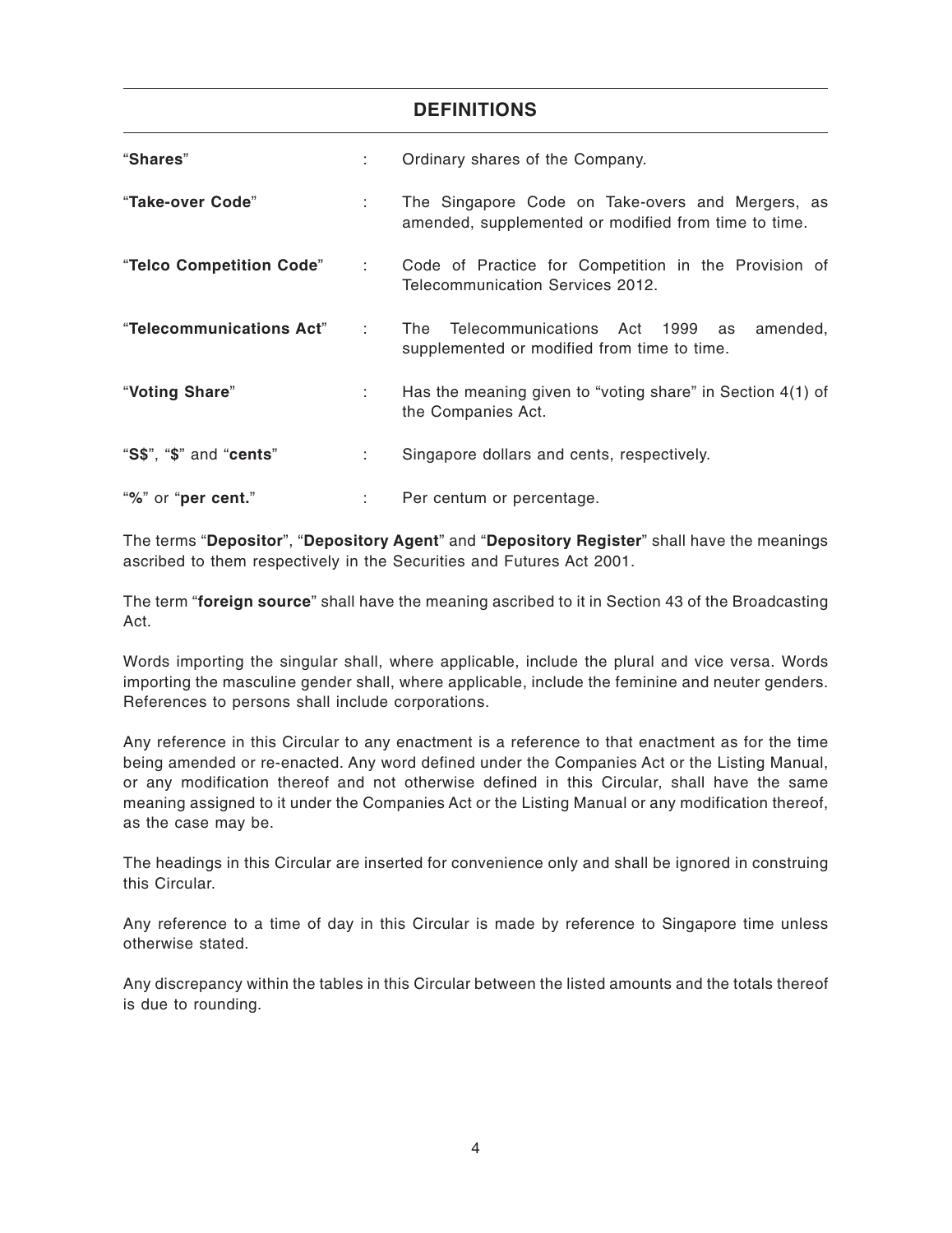### **DEFINITIONS**

| "Shares"                 | t.                         | Ordinary shares of the Company.                                                                            |  |  |
|--------------------------|----------------------------|------------------------------------------------------------------------------------------------------------|--|--|
| "Take-over Code"         | ÷.                         | The Singapore Code on Take-overs and Mergers, as<br>amended, supplemented or modified from time to time.   |  |  |
| "Telco Competition Code" | di s                       | Code of Practice for Competition in the Provision of<br>Telecommunication Services 2012.                   |  |  |
| "Telecommunications Act" | $\mathcal{L}^{\text{max}}$ | Telecommunications Act 1999<br>amended,<br><b>The</b><br>as<br>supplemented or modified from time to time. |  |  |
| "Voting Share"           | ÷.                         | Has the meaning given to "voting share" in Section 4(1) of<br>the Companies Act.                           |  |  |
| "S\$", "\$" and "cents"  | ÷                          | Singapore dollars and cents, respectively.                                                                 |  |  |
| "%" or "per cent."       |                            | Per centum or percentage.                                                                                  |  |  |

The terms "**Depositor**", "**Depository Agent**" and "**Depository Register**" shall have the meanings ascribed to them respectively in the Securities and Futures Act 2001.

The term "**foreign source**" shall have the meaning ascribed to it in Section 43 of the Broadcasting Act.

Words importing the singular shall, where applicable, include the plural and vice versa. Words importing the masculine gender shall, where applicable, include the feminine and neuter genders. References to persons shall include corporations.

Any reference in this Circular to any enactment is a reference to that enactment as for the time being amended or re-enacted. Any word defined under the Companies Act or the Listing Manual, or any modification thereof and not otherwise defined in this Circular, shall have the same meaning assigned to it under the Companies Act or the Listing Manual or any modification thereof, as the case may be.

The headings in this Circular are inserted for convenience only and shall be ignored in construing this Circular.

Any reference to a time of day in this Circular is made by reference to Singapore time unless otherwise stated.

Any discrepancy within the tables in this Circular between the listed amounts and the totals thereof is due to rounding.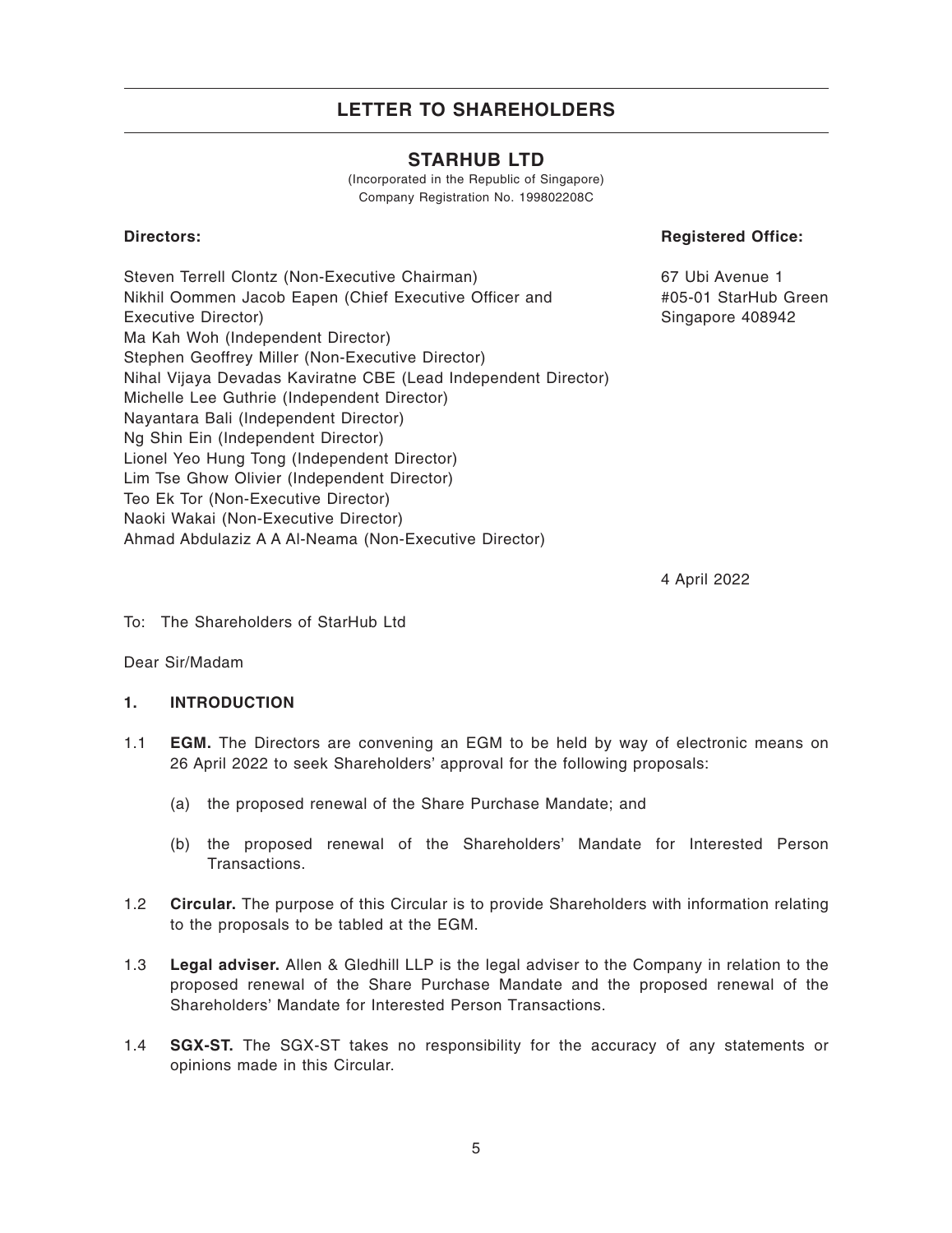### **STARHUB LTD**

(Incorporated in the Republic of Singapore) Company Registration No. 199802208C

### **Directors:**

### **Registered Office:**

Steven Terrell Clontz (Non-Executive Chairman) Nikhil Oommen Jacob Eapen (Chief Executive Officer and Executive Director) Ma Kah Woh (Independent Director) Stephen Geoffrey Miller (Non-Executive Director) Nihal Vijaya Devadas Kaviratne CBE (Lead Independent Director) Michelle Lee Guthrie (Independent Director) Nayantara Bali (Independent Director) Ng Shin Ein (Independent Director) Lionel Yeo Hung Tong (Independent Director) Lim Tse Ghow Olivier (Independent Director) Teo Ek Tor (Non-Executive Director) Naoki Wakai (Non-Executive Director) Ahmad Abdulaziz A A Al-Neama (Non-Executive Director)

67 Ubi Avenue 1 #05-01 StarHub Green Singapore 408942

4 April 2022

To: The Shareholders of StarHub Ltd

Dear Sir/Madam

### **1. INTRODUCTION**

- 1.1 **EGM.** The Directors are convening an EGM to be held by way of electronic means on 26 April 2022 to seek Shareholders' approval for the following proposals:
	- (a) the proposed renewal of the Share Purchase Mandate; and
	- (b) the proposed renewal of the Shareholders' Mandate for Interested Person Transactions.
- 1.2 **Circular.** The purpose of this Circular is to provide Shareholders with information relating to the proposals to be tabled at the EGM.
- 1.3 **Legal adviser.** Allen & Gledhill LLP is the legal adviser to the Company in relation to the proposed renewal of the Share Purchase Mandate and the proposed renewal of the Shareholders' Mandate for Interested Person Transactions.
- 1.4 **SGX-ST.** The SGX-ST takes no responsibility for the accuracy of any statements or opinions made in this Circular.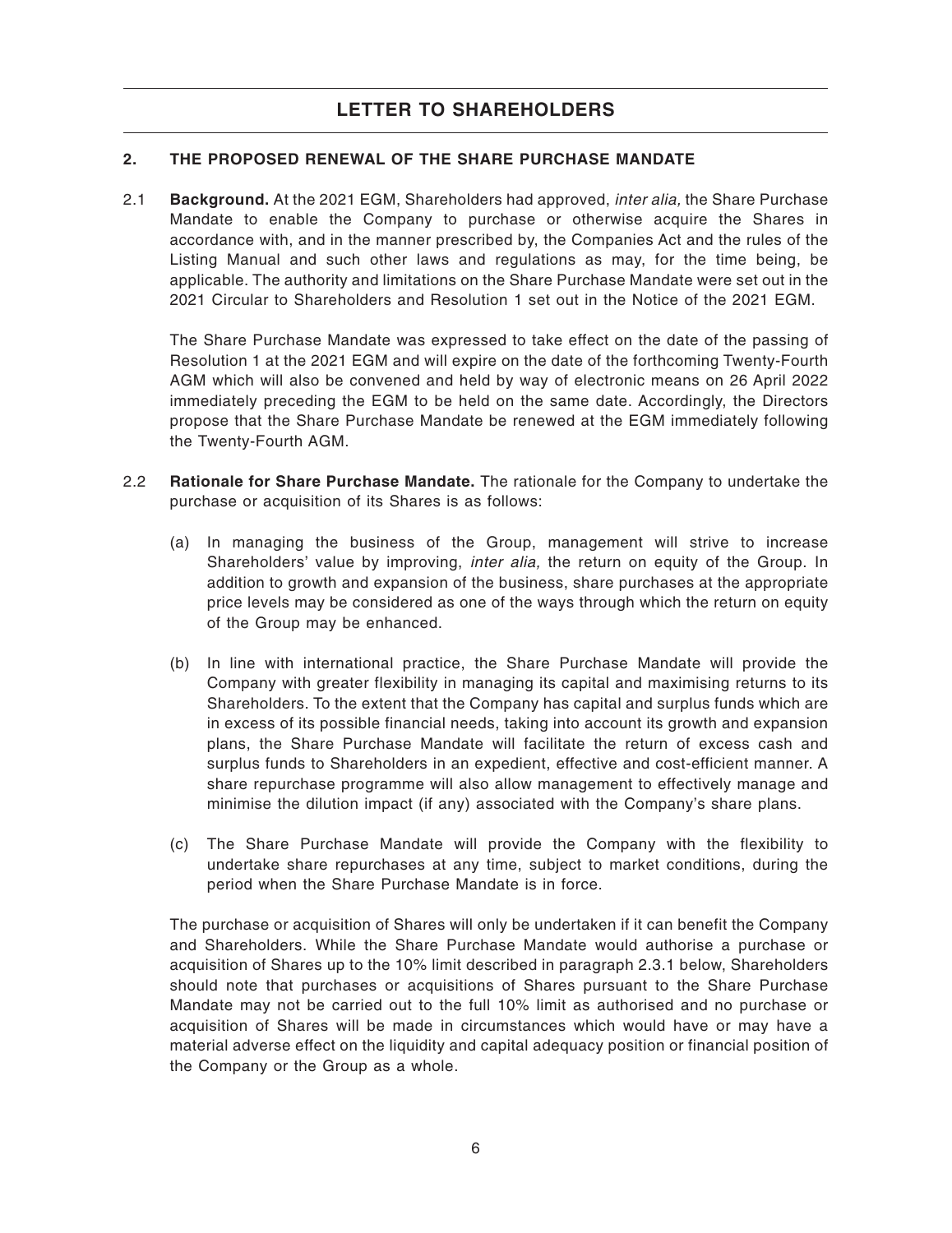### **2. THE PROPOSED RENEWAL OF THE SHARE PURCHASE MANDATE**

2.1 **Background.** At the 2021 EGM, Shareholders had approved, inter alia, the Share Purchase Mandate to enable the Company to purchase or otherwise acquire the Shares in accordance with, and in the manner prescribed by, the Companies Act and the rules of the Listing Manual and such other laws and regulations as may, for the time being, be applicable. The authority and limitations on the Share Purchase Mandate were set out in the 2021 Circular to Shareholders and Resolution 1 set out in the Notice of the 2021 EGM.

The Share Purchase Mandate was expressed to take effect on the date of the passing of Resolution 1 at the 2021 EGM and will expire on the date of the forthcoming Twenty-Fourth AGM which will also be convened and held by way of electronic means on 26 April 2022 immediately preceding the EGM to be held on the same date. Accordingly, the Directors propose that the Share Purchase Mandate be renewed at the EGM immediately following the Twenty-Fourth AGM.

- 2.2 **Rationale for Share Purchase Mandate.** The rationale for the Company to undertake the purchase or acquisition of its Shares is as follows:
	- (a) In managing the business of the Group, management will strive to increase Shareholders' value by improving, *inter alia*, the return on equity of the Group. In addition to growth and expansion of the business, share purchases at the appropriate price levels may be considered as one of the ways through which the return on equity of the Group may be enhanced.
	- (b) In line with international practice, the Share Purchase Mandate will provide the Company with greater flexibility in managing its capital and maximising returns to its Shareholders. To the extent that the Company has capital and surplus funds which are in excess of its possible financial needs, taking into account its growth and expansion plans, the Share Purchase Mandate will facilitate the return of excess cash and surplus funds to Shareholders in an expedient, effective and cost-efficient manner. A share repurchase programme will also allow management to effectively manage and minimise the dilution impact (if any) associated with the Company's share plans.
	- (c) The Share Purchase Mandate will provide the Company with the flexibility to undertake share repurchases at any time, subject to market conditions, during the period when the Share Purchase Mandate is in force.

The purchase or acquisition of Shares will only be undertaken if it can benefit the Company and Shareholders. While the Share Purchase Mandate would authorise a purchase or acquisition of Shares up to the 10% limit described in paragraph 2.3.1 below, Shareholders should note that purchases or acquisitions of Shares pursuant to the Share Purchase Mandate may not be carried out to the full 10% limit as authorised and no purchase or acquisition of Shares will be made in circumstances which would have or may have a material adverse effect on the liquidity and capital adequacy position or financial position of the Company or the Group as a whole.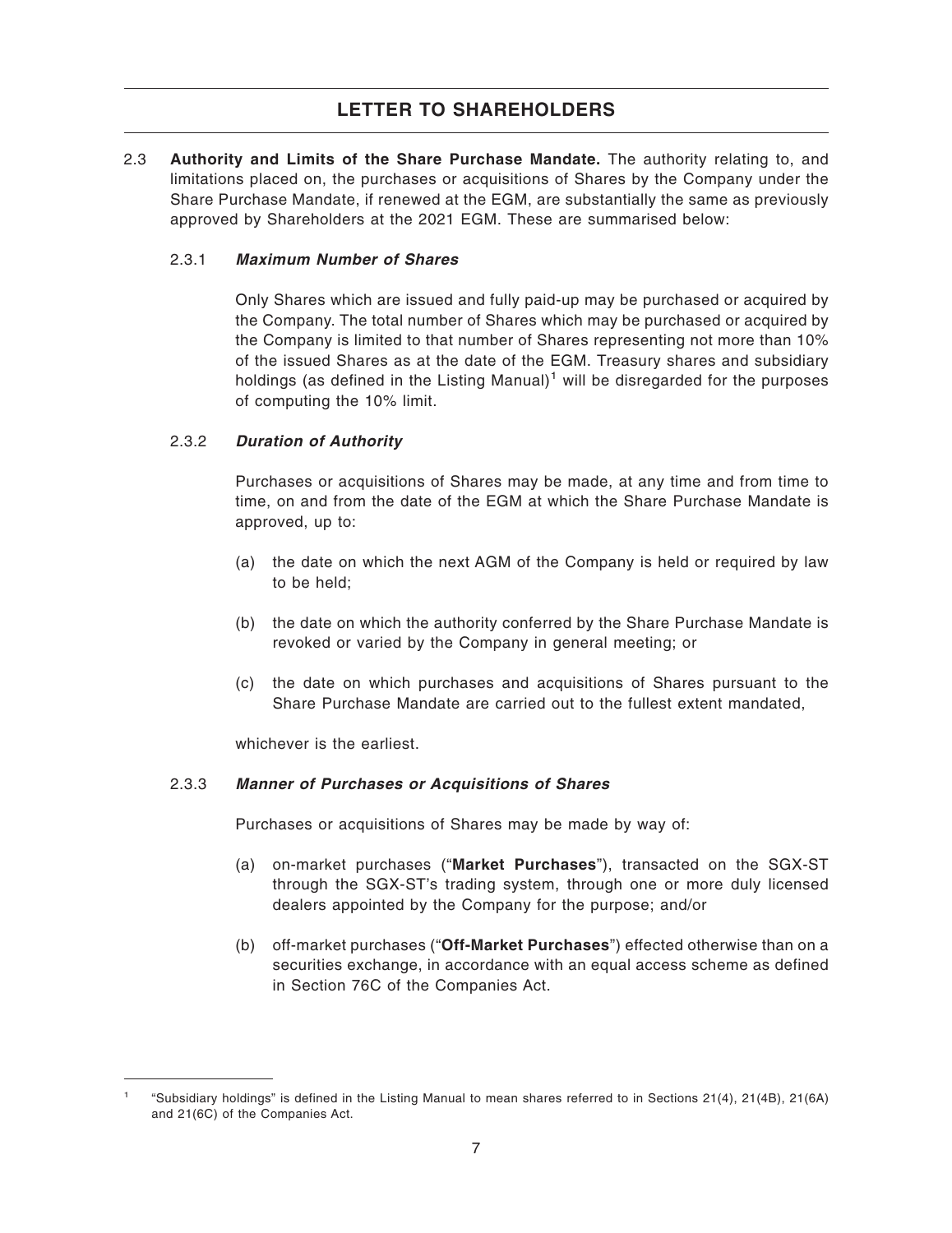2.3 **Authority and Limits of the Share Purchase Mandate.** The authority relating to, and limitations placed on, the purchases or acquisitions of Shares by the Company under the Share Purchase Mandate, if renewed at the EGM, are substantially the same as previously approved by Shareholders at the 2021 EGM. These are summarised below:

### 2.3.1 **Maximum Number of Shares**

Only Shares which are issued and fully paid-up may be purchased or acquired by the Company. The total number of Shares which may be purchased or acquired by the Company is limited to that number of Shares representing not more than 10% of the issued Shares as at the date of the EGM. Treasury shares and subsidiary holdings (as defined in the Listing Manual)<sup>1</sup> will be disregarded for the purposes of computing the 10% limit.

### 2.3.2 **Duration of Authority**

Purchases or acquisitions of Shares may be made, at any time and from time to time, on and from the date of the EGM at which the Share Purchase Mandate is approved, up to:

- (a) the date on which the next AGM of the Company is held or required by law to be held;
- (b) the date on which the authority conferred by the Share Purchase Mandate is revoked or varied by the Company in general meeting; or
- (c) the date on which purchases and acquisitions of Shares pursuant to the Share Purchase Mandate are carried out to the fullest extent mandated,

whichever is the earliest.

#### 2.3.3 **Manner of Purchases or Acquisitions of Shares**

Purchases or acquisitions of Shares may be made by way of:

- (a) on-market purchases ("**Market Purchases**"), transacted on the SGX-ST through the SGX-ST's trading system, through one or more duly licensed dealers appointed by the Company for the purpose; and/or
- (b) off-market purchases ("**Off-Market Purchases**") effected otherwise than on a securities exchange, in accordance with an equal access scheme as defined in Section 76C of the Companies Act.

<sup>1</sup> "Subsidiary holdings" is defined in the Listing Manual to mean shares referred to in Sections 21(4), 21(4B), 21(6A) and 21(6C) of the Companies Act.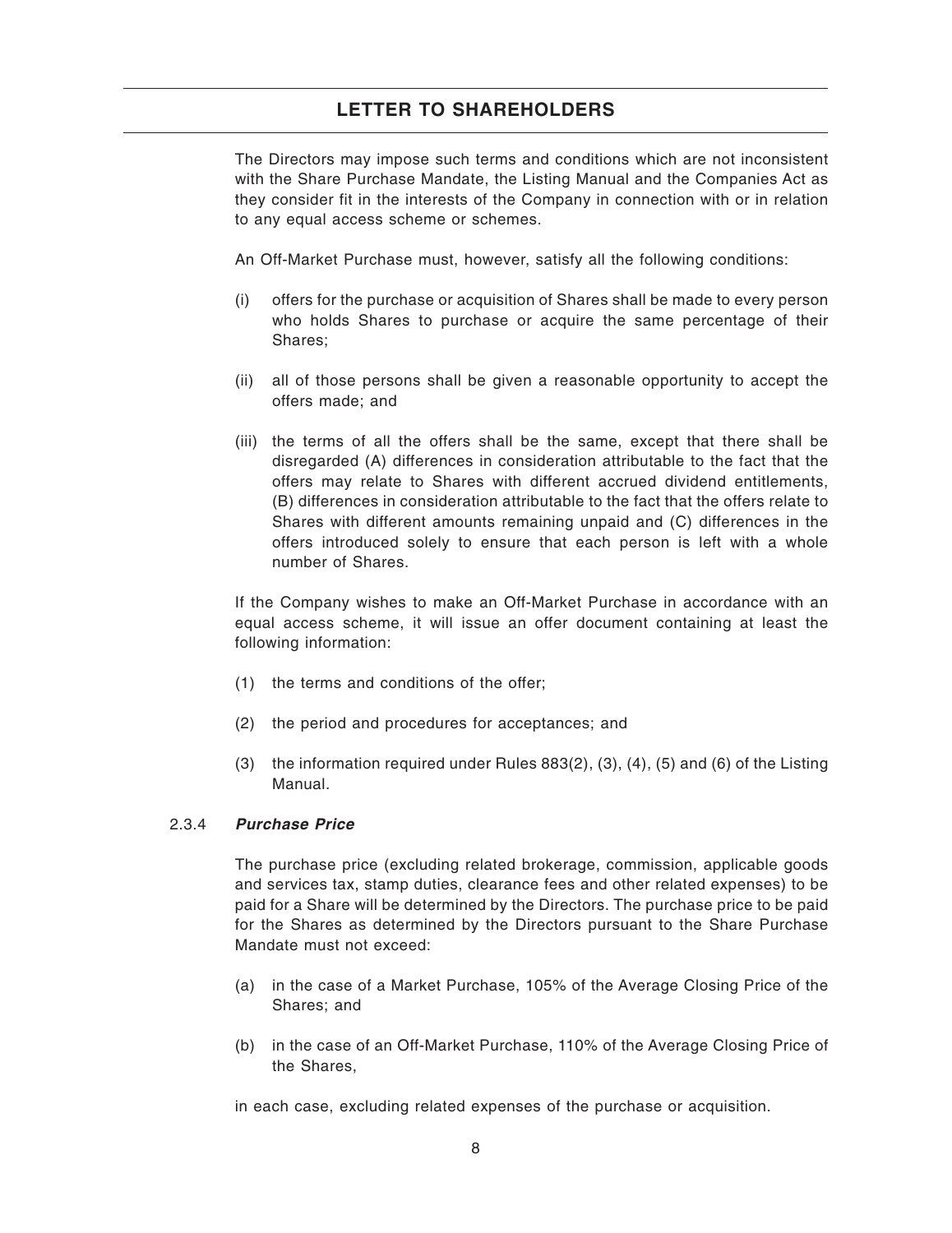The Directors may impose such terms and conditions which are not inconsistent with the Share Purchase Mandate, the Listing Manual and the Companies Act as they consider fit in the interests of the Company in connection with or in relation to any equal access scheme or schemes.

An Off-Market Purchase must, however, satisfy all the following conditions:

- (i) offers for the purchase or acquisition of Shares shall be made to every person who holds Shares to purchase or acquire the same percentage of their Shares;
- (ii) all of those persons shall be given a reasonable opportunity to accept the offers made; and
- (iii) the terms of all the offers shall be the same, except that there shall be disregarded (A) differences in consideration attributable to the fact that the offers may relate to Shares with different accrued dividend entitlements, (B) differences in consideration attributable to the fact that the offers relate to Shares with different amounts remaining unpaid and (C) differences in the offers introduced solely to ensure that each person is left with a whole number of Shares.

If the Company wishes to make an Off-Market Purchase in accordance with an equal access scheme, it will issue an offer document containing at least the following information:

- (1) the terms and conditions of the offer;
- (2) the period and procedures for acceptances; and
- (3) the information required under Rules 883(2), (3), (4), (5) and (6) of the Listing Manual.

### 2.3.4 **Purchase Price**

The purchase price (excluding related brokerage, commission, applicable goods and services tax, stamp duties, clearance fees and other related expenses) to be paid for a Share will be determined by the Directors. The purchase price to be paid for the Shares as determined by the Directors pursuant to the Share Purchase Mandate must not exceed:

- (a) in the case of a Market Purchase, 105% of the Average Closing Price of the Shares; and
- (b) in the case of an Off-Market Purchase, 110% of the Average Closing Price of the Shares,

in each case, excluding related expenses of the purchase or acquisition.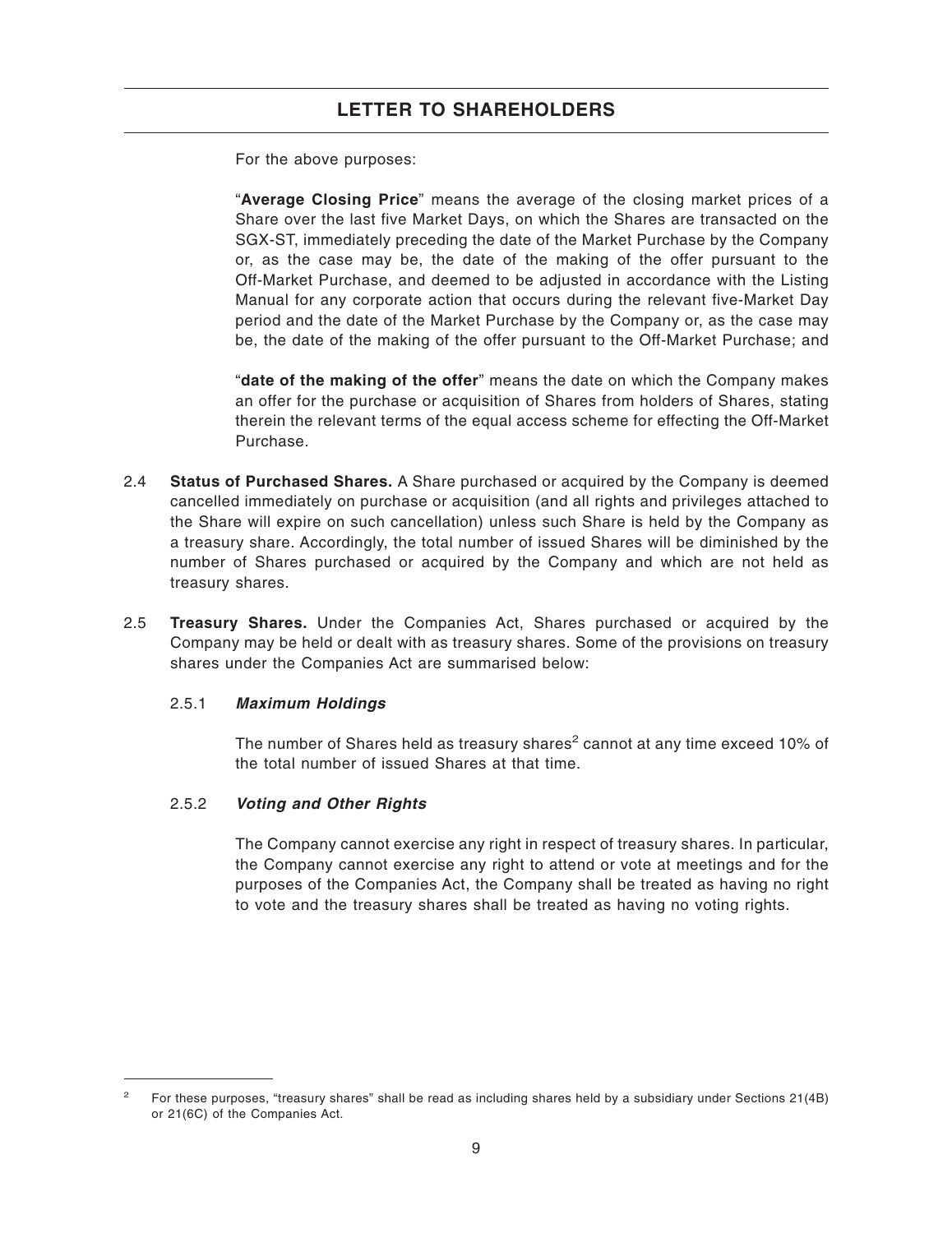For the above purposes:

"**Average Closing Price**" means the average of the closing market prices of a Share over the last five Market Days, on which the Shares are transacted on the SGX-ST, immediately preceding the date of the Market Purchase by the Company or, as the case may be, the date of the making of the offer pursuant to the Off-Market Purchase, and deemed to be adjusted in accordance with the Listing Manual for any corporate action that occurs during the relevant five-Market Day period and the date of the Market Purchase by the Company or, as the case may be, the date of the making of the offer pursuant to the Off-Market Purchase; and

"**date of the making of the offer**" means the date on which the Company makes an offer for the purchase or acquisition of Shares from holders of Shares, stating therein the relevant terms of the equal access scheme for effecting the Off-Market Purchase.

- 2.4 **Status of Purchased Shares.** A Share purchased or acquired by the Company is deemed cancelled immediately on purchase or acquisition (and all rights and privileges attached to the Share will expire on such cancellation) unless such Share is held by the Company as a treasury share. Accordingly, the total number of issued Shares will be diminished by the number of Shares purchased or acquired by the Company and which are not held as treasury shares.
- 2.5 **Treasury Shares.** Under the Companies Act, Shares purchased or acquired by the Company may be held or dealt with as treasury shares. Some of the provisions on treasury shares under the Companies Act are summarised below:

### 2.5.1 **Maximum Holdings**

The number of Shares held as treasury shares<sup>2</sup> cannot at any time exceed 10% of the total number of issued Shares at that time.

### 2.5.2 **Voting and Other Rights**

The Company cannot exercise any right in respect of treasury shares. In particular, the Company cannot exercise any right to attend or vote at meetings and for the purposes of the Companies Act, the Company shall be treated as having no right to vote and the treasury shares shall be treated as having no voting rights.

<sup>&</sup>lt;sup>2</sup> For these purposes, "treasury shares" shall be read as including shares held by a subsidiary under Sections 21(4B) or 21(6C) of the Companies Act.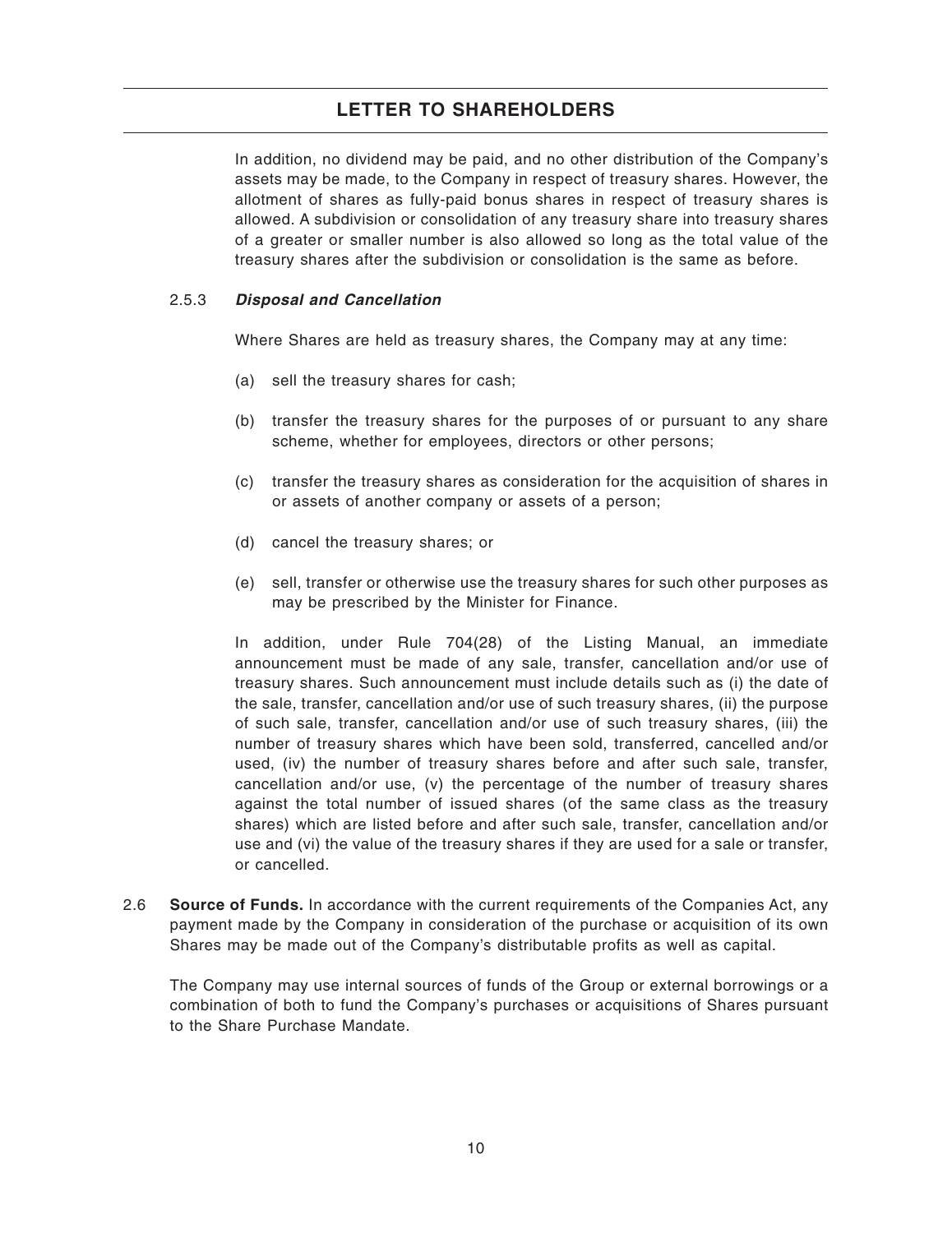In addition, no dividend may be paid, and no other distribution of the Company's assets may be made, to the Company in respect of treasury shares. However, the allotment of shares as fully-paid bonus shares in respect of treasury shares is allowed. A subdivision or consolidation of any treasury share into treasury shares of a greater or smaller number is also allowed so long as the total value of the treasury shares after the subdivision or consolidation is the same as before.

### 2.5.3 **Disposal and Cancellation**

Where Shares are held as treasury shares, the Company may at any time:

- (a) sell the treasury shares for cash;
- (b) transfer the treasury shares for the purposes of or pursuant to any share scheme, whether for employees, directors or other persons;
- (c) transfer the treasury shares as consideration for the acquisition of shares in or assets of another company or assets of a person;
- (d) cancel the treasury shares; or
- (e) sell, transfer or otherwise use the treasury shares for such other purposes as may be prescribed by the Minister for Finance.

In addition, under Rule 704(28) of the Listing Manual, an immediate announcement must be made of any sale, transfer, cancellation and/or use of treasury shares. Such announcement must include details such as (i) the date of the sale, transfer, cancellation and/or use of such treasury shares, (ii) the purpose of such sale, transfer, cancellation and/or use of such treasury shares, (iii) the number of treasury shares which have been sold, transferred, cancelled and/or used, (iv) the number of treasury shares before and after such sale, transfer, cancellation and/or use, (v) the percentage of the number of treasury shares against the total number of issued shares (of the same class as the treasury shares) which are listed before and after such sale, transfer, cancellation and/or use and (vi) the value of the treasury shares if they are used for a sale or transfer, or cancelled.

2.6 **Source of Funds.** In accordance with the current requirements of the Companies Act, any payment made by the Company in consideration of the purchase or acquisition of its own Shares may be made out of the Company's distributable profits as well as capital.

The Company may use internal sources of funds of the Group or external borrowings or a combination of both to fund the Company's purchases or acquisitions of Shares pursuant to the Share Purchase Mandate.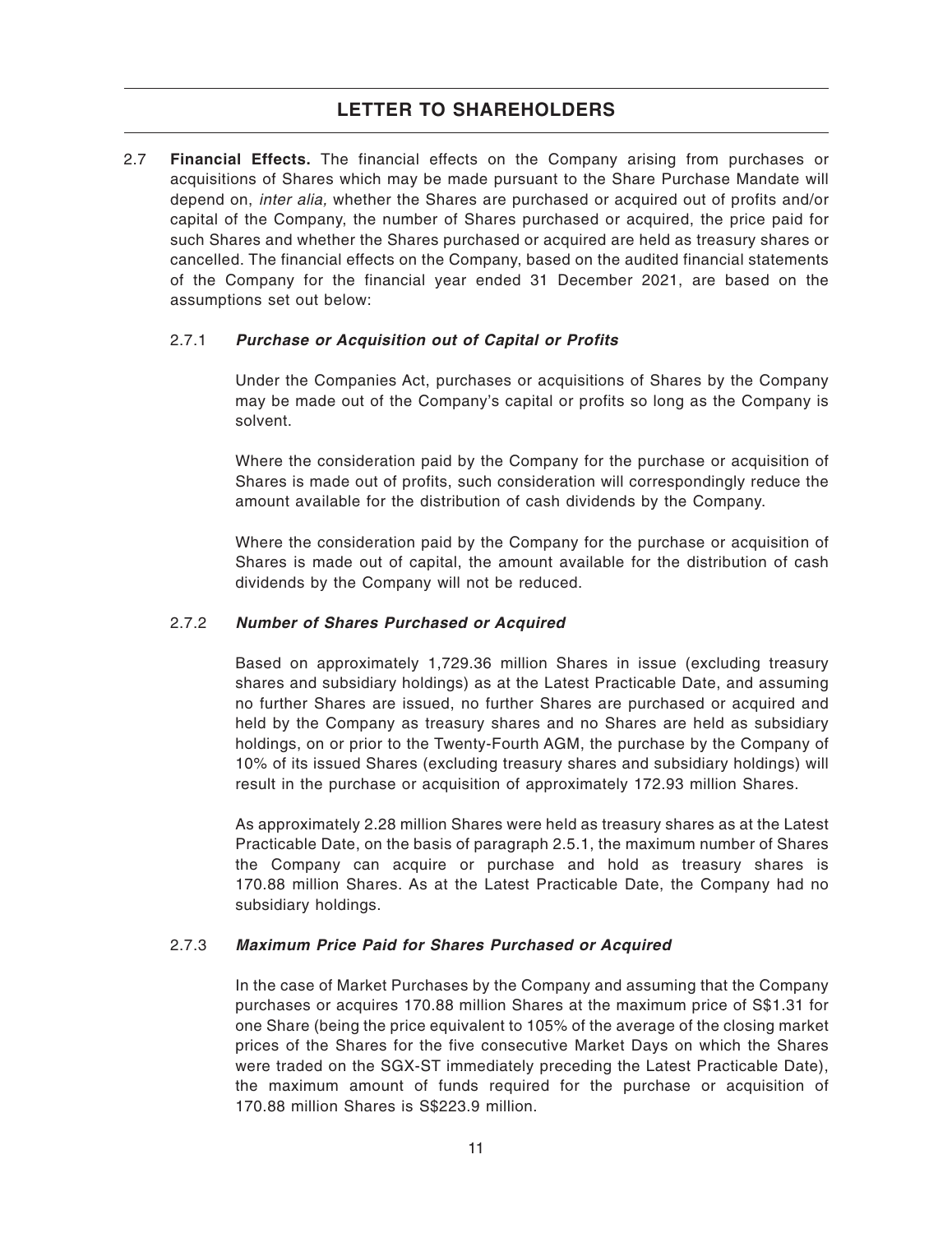2.7 **Financial Effects.** The financial effects on the Company arising from purchases or acquisitions of Shares which may be made pursuant to the Share Purchase Mandate will depend on, inter alia, whether the Shares are purchased or acquired out of profits and/or capital of the Company, the number of Shares purchased or acquired, the price paid for such Shares and whether the Shares purchased or acquired are held as treasury shares or cancelled. The financial effects on the Company, based on the audited financial statements of the Company for the financial year ended 31 December 2021, are based on the assumptions set out below:

### 2.7.1 **Purchase or Acquisition out of Capital or Profits**

Under the Companies Act, purchases or acquisitions of Shares by the Company may be made out of the Company's capital or profits so long as the Company is solvent.

Where the consideration paid by the Company for the purchase or acquisition of Shares is made out of profits, such consideration will correspondingly reduce the amount available for the distribution of cash dividends by the Company.

Where the consideration paid by the Company for the purchase or acquisition of Shares is made out of capital, the amount available for the distribution of cash dividends by the Company will not be reduced.

### 2.7.2 **Number of Shares Purchased or Acquired**

Based on approximately 1,729.36 million Shares in issue (excluding treasury shares and subsidiary holdings) as at the Latest Practicable Date, and assuming no further Shares are issued, no further Shares are purchased or acquired and held by the Company as treasury shares and no Shares are held as subsidiary holdings, on or prior to the Twenty-Fourth AGM, the purchase by the Company of 10% of its issued Shares (excluding treasury shares and subsidiary holdings) will result in the purchase or acquisition of approximately 172.93 million Shares.

As approximately 2.28 million Shares were held as treasury shares as at the Latest Practicable Date, on the basis of paragraph 2.5.1, the maximum number of Shares the Company can acquire or purchase and hold as treasury shares is 170.88 million Shares. As at the Latest Practicable Date, the Company had no subsidiary holdings.

### 2.7.3 **Maximum Price Paid for Shares Purchased or Acquired**

In the case of Market Purchases by the Company and assuming that the Company purchases or acquires 170.88 million Shares at the maximum price of S\$1.31 for one Share (being the price equivalent to 105% of the average of the closing market prices of the Shares for the five consecutive Market Days on which the Shares were traded on the SGX-ST immediately preceding the Latest Practicable Date), the maximum amount of funds required for the purchase or acquisition of 170.88 million Shares is S\$223.9 million.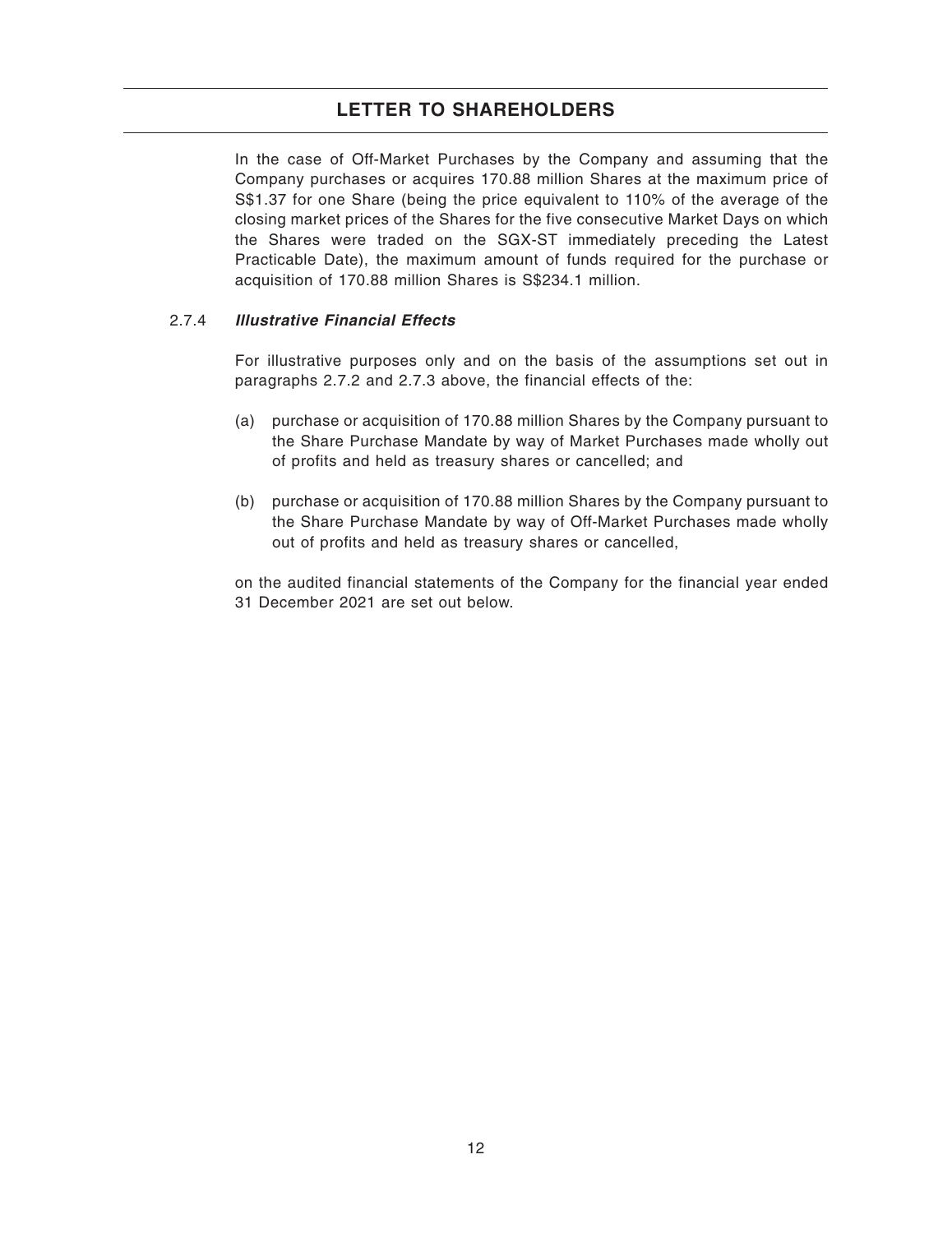In the case of Off-Market Purchases by the Company and assuming that the Company purchases or acquires 170.88 million Shares at the maximum price of S\$1.37 for one Share (being the price equivalent to 110% of the average of the closing market prices of the Shares for the five consecutive Market Days on which the Shares were traded on the SGX-ST immediately preceding the Latest Practicable Date), the maximum amount of funds required for the purchase or acquisition of 170.88 million Shares is S\$234.1 million.

### 2.7.4 **Illustrative Financial Effects**

For illustrative purposes only and on the basis of the assumptions set out in paragraphs 2.7.2 and 2.7.3 above, the financial effects of the:

- (a) purchase or acquisition of 170.88 million Shares by the Company pursuant to the Share Purchase Mandate by way of Market Purchases made wholly out of profits and held as treasury shares or cancelled; and
- (b) purchase or acquisition of 170.88 million Shares by the Company pursuant to the Share Purchase Mandate by way of Off-Market Purchases made wholly out of profits and held as treasury shares or cancelled,
- on the audited financial statements of the Company for the financial year ended 31 December 2021 are set out below.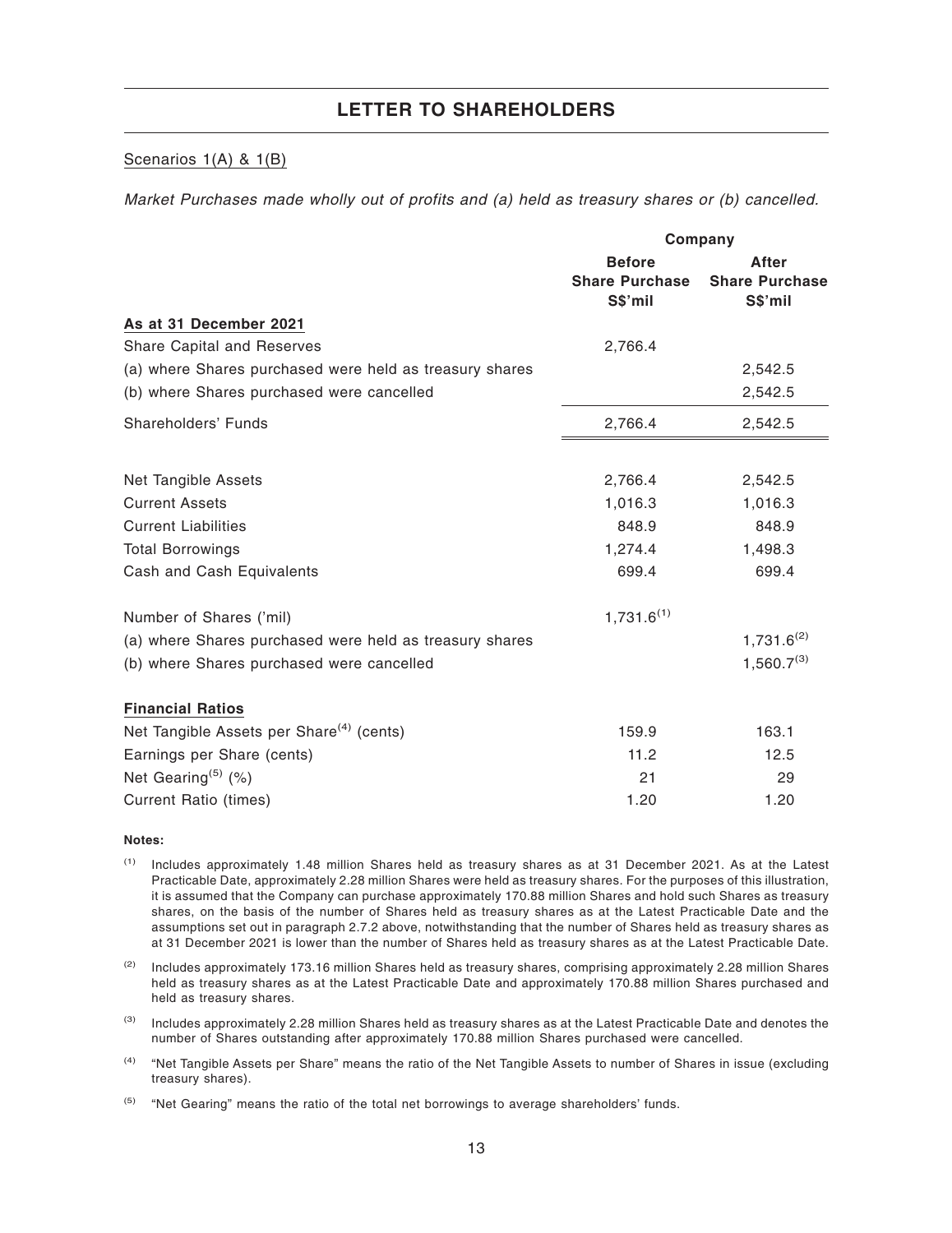#### Scenarios 1(A) & 1(B)

Market Purchases made wholly out of profits and (a) held as treasury shares or (b) cancelled.

|                                                         |                                        | Company                        |
|---------------------------------------------------------|----------------------------------------|--------------------------------|
|                                                         | <b>Before</b><br><b>Share Purchase</b> | After<br><b>Share Purchase</b> |
|                                                         | S\$'mil                                | S\$'mil                        |
| As at 31 December 2021                                  |                                        |                                |
| <b>Share Capital and Reserves</b>                       | 2,766.4                                |                                |
| (a) where Shares purchased were held as treasury shares |                                        | 2,542.5                        |
| (b) where Shares purchased were cancelled               |                                        | 2,542.5                        |
| Shareholders' Funds                                     | 2,766.4                                | 2,542.5                        |
|                                                         |                                        |                                |
| Net Tangible Assets                                     | 2,766.4                                | 2,542.5                        |
| <b>Current Assets</b>                                   | 1,016.3                                | 1,016.3                        |
| <b>Current Liabilities</b>                              | 848.9                                  | 848.9                          |
| <b>Total Borrowings</b>                                 | 1,274.4                                | 1,498.3                        |
| Cash and Cash Equivalents                               | 699.4                                  | 699.4                          |
| Number of Shares ('mil)                                 | $1,731.6^{(1)}$                        |                                |
| (a) where Shares purchased were held as treasury shares |                                        | $1,731.6^{(2)}$                |
| (b) where Shares purchased were cancelled               |                                        | $1,560.7^{(3)}$                |
| <b>Financial Ratios</b>                                 |                                        |                                |
| Net Tangible Assets per Share <sup>(4)</sup> (cents)    | 159.9                                  | 163.1                          |
| Earnings per Share (cents)                              | 11.2                                   | 12.5                           |
| Net Gearing <sup>(5)</sup> $(\%)$                       | 21                                     | 29                             |
| <b>Current Ratio (times)</b>                            | 1.20                                   | 1.20                           |

#### **Notes:**

- (1) Includes approximately 1.48 million Shares held as treasury shares as at 31 December 2021. As at the Latest Practicable Date, approximately 2.28 million Shares were held as treasury shares. For the purposes of this illustration, it is assumed that the Company can purchase approximately 170.88 million Shares and hold such Shares as treasury shares, on the basis of the number of Shares held as treasury shares as at the Latest Practicable Date and the assumptions set out in paragraph 2.7.2 above, notwithstanding that the number of Shares held as treasury shares as at 31 December 2021 is lower than the number of Shares held as treasury shares as at the Latest Practicable Date.
- (2) Includes approximately 173.16 million Shares held as treasury shares, comprising approximately 2.28 million Shares held as treasury shares as at the Latest Practicable Date and approximately 170.88 million Shares purchased and held as treasury shares.
- (3) Includes approximately 2.28 million Shares held as treasury shares as at the Latest Practicable Date and denotes the number of Shares outstanding after approximately 170.88 million Shares purchased were cancelled.
- <sup>(4)</sup> "Net Tangible Assets per Share" means the ratio of the Net Tangible Assets to number of Shares in issue (excluding treasury shares).
- $(5)$  "Net Gearing" means the ratio of the total net borrowings to average shareholders' funds.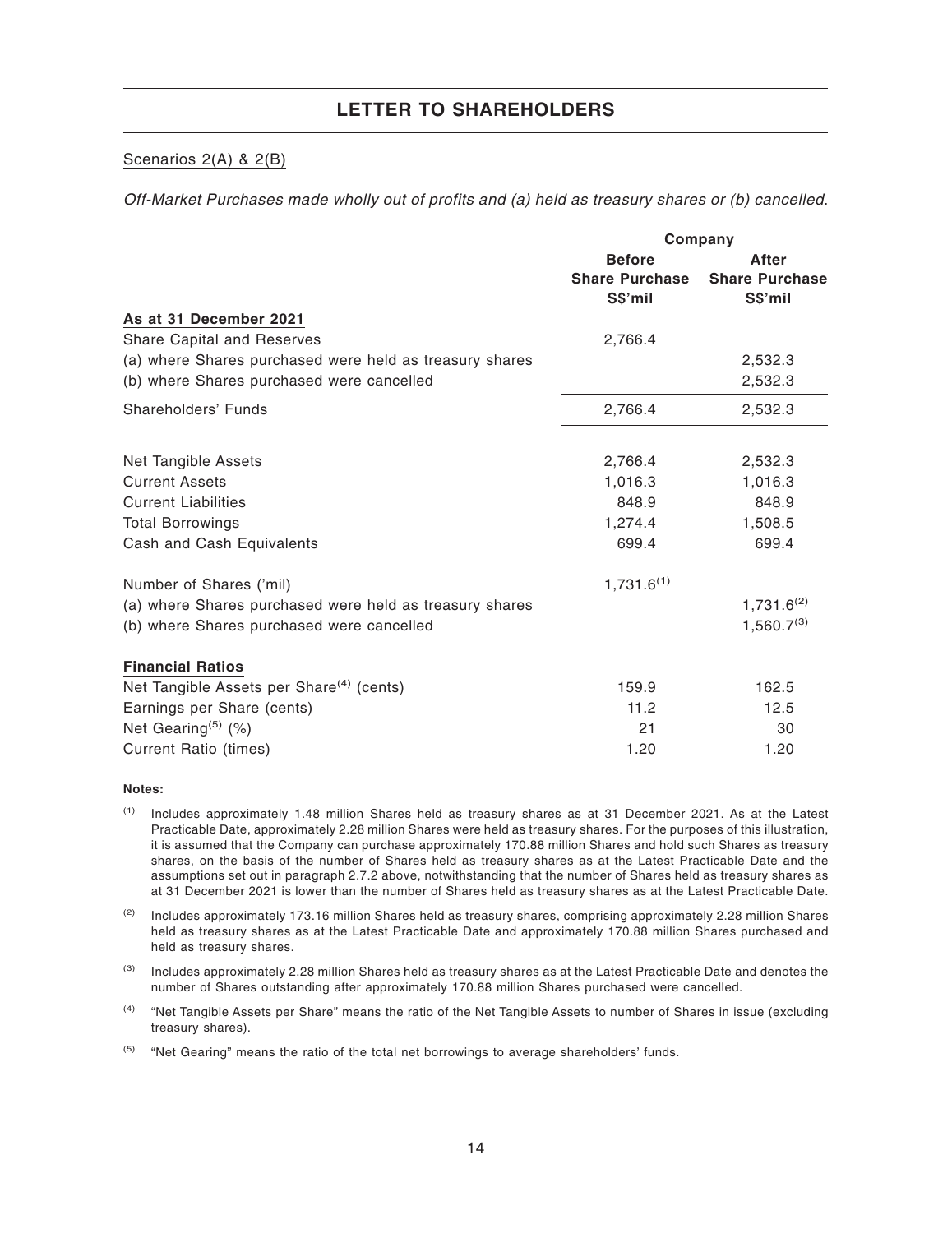### Scenarios 2(A) & 2(B)

Off-Market Purchases made wholly out of profits and (a) held as treasury shares or (b) cancelled.

|                                                         |                       | Company               |
|---------------------------------------------------------|-----------------------|-----------------------|
|                                                         | <b>Before</b>         | After                 |
|                                                         | <b>Share Purchase</b> | <b>Share Purchase</b> |
|                                                         | S\$'mil               | S\$'mil               |
| As at 31 December 2021                                  |                       |                       |
| <b>Share Capital and Reserves</b>                       | 2,766.4               |                       |
| (a) where Shares purchased were held as treasury shares |                       | 2,532.3               |
| (b) where Shares purchased were cancelled               |                       | 2,532.3               |
| Shareholders' Funds                                     | 2,766.4               | 2,532.3               |
|                                                         |                       |                       |
| <b>Net Tangible Assets</b>                              | 2,766.4               | 2,532.3               |
| <b>Current Assets</b>                                   | 1,016.3               | 1,016.3               |
| <b>Current Liabilities</b>                              | 848.9                 | 848.9                 |
| <b>Total Borrowings</b>                                 | 1,274.4               | 1,508.5               |
| Cash and Cash Equivalents                               | 699.4                 | 699.4                 |
| Number of Shares ('mil)                                 | $1,731.6^{(1)}$       |                       |
| (a) where Shares purchased were held as treasury shares |                       | $1,731.6^{(2)}$       |
| (b) where Shares purchased were cancelled               |                       | $1,560.7^{(3)}$       |
| <b>Financial Ratios</b>                                 |                       |                       |
| Net Tangible Assets per Share <sup>(4)</sup> (cents)    | 159.9                 | 162.5                 |
| Earnings per Share (cents)                              | 11.2                  | 12.5                  |
| Net Gearing <sup>(5)</sup> (%)                          | 21                    | 30                    |
| <b>Current Ratio (times)</b>                            | 1.20                  | 1.20                  |

#### **Notes:**

(1) Includes approximately 1.48 million Shares held as treasury shares as at 31 December 2021. As at the Latest Practicable Date, approximately 2.28 million Shares were held as treasury shares. For the purposes of this illustration, it is assumed that the Company can purchase approximately 170.88 million Shares and hold such Shares as treasury shares, on the basis of the number of Shares held as treasury shares as at the Latest Practicable Date and the assumptions set out in paragraph 2.7.2 above, notwithstanding that the number of Shares held as treasury shares as at 31 December 2021 is lower than the number of Shares held as treasury shares as at the Latest Practicable Date.

 $(2)$  Includes approximately 173.16 million Shares held as treasury shares, comprising approximately 2.28 million Shares held as treasury shares as at the Latest Practicable Date and approximately 170.88 million Shares purchased and held as treasury shares.

(3) Includes approximately 2.28 million Shares held as treasury shares as at the Latest Practicable Date and denotes the number of Shares outstanding after approximately 170.88 million Shares purchased were cancelled.

(4) "Net Tangible Assets per Share" means the ratio of the Net Tangible Assets to number of Shares in issue (excluding treasury shares).

 $(5)$  "Net Gearing" means the ratio of the total net borrowings to average shareholders' funds.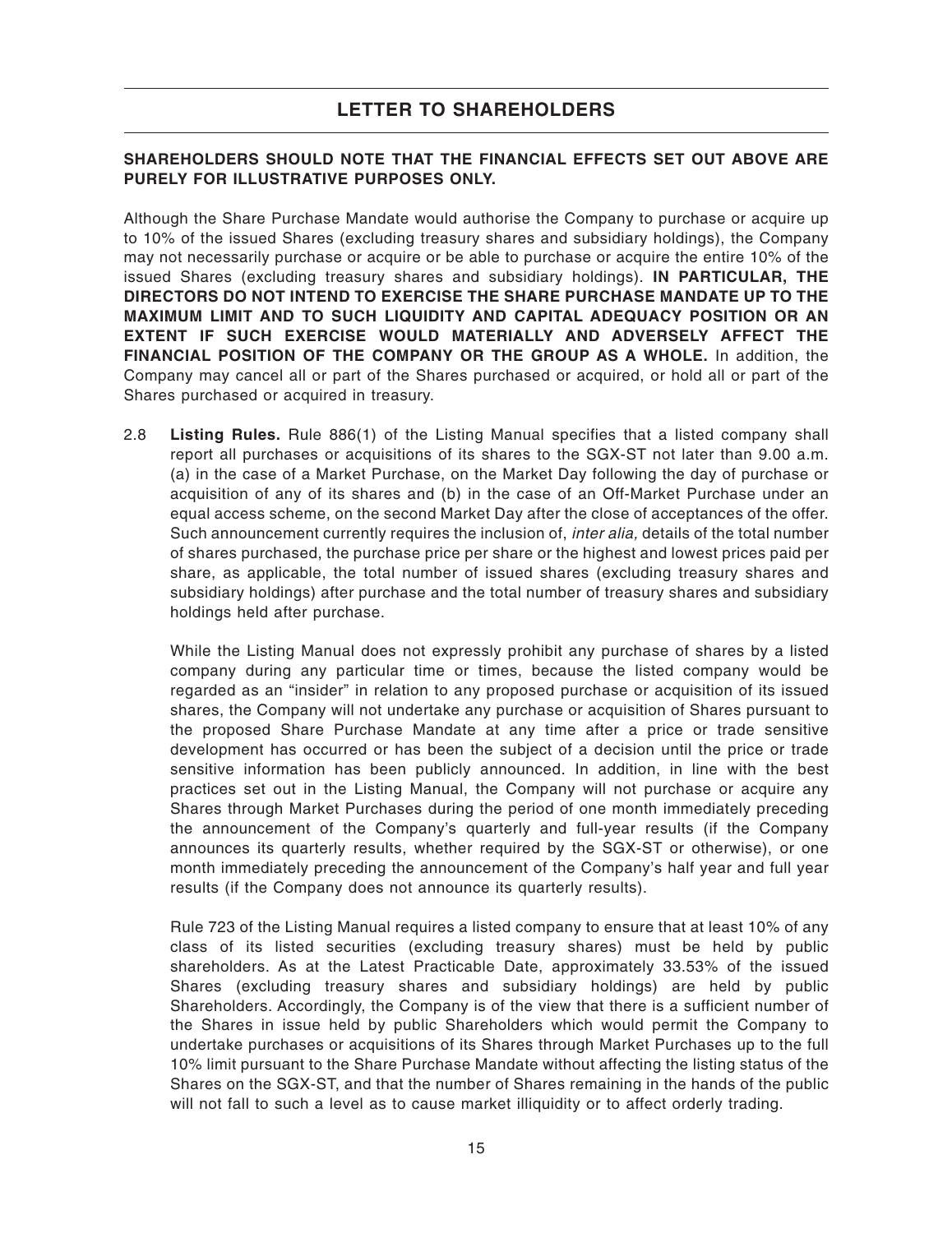### **SHAREHOLDERS SHOULD NOTE THAT THE FINANCIAL EFFECTS SET OUT ABOVE ARE PURELY FOR ILLUSTRATIVE PURPOSES ONLY.**

Although the Share Purchase Mandate would authorise the Company to purchase or acquire up to 10% of the issued Shares (excluding treasury shares and subsidiary holdings), the Company may not necessarily purchase or acquire or be able to purchase or acquire the entire 10% of the issued Shares (excluding treasury shares and subsidiary holdings). **IN PARTICULAR, THE DIRECTORS DO NOT INTEND TO EXERCISE THE SHARE PURCHASE MANDATE UP TO THE MAXIMUM LIMIT AND TO SUCH LIQUIDITY AND CAPITAL ADEQUACY POSITION OR AN EXTENT IF SUCH EXERCISE WOULD MATERIALLY AND ADVERSELY AFFECT THE FINANCIAL POSITION OF THE COMPANY OR THE GROUP AS A WHOLE.** In addition, the Company may cancel all or part of the Shares purchased or acquired, or hold all or part of the Shares purchased or acquired in treasury.

2.8 **Listing Rules.** Rule 886(1) of the Listing Manual specifies that a listed company shall report all purchases or acquisitions of its shares to the SGX-ST not later than 9.00 a.m. (a) in the case of a Market Purchase, on the Market Day following the day of purchase or acquisition of any of its shares and (b) in the case of an Off-Market Purchase under an equal access scheme, on the second Market Day after the close of acceptances of the offer. Such announcement currently requires the inclusion of, *inter alia*, details of the total number of shares purchased, the purchase price per share or the highest and lowest prices paid per share, as applicable, the total number of issued shares (excluding treasury shares and subsidiary holdings) after purchase and the total number of treasury shares and subsidiary holdings held after purchase.

While the Listing Manual does not expressly prohibit any purchase of shares by a listed company during any particular time or times, because the listed company would be regarded as an "insider" in relation to any proposed purchase or acquisition of its issued shares, the Company will not undertake any purchase or acquisition of Shares pursuant to the proposed Share Purchase Mandate at any time after a price or trade sensitive development has occurred or has been the subject of a decision until the price or trade sensitive information has been publicly announced. In addition, in line with the best practices set out in the Listing Manual, the Company will not purchase or acquire any Shares through Market Purchases during the period of one month immediately preceding the announcement of the Company's quarterly and full-year results (if the Company announces its quarterly results, whether required by the SGX-ST or otherwise), or one month immediately preceding the announcement of the Company's half year and full year results (if the Company does not announce its quarterly results).

Rule 723 of the Listing Manual requires a listed company to ensure that at least 10% of any class of its listed securities (excluding treasury shares) must be held by public shareholders. As at the Latest Practicable Date, approximately 33.53% of the issued Shares (excluding treasury shares and subsidiary holdings) are held by public Shareholders. Accordingly, the Company is of the view that there is a sufficient number of the Shares in issue held by public Shareholders which would permit the Company to undertake purchases or acquisitions of its Shares through Market Purchases up to the full 10% limit pursuant to the Share Purchase Mandate without affecting the listing status of the Shares on the SGX-ST, and that the number of Shares remaining in the hands of the public will not fall to such a level as to cause market illiquidity or to affect orderly trading.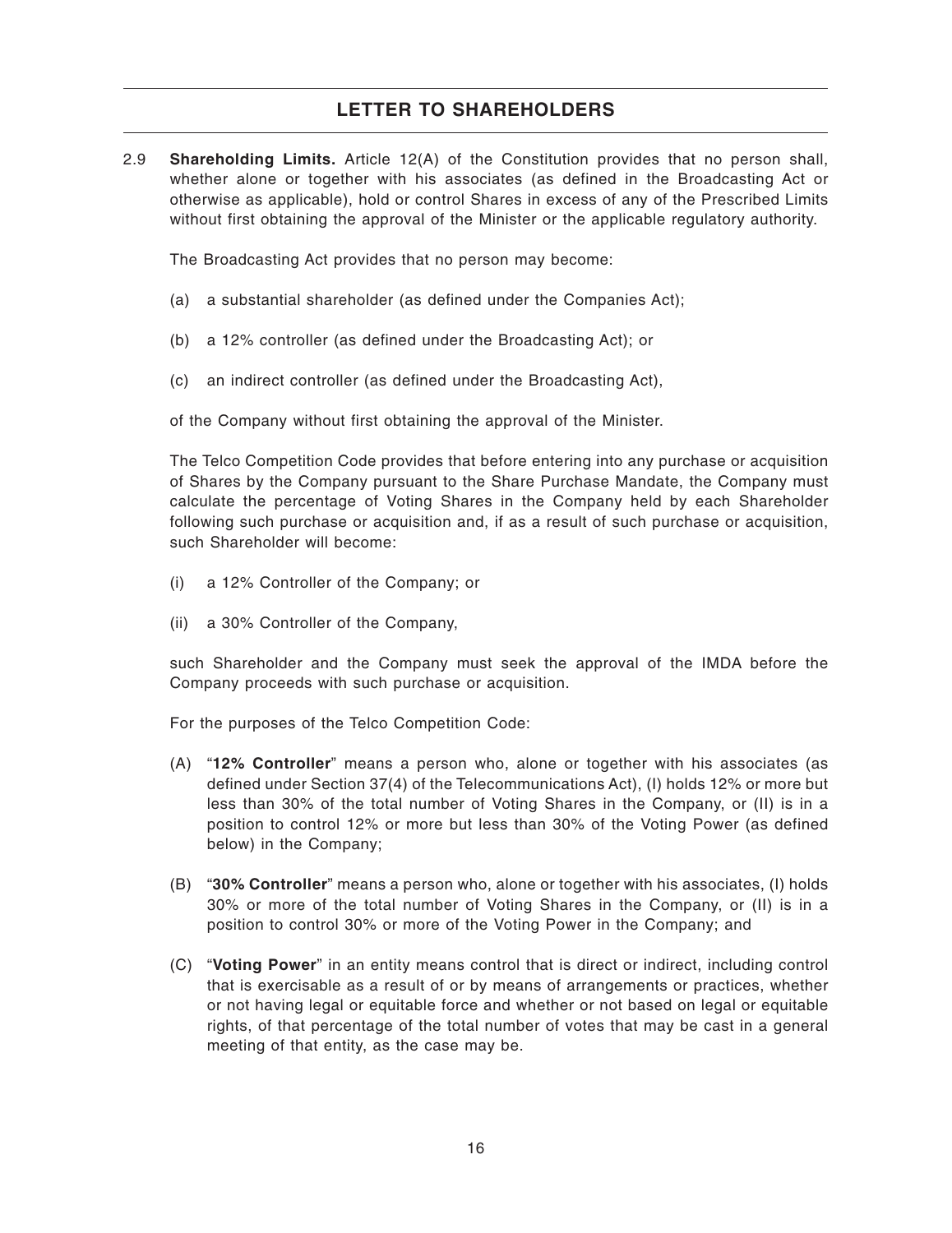2.9 **Shareholding Limits.** Article 12(A) of the Constitution provides that no person shall, whether alone or together with his associates (as defined in the Broadcasting Act or otherwise as applicable), hold or control Shares in excess of any of the Prescribed Limits without first obtaining the approval of the Minister or the applicable regulatory authority.

The Broadcasting Act provides that no person may become:

- (a) a substantial shareholder (as defined under the Companies Act);
- (b) a 12% controller (as defined under the Broadcasting Act); or
- (c) an indirect controller (as defined under the Broadcasting Act),

of the Company without first obtaining the approval of the Minister.

The Telco Competition Code provides that before entering into any purchase or acquisition of Shares by the Company pursuant to the Share Purchase Mandate, the Company must calculate the percentage of Voting Shares in the Company held by each Shareholder following such purchase or acquisition and, if as a result of such purchase or acquisition, such Shareholder will become:

- (i) a 12% Controller of the Company; or
- (ii) a 30% Controller of the Company,

such Shareholder and the Company must seek the approval of the IMDA before the Company proceeds with such purchase or acquisition.

For the purposes of the Telco Competition Code:

- (A) "**12% Controller**" means a person who, alone or together with his associates (as defined under Section 37(4) of the Telecommunications Act), (I) holds 12% or more but less than 30% of the total number of Voting Shares in the Company, or (II) is in a position to control 12% or more but less than 30% of the Voting Power (as defined below) in the Company;
- (B) "**30% Controller**" means a person who, alone or together with his associates, (I) holds 30% or more of the total number of Voting Shares in the Company, or (II) is in a position to control 30% or more of the Voting Power in the Company; and
- (C) "**Voting Power**" in an entity means control that is direct or indirect, including control that is exercisable as a result of or by means of arrangements or practices, whether or not having legal or equitable force and whether or not based on legal or equitable rights, of that percentage of the total number of votes that may be cast in a general meeting of that entity, as the case may be.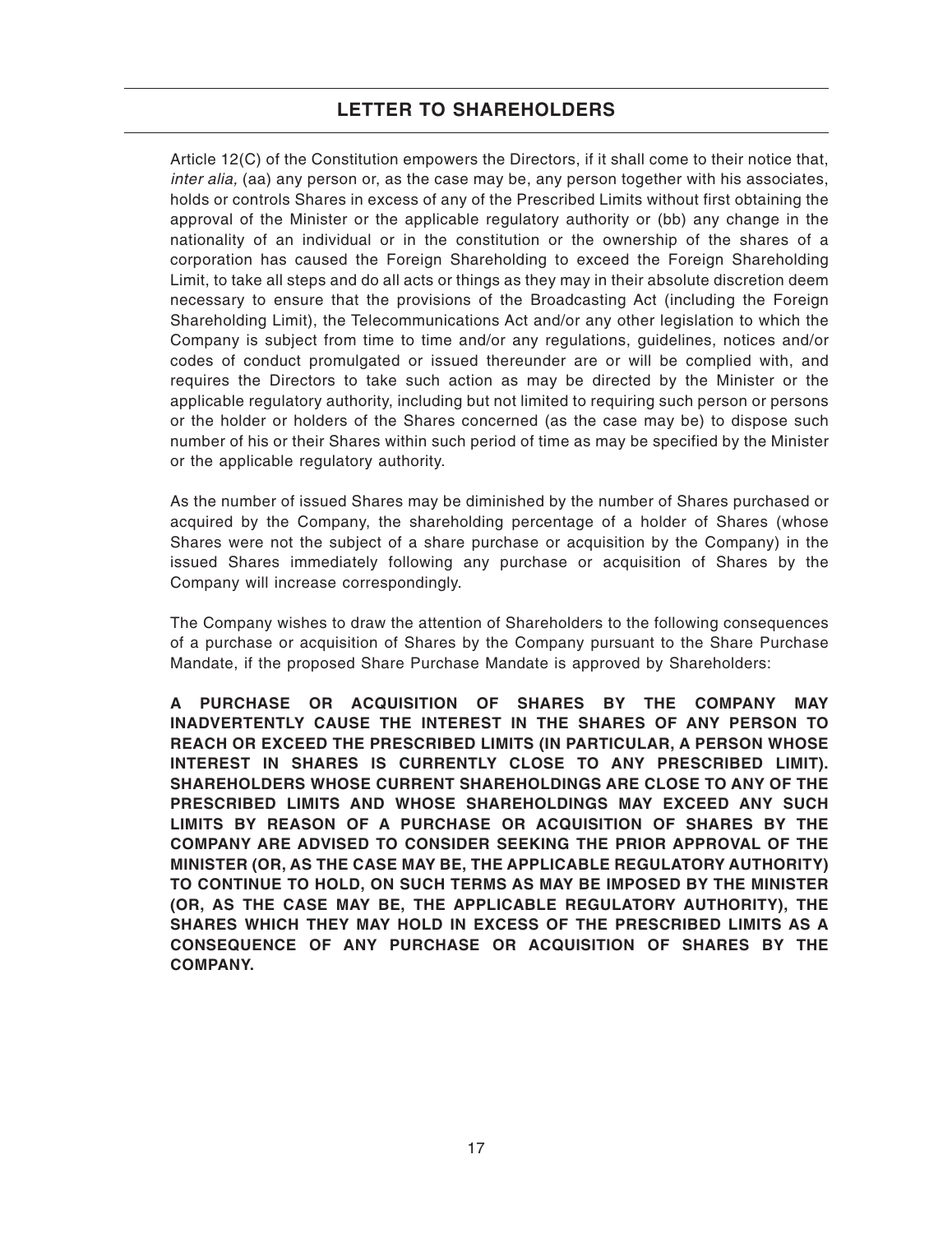Article 12(C) of the Constitution empowers the Directors, if it shall come to their notice that, inter alia, (aa) any person or, as the case may be, any person together with his associates, holds or controls Shares in excess of any of the Prescribed Limits without first obtaining the approval of the Minister or the applicable regulatory authority or (bb) any change in the nationality of an individual or in the constitution or the ownership of the shares of a corporation has caused the Foreign Shareholding to exceed the Foreign Shareholding Limit, to take all steps and do all acts or things as they may in their absolute discretion deem necessary to ensure that the provisions of the Broadcasting Act (including the Foreign Shareholding Limit), the Telecommunications Act and/or any other legislation to which the Company is subject from time to time and/or any regulations, guidelines, notices and/or codes of conduct promulgated or issued thereunder are or will be complied with, and requires the Directors to take such action as may be directed by the Minister or the applicable regulatory authority, including but not limited to requiring such person or persons or the holder or holders of the Shares concerned (as the case may be) to dispose such number of his or their Shares within such period of time as may be specified by the Minister or the applicable regulatory authority.

As the number of issued Shares may be diminished by the number of Shares purchased or acquired by the Company, the shareholding percentage of a holder of Shares (whose Shares were not the subject of a share purchase or acquisition by the Company) in the issued Shares immediately following any purchase or acquisition of Shares by the Company will increase correspondingly.

The Company wishes to draw the attention of Shareholders to the following consequences of a purchase or acquisition of Shares by the Company pursuant to the Share Purchase Mandate, if the proposed Share Purchase Mandate is approved by Shareholders:

**A PURCHASE OR ACQUISITION OF SHARES BY THE COMPANY MAY INADVERTENTLY CAUSE THE INTEREST IN THE SHARES OF ANY PERSON TO REACH OR EXCEED THE PRESCRIBED LIMITS (IN PARTICULAR, A PERSON WHOSE INTEREST IN SHARES IS CURRENTLY CLOSE TO ANY PRESCRIBED LIMIT). SHAREHOLDERS WHOSE CURRENT SHAREHOLDINGS ARE CLOSE TO ANY OF THE PRESCRIBED LIMITS AND WHOSE SHAREHOLDINGS MAY EXCEED ANY SUCH LIMITS BY REASON OF A PURCHASE OR ACQUISITION OF SHARES BY THE COMPANY ARE ADVISED TO CONSIDER SEEKING THE PRIOR APPROVAL OF THE MINISTER (OR, AS THE CASE MAY BE, THE APPLICABLE REGULATORY AUTHORITY) TO CONTINUE TO HOLD, ON SUCH TERMS AS MAY BE IMPOSED BY THE MINISTER (OR, AS THE CASE MAY BE, THE APPLICABLE REGULATORY AUTHORITY), THE SHARES WHICH THEY MAY HOLD IN EXCESS OF THE PRESCRIBED LIMITS AS A CONSEQUENCE OF ANY PURCHASE OR ACQUISITION OF SHARES BY THE COMPANY.**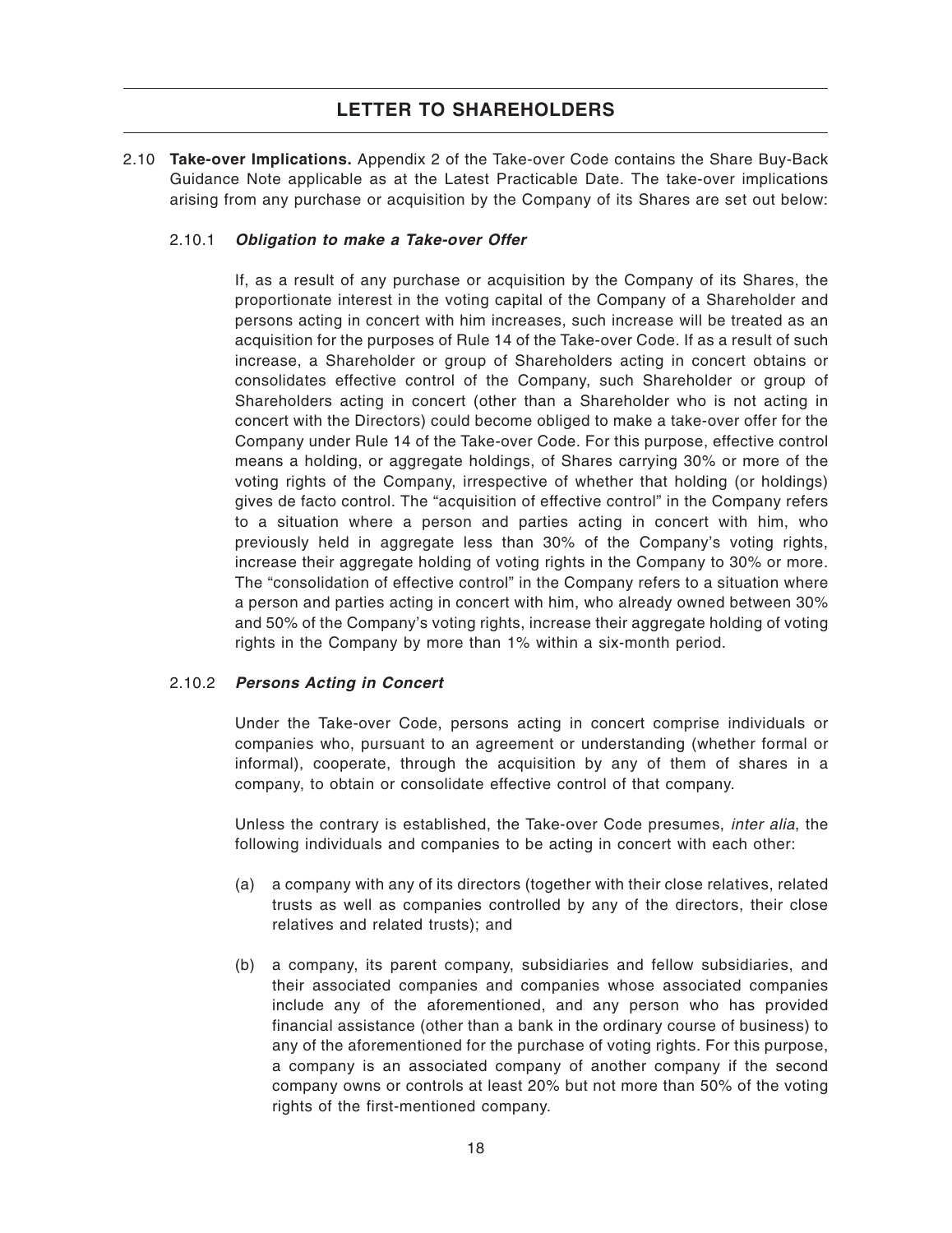2.10 **Take-over Implications.** Appendix 2 of the Take-over Code contains the Share Buy-Back Guidance Note applicable as at the Latest Practicable Date. The take-over implications arising from any purchase or acquisition by the Company of its Shares are set out below:

### 2.10.1 **Obligation to make a Take-over Offer**

If, as a result of any purchase or acquisition by the Company of its Shares, the proportionate interest in the voting capital of the Company of a Shareholder and persons acting in concert with him increases, such increase will be treated as an acquisition for the purposes of Rule 14 of the Take-over Code. If as a result of such increase, a Shareholder or group of Shareholders acting in concert obtains or consolidates effective control of the Company, such Shareholder or group of Shareholders acting in concert (other than a Shareholder who is not acting in concert with the Directors) could become obliged to make a take-over offer for the Company under Rule 14 of the Take-over Code. For this purpose, effective control means a holding, or aggregate holdings, of Shares carrying 30% or more of the voting rights of the Company, irrespective of whether that holding (or holdings) gives de facto control. The "acquisition of effective control" in the Company refers to a situation where a person and parties acting in concert with him, who previously held in aggregate less than 30% of the Company's voting rights, increase their aggregate holding of voting rights in the Company to 30% or more. The "consolidation of effective control" in the Company refers to a situation where a person and parties acting in concert with him, who already owned between 30% and 50% of the Company's voting rights, increase their aggregate holding of voting rights in the Company by more than 1% within a six-month period.

### 2.10.2 **Persons Acting in Concert**

Under the Take-over Code, persons acting in concert comprise individuals or companies who, pursuant to an agreement or understanding (whether formal or informal), cooperate, through the acquisition by any of them of shares in a company, to obtain or consolidate effective control of that company.

Unless the contrary is established, the Take-over Code presumes, inter alia, the following individuals and companies to be acting in concert with each other:

- (a) a company with any of its directors (together with their close relatives, related trusts as well as companies controlled by any of the directors, their close relatives and related trusts); and
- (b) a company, its parent company, subsidiaries and fellow subsidiaries, and their associated companies and companies whose associated companies include any of the aforementioned, and any person who has provided financial assistance (other than a bank in the ordinary course of business) to any of the aforementioned for the purchase of voting rights. For this purpose, a company is an associated company of another company if the second company owns or controls at least 20% but not more than 50% of the voting rights of the first-mentioned company.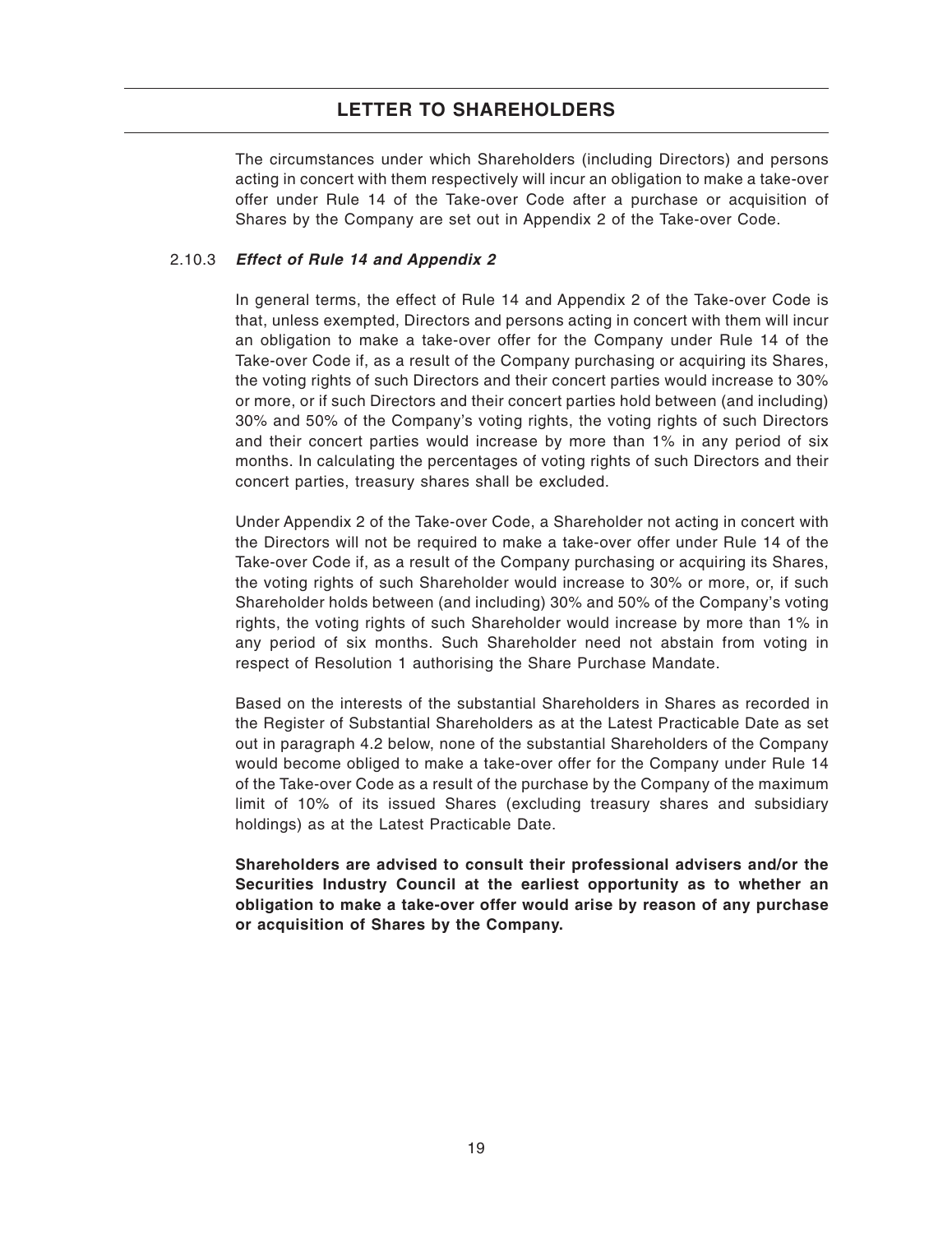The circumstances under which Shareholders (including Directors) and persons acting in concert with them respectively will incur an obligation to make a take-over offer under Rule 14 of the Take-over Code after a purchase or acquisition of Shares by the Company are set out in Appendix 2 of the Take-over Code.

### 2.10.3 **Effect of Rule 14 and Appendix 2**

In general terms, the effect of Rule 14 and Appendix 2 of the Take-over Code is that, unless exempted, Directors and persons acting in concert with them will incur an obligation to make a take-over offer for the Company under Rule 14 of the Take-over Code if, as a result of the Company purchasing or acquiring its Shares, the voting rights of such Directors and their concert parties would increase to 30% or more, or if such Directors and their concert parties hold between (and including) 30% and 50% of the Company's voting rights, the voting rights of such Directors and their concert parties would increase by more than 1% in any period of six months. In calculating the percentages of voting rights of such Directors and their concert parties, treasury shares shall be excluded.

Under Appendix 2 of the Take-over Code, a Shareholder not acting in concert with the Directors will not be required to make a take-over offer under Rule 14 of the Take-over Code if, as a result of the Company purchasing or acquiring its Shares, the voting rights of such Shareholder would increase to 30% or more, or, if such Shareholder holds between (and including) 30% and 50% of the Company's voting rights, the voting rights of such Shareholder would increase by more than 1% in any period of six months. Such Shareholder need not abstain from voting in respect of Resolution 1 authorising the Share Purchase Mandate.

Based on the interests of the substantial Shareholders in Shares as recorded in the Register of Substantial Shareholders as at the Latest Practicable Date as set out in paragraph 4.2 below, none of the substantial Shareholders of the Company would become obliged to make a take-over offer for the Company under Rule 14 of the Take-over Code as a result of the purchase by the Company of the maximum limit of 10% of its issued Shares (excluding treasury shares and subsidiary holdings) as at the Latest Practicable Date.

**Shareholders are advised to consult their professional advisers and/or the Securities Industry Council at the earliest opportunity as to whether an obligation to make a take-over offer would arise by reason of any purchase or acquisition of Shares by the Company.**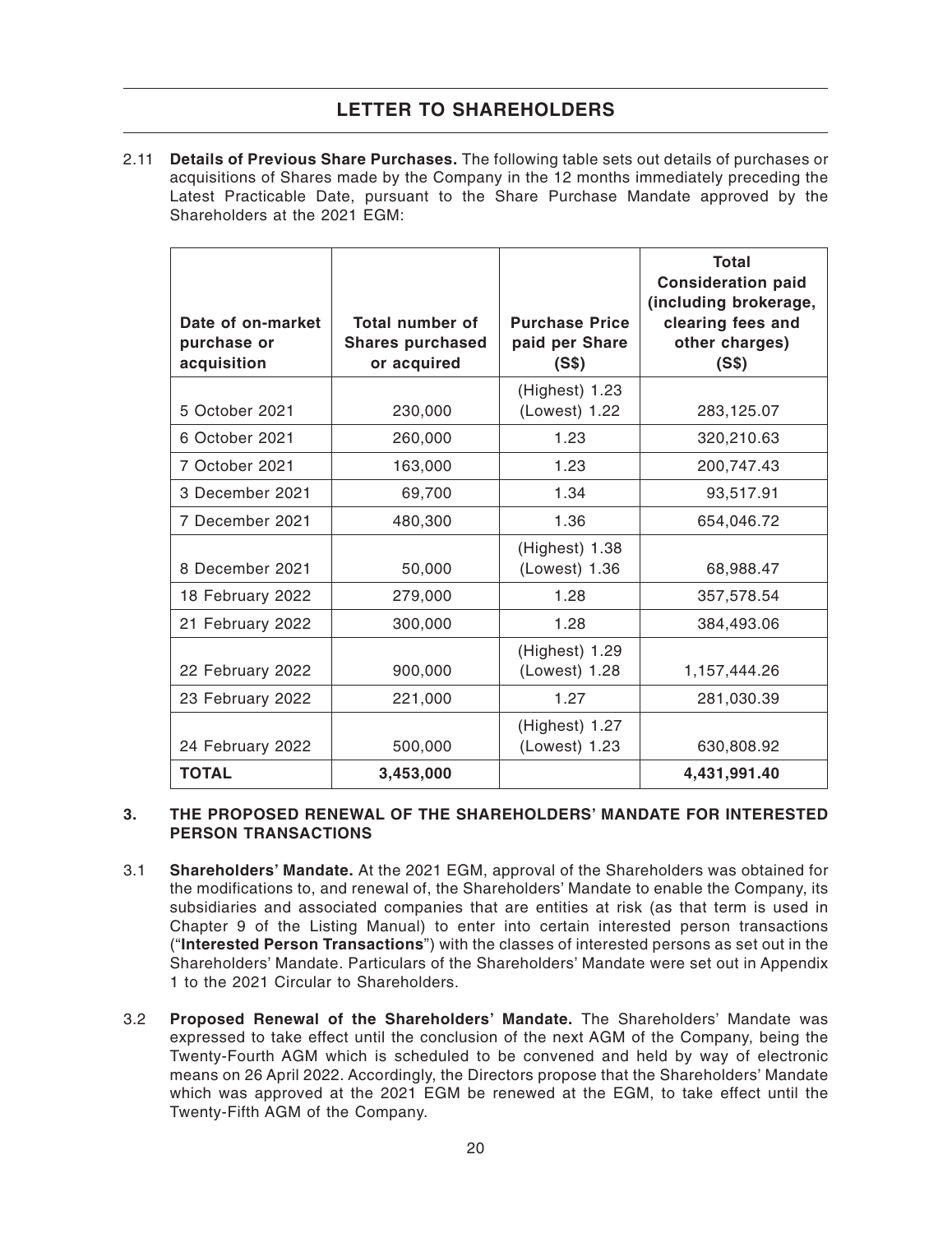2.11 **Details of Previous Share Purchases.** The following table sets out details of purchases or acquisitions of Shares made by the Company in the 12 months immediately preceding the Latest Practicable Date, pursuant to the Share Purchase Mandate approved by the Shareholders at the 2021 EGM:

| Date of on-market<br>purchase or<br>acquisition | Total number of<br><b>Shares purchased</b><br>or acquired | <b>Purchase Price</b><br>paid per Share<br>(S\$) | Total<br><b>Consideration paid</b><br>(including brokerage,<br>clearing fees and<br>other charges)<br>(S\$) |
|-------------------------------------------------|-----------------------------------------------------------|--------------------------------------------------|-------------------------------------------------------------------------------------------------------------|
| 5 October 2021                                  | 230,000                                                   | (Highest) 1.23<br>(Lowest) 1.22                  | 283,125.07                                                                                                  |
| 6 October 2021                                  | 260,000                                                   | 1.23                                             | 320,210.63                                                                                                  |
| 7 October 2021                                  | 163,000                                                   | 1.23                                             | 200,747.43                                                                                                  |
| 3 December 2021                                 | 69,700                                                    | 1.34                                             | 93,517.91                                                                                                   |
| 7 December 2021                                 | 480,300                                                   | 1.36                                             | 654,046.72                                                                                                  |
| 8 December 2021                                 | 50,000                                                    | (Highest) 1.38<br>(Lowest) 1.36                  | 68,988.47                                                                                                   |
| 18 February 2022                                | 279,000                                                   | 1.28                                             | 357,578.54                                                                                                  |
| 21 February 2022                                | 300,000                                                   | 1.28                                             | 384,493.06                                                                                                  |
| 22 February 2022                                | 900,000                                                   | (Highest) 1.29<br>(Lowest) 1.28                  | 1,157,444.26                                                                                                |
| 23 February 2022                                | 221,000                                                   | 1.27                                             | 281,030.39                                                                                                  |
| 24 February 2022                                | 500,000                                                   | (Highest) 1.27<br>(Lowest) 1.23                  | 630,808.92                                                                                                  |
| <b>TOTAL</b>                                    | 3,453,000                                                 |                                                  | 4,431,991.40                                                                                                |

### **3. THE PROPOSED RENEWAL OF THE SHAREHOLDERS' MANDATE FOR INTERESTED PERSON TRANSACTIONS**

- 3.1 **Shareholders' Mandate.** At the 2021 EGM, approval of the Shareholders was obtained for the modifications to, and renewal of, the Shareholders' Mandate to enable the Company, its subsidiaries and associated companies that are entities at risk (as that term is used in Chapter 9 of the Listing Manual) to enter into certain interested person transactions ("**Interested Person Transactions**") with the classes of interested persons as set out in the Shareholders' Mandate. Particulars of the Shareholders' Mandate were set out in Appendix 1 to the 2021 Circular to Shareholders.
- 3.2 **Proposed Renewal of the Shareholders' Mandate.** The Shareholders' Mandate was expressed to take effect until the conclusion of the next AGM of the Company, being the Twenty-Fourth AGM which is scheduled to be convened and held by way of electronic means on 26 April 2022. Accordingly, the Directors propose that the Shareholders' Mandate which was approved at the 2021 EGM be renewed at the EGM, to take effect until the Twenty-Fifth AGM of the Company.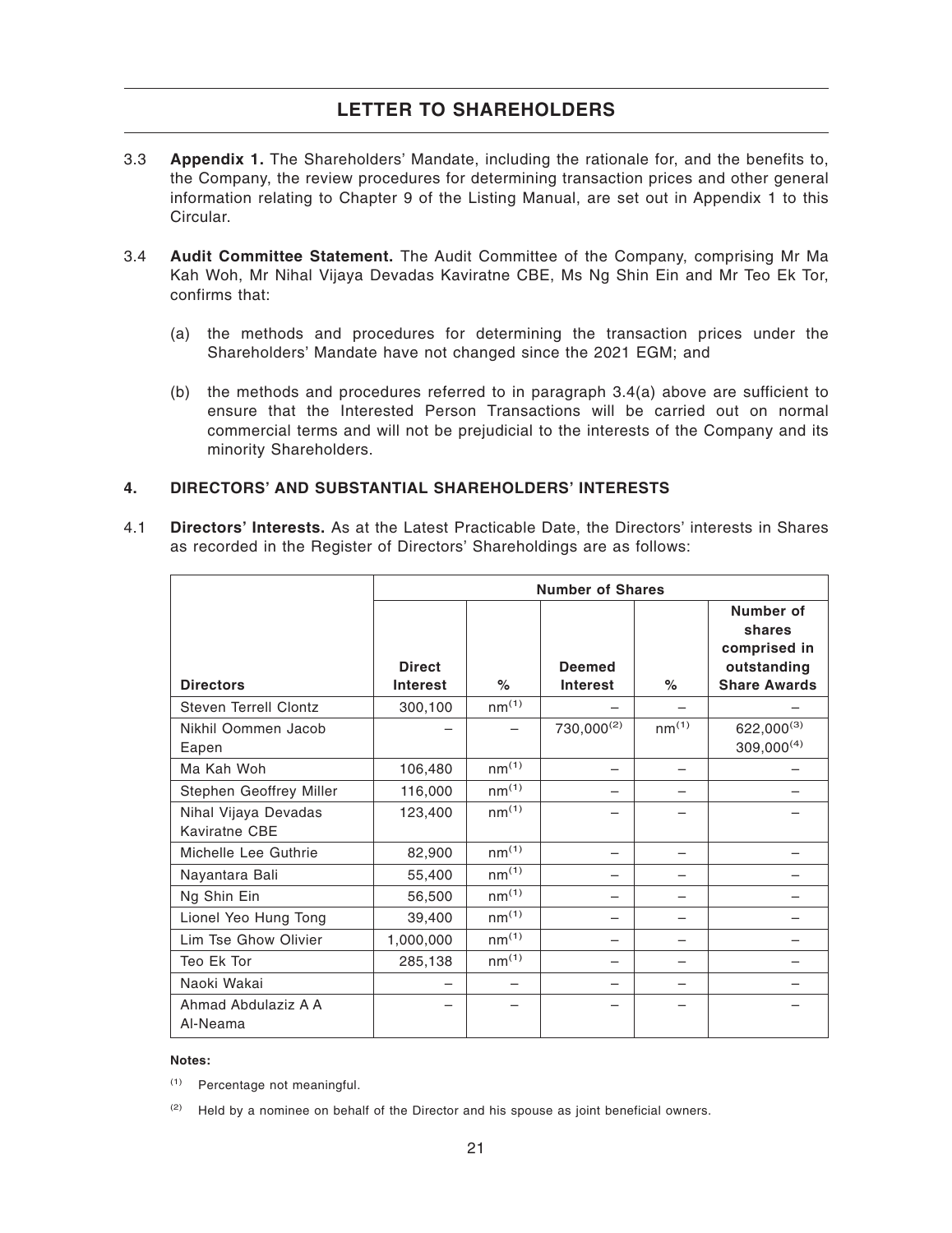- 3.3 **Appendix 1.** The Shareholders' Mandate, including the rationale for, and the benefits to, the Company, the review procedures for determining transaction prices and other general information relating to Chapter 9 of the Listing Manual, are set out in Appendix 1 to this Circular.
- 3.4 **Audit Committee Statement.** The Audit Committee of the Company, comprising Mr Ma Kah Woh, Mr Nihal Vijaya Devadas Kaviratne CBE, Ms Ng Shin Ein and Mr Teo Ek Tor, confirms that:
	- (a) the methods and procedures for determining the transaction prices under the Shareholders' Mandate have not changed since the 2021 EGM; and
	- (b) the methods and procedures referred to in paragraph 3.4(a) above are sufficient to ensure that the Interested Person Transactions will be carried out on normal commercial terms and will not be prejudicial to the interests of the Company and its minority Shareholders.

### **4. DIRECTORS' AND SUBSTANTIAL SHAREHOLDERS' INTERESTS**

4.1 **Directors' Interests.** As at the Latest Practicable Date, the Directors' interests in Shares as recorded in the Register of Directors' Shareholdings are as follows:

|                                       |                                  |                   | <b>Number of Shares</b>          |                   |                                                                           |
|---------------------------------------|----------------------------------|-------------------|----------------------------------|-------------------|---------------------------------------------------------------------------|
| <b>Directors</b>                      | <b>Direct</b><br><b>Interest</b> | $\%$              | <b>Deemed</b><br><b>Interest</b> | $\%$              | Number of<br>shares<br>comprised in<br>outstanding<br><b>Share Awards</b> |
| Steven Terrell Clontz                 | 300,100                          | nm <sup>(1)</sup> |                                  |                   |                                                                           |
| Nikhil Oommen Jacob<br>Eapen          |                                  |                   | $730,000^{(2)}$                  | nm <sup>(1)</sup> | $622,000^{(3)}$<br>$309,000^{(4)}$                                        |
| Ma Kah Woh                            | 106,480                          | nm <sup>(1)</sup> |                                  |                   |                                                                           |
| Stephen Geoffrey Miller               | 116,000                          | nm <sup>(1)</sup> |                                  |                   |                                                                           |
| Nihal Vijaya Devadas<br>Kaviratne CBE | 123,400                          | nm <sup>(1)</sup> |                                  |                   |                                                                           |
| Michelle Lee Guthrie                  | 82,900                           | nm <sup>(1)</sup> |                                  |                   |                                                                           |
| Nayantara Bali                        | 55,400                           | nm <sup>(1)</sup> |                                  |                   |                                                                           |
| Ng Shin Ein                           | 56,500                           | nm <sup>(1)</sup> |                                  |                   |                                                                           |
| Lionel Yeo Hung Tong                  | 39,400                           | nm <sup>(1)</sup> |                                  |                   |                                                                           |
| Lim Tse Ghow Olivier                  | 1,000,000                        | nm <sup>(1)</sup> |                                  |                   |                                                                           |
| Teo Ek Tor                            | 285,138                          | nm <sup>(1)</sup> |                                  |                   |                                                                           |
| Naoki Wakai                           |                                  |                   |                                  |                   |                                                                           |
| Ahmad Abdulaziz A A<br>Al-Neama       |                                  |                   |                                  |                   |                                                                           |

#### **Notes:**

(1) Percentage not meaningful.

 $(2)$  Held by a nominee on behalf of the Director and his spouse as joint beneficial owners.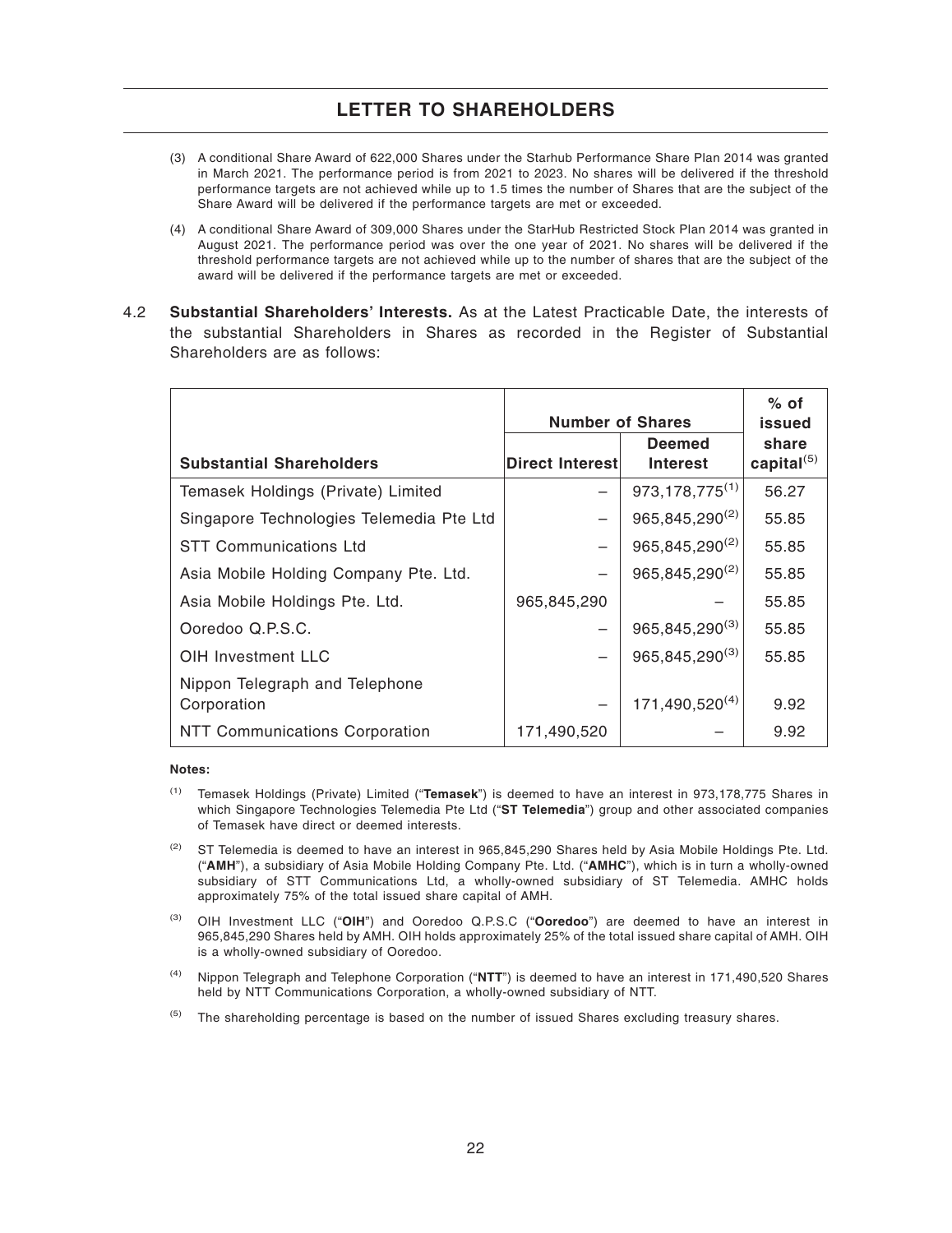- (3) A conditional Share Award of 622,000 Shares under the Starhub Performance Share Plan 2014 was granted in March 2021. The performance period is from 2021 to 2023. No shares will be delivered if the threshold performance targets are not achieved while up to 1.5 times the number of Shares that are the subject of the Share Award will be delivered if the performance targets are met or exceeded.
- (4) A conditional Share Award of 309,000 Shares under the StarHub Restricted Stock Plan 2014 was granted in August 2021. The performance period was over the one year of 2021. No shares will be delivered if the threshold performance targets are not achieved while up to the number of shares that are the subject of the award will be delivered if the performance targets are met or exceeded.
- 4.2 **Substantial Shareholders' Interests.** As at the Latest Practicable Date, the interests of the substantial Shareholders in Shares as recorded in the Register of Substantial Shareholders are as follows:

|                                          | <b>Number of Shares</b> |                                  | $%$ of<br>issued       |
|------------------------------------------|-------------------------|----------------------------------|------------------------|
| <b>Substantial Shareholders</b>          | Direct Interest         | <b>Deemed</b><br><b>Interest</b> | share<br>capital $(5)$ |
| Temasek Holdings (Private) Limited       |                         | 973, 178, 775 <sup>(1)</sup>     | 56.27                  |
| Singapore Technologies Telemedia Pte Ltd |                         | $965,845,290^{(2)}$              | 55.85                  |
| <b>STT Communications Ltd</b>            |                         | $965,845,290^{(2)}$              | 55.85                  |
| Asia Mobile Holding Company Pte. Ltd.    |                         | 965,845,290(2)                   | 55.85                  |
| Asia Mobile Holdings Pte. Ltd.           | 965,845,290             |                                  | 55.85                  |
| Ooredoo Q.P.S.C.                         |                         | 965,845,290 <sup>(3)</sup>       | 55.85                  |
| <b>OIH Investment LLC</b>                |                         | 965,845,290(3)                   | 55.85                  |
| Nippon Telegraph and Telephone           |                         |                                  |                        |
| Corporation                              |                         | 171,490,520(4)                   | 9.92                   |
| <b>NTT Communications Corporation</b>    | 171,490,520             |                                  | 9.92                   |

#### **Notes:**

- (1) Temasek Holdings (Private) Limited ("**Temasek**") is deemed to have an interest in 973,178,775 Shares in which Singapore Technologies Telemedia Pte Ltd ("**ST Telemedia**") group and other associated companies of Temasek have direct or deemed interests.
- <sup>(2)</sup> ST Telemedia is deemed to have an interest in 965,845,290 Shares held by Asia Mobile Holdings Pte. Ltd. ("**AMH**"), a subsidiary of Asia Mobile Holding Company Pte. Ltd. ("**AMHC**"), which is in turn a wholly-owned subsidiary of STT Communications Ltd, a wholly-owned subsidiary of ST Telemedia. AMHC holds approximately 75% of the total issued share capital of AMH.
- (3) OIH Investment LLC ("**OIH**") and Ooredoo Q.P.S.C ("**Ooredoo**") are deemed to have an interest in 965,845,290 Shares held by AMH. OIH holds approximately 25% of the total issued share capital of AMH. OIH is a wholly-owned subsidiary of Ooredoo.
- (4) Nippon Telegraph and Telephone Corporation ("**NTT**") is deemed to have an interest in 171,490,520 Shares held by NTT Communications Corporation, a wholly-owned subsidiary of NTT.
- <sup>(5)</sup> The shareholding percentage is based on the number of issued Shares excluding treasury shares.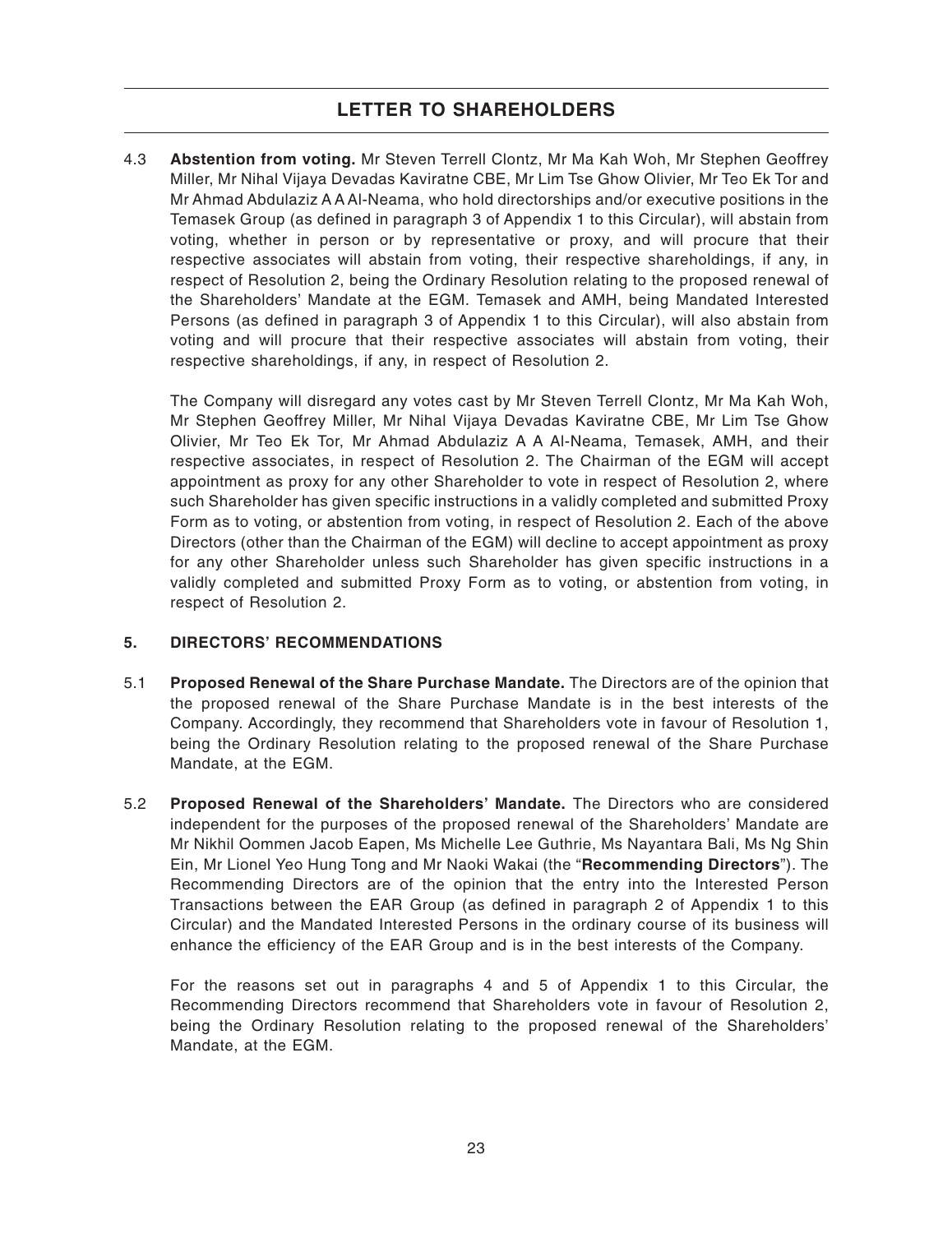4.3 **Abstention from voting.** Mr Steven Terrell Clontz, Mr Ma Kah Woh, Mr Stephen Geoffrey Miller, Mr Nihal Vijaya Devadas Kaviratne CBE, Mr Lim Tse Ghow Olivier, Mr Teo Ek Tor and Mr Ahmad Abdulaziz A A Al-Neama, who hold directorships and/or executive positions in the Temasek Group (as defined in paragraph 3 of Appendix 1 to this Circular), will abstain from voting, whether in person or by representative or proxy, and will procure that their respective associates will abstain from voting, their respective shareholdings, if any, in respect of Resolution 2, being the Ordinary Resolution relating to the proposed renewal of the Shareholders' Mandate at the EGM. Temasek and AMH, being Mandated Interested Persons (as defined in paragraph 3 of Appendix 1 to this Circular), will also abstain from voting and will procure that their respective associates will abstain from voting, their respective shareholdings, if any, in respect of Resolution 2.

The Company will disregard any votes cast by Mr Steven Terrell Clontz, Mr Ma Kah Woh, Mr Stephen Geoffrey Miller, Mr Nihal Vijaya Devadas Kaviratne CBE, Mr Lim Tse Ghow Olivier, Mr Teo Ek Tor, Mr Ahmad Abdulaziz A A Al-Neama, Temasek, AMH, and their respective associates, in respect of Resolution 2. The Chairman of the EGM will accept appointment as proxy for any other Shareholder to vote in respect of Resolution 2, where such Shareholder has given specific instructions in a validly completed and submitted Proxy Form as to voting, or abstention from voting, in respect of Resolution 2. Each of the above Directors (other than the Chairman of the EGM) will decline to accept appointment as proxy for any other Shareholder unless such Shareholder has given specific instructions in a validly completed and submitted Proxy Form as to voting, or abstention from voting, in respect of Resolution 2.

### **5. DIRECTORS' RECOMMENDATIONS**

- 5.1 **Proposed Renewal of the Share Purchase Mandate.** The Directors are of the opinion that the proposed renewal of the Share Purchase Mandate is in the best interests of the Company. Accordingly, they recommend that Shareholders vote in favour of Resolution 1, being the Ordinary Resolution relating to the proposed renewal of the Share Purchase Mandate, at the EGM.
- 5.2 **Proposed Renewal of the Shareholders' Mandate.** The Directors who are considered independent for the purposes of the proposed renewal of the Shareholders' Mandate are Mr Nikhil Oommen Jacob Eapen, Ms Michelle Lee Guthrie, Ms Nayantara Bali, Ms Ng Shin Ein, Mr Lionel Yeo Hung Tong and Mr Naoki Wakai (the "**Recommending Directors**"). The Recommending Directors are of the opinion that the entry into the Interested Person Transactions between the EAR Group (as defined in paragraph 2 of Appendix 1 to this Circular) and the Mandated Interested Persons in the ordinary course of its business will enhance the efficiency of the EAR Group and is in the best interests of the Company.

For the reasons set out in paragraphs 4 and 5 of Appendix 1 to this Circular, the Recommending Directors recommend that Shareholders vote in favour of Resolution 2, being the Ordinary Resolution relating to the proposed renewal of the Shareholders' Mandate, at the EGM.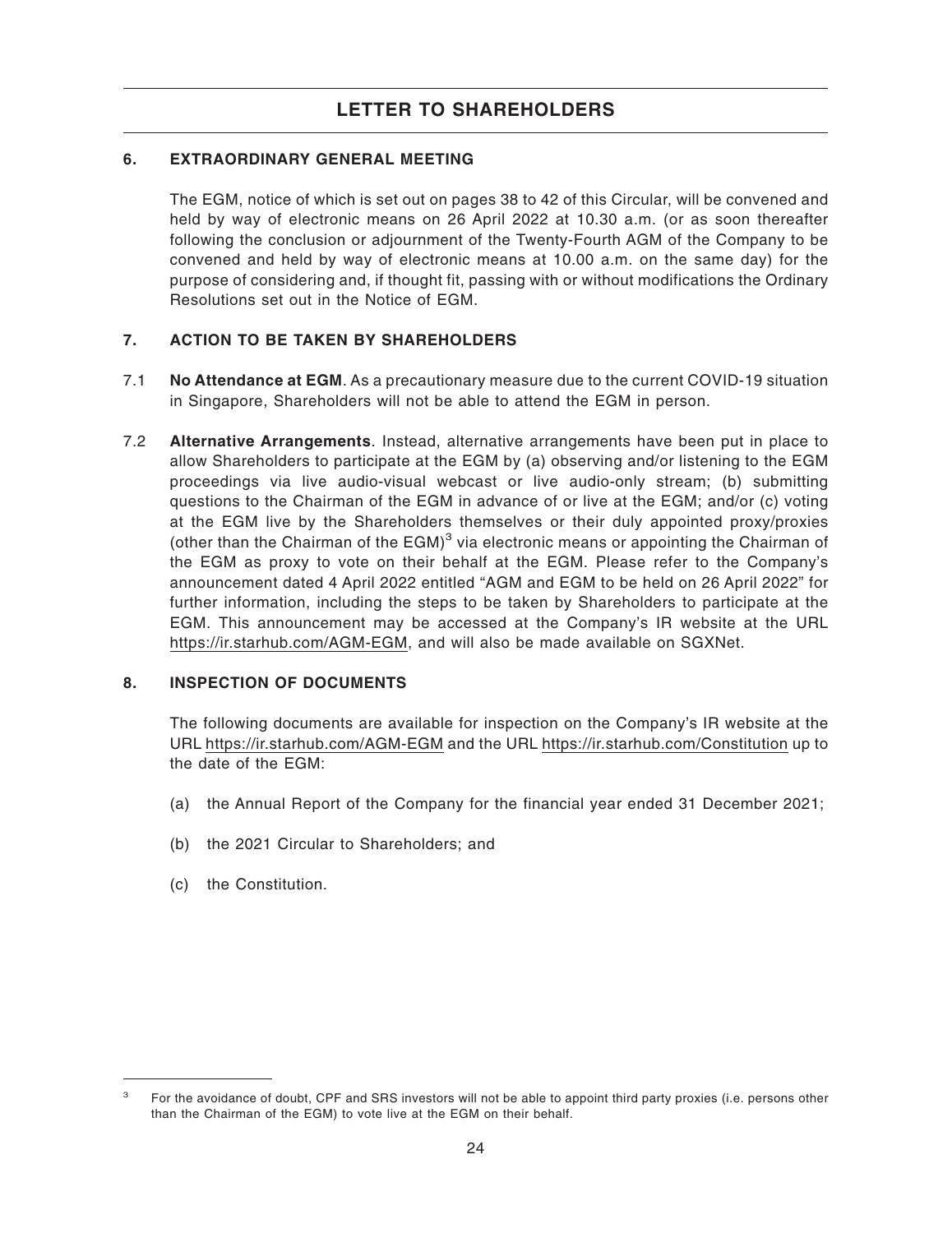### **6. EXTRAORDINARY GENERAL MEETING**

The EGM, notice of which is set out on pages 38 to 42 of this Circular, will be convened and held by way of electronic means on 26 April 2022 at 10.30 a.m. (or as soon thereafter following the conclusion or adjournment of the Twenty-Fourth AGM of the Company to be convened and held by way of electronic means at 10.00 a.m. on the same day) for the purpose of considering and, if thought fit, passing with or without modifications the Ordinary Resolutions set out in the Notice of EGM.

### **7. ACTION TO BE TAKEN BY SHAREHOLDERS**

- 7.1 **No Attendance at EGM**. As a precautionary measure due to the current COVID-19 situation in Singapore, Shareholders will not be able to attend the EGM in person.
- 7.2 **Alternative Arrangements**. Instead, alternative arrangements have been put in place to allow Shareholders to participate at the EGM by (a) observing and/or listening to the EGM proceedings via live audio-visual webcast or live audio-only stream; (b) submitting questions to the Chairman of the EGM in advance of or live at the EGM; and/or (c) voting at the EGM live by the Shareholders themselves or their duly appointed proxy/proxies (other than the Chairman of the EGM) $3$  via electronic means or appointing the Chairman of the EGM as proxy to vote on their behalf at the EGM. Please refer to the Company's announcement dated 4 April 2022 entitled "AGM and EGM to be held on 26 April 2022" for further information, including the steps to be taken by Shareholders to participate at the EGM. This announcement may be accessed at the Company's IR website at the URL https://ir.starhub.com/AGM-EGM, and will also be made available on SGXNet.

### **8. INSPECTION OF DOCUMENTS**

The following documents are available for inspection on the Company's IR website at the URL https://ir.starhub.com/AGM-EGM and the URL https://ir.starhub.com/Constitution up to the date of the EGM:

- (a) the Annual Report of the Company for the financial year ended 31 December 2021;
- (b) the 2021 Circular to Shareholders; and
- (c) the Constitution.

<sup>&</sup>lt;sup>3</sup> For the avoidance of doubt, CPF and SRS investors will not be able to appoint third party proxies (i.e. persons other than the Chairman of the EGM) to vote live at the EGM on their behalf.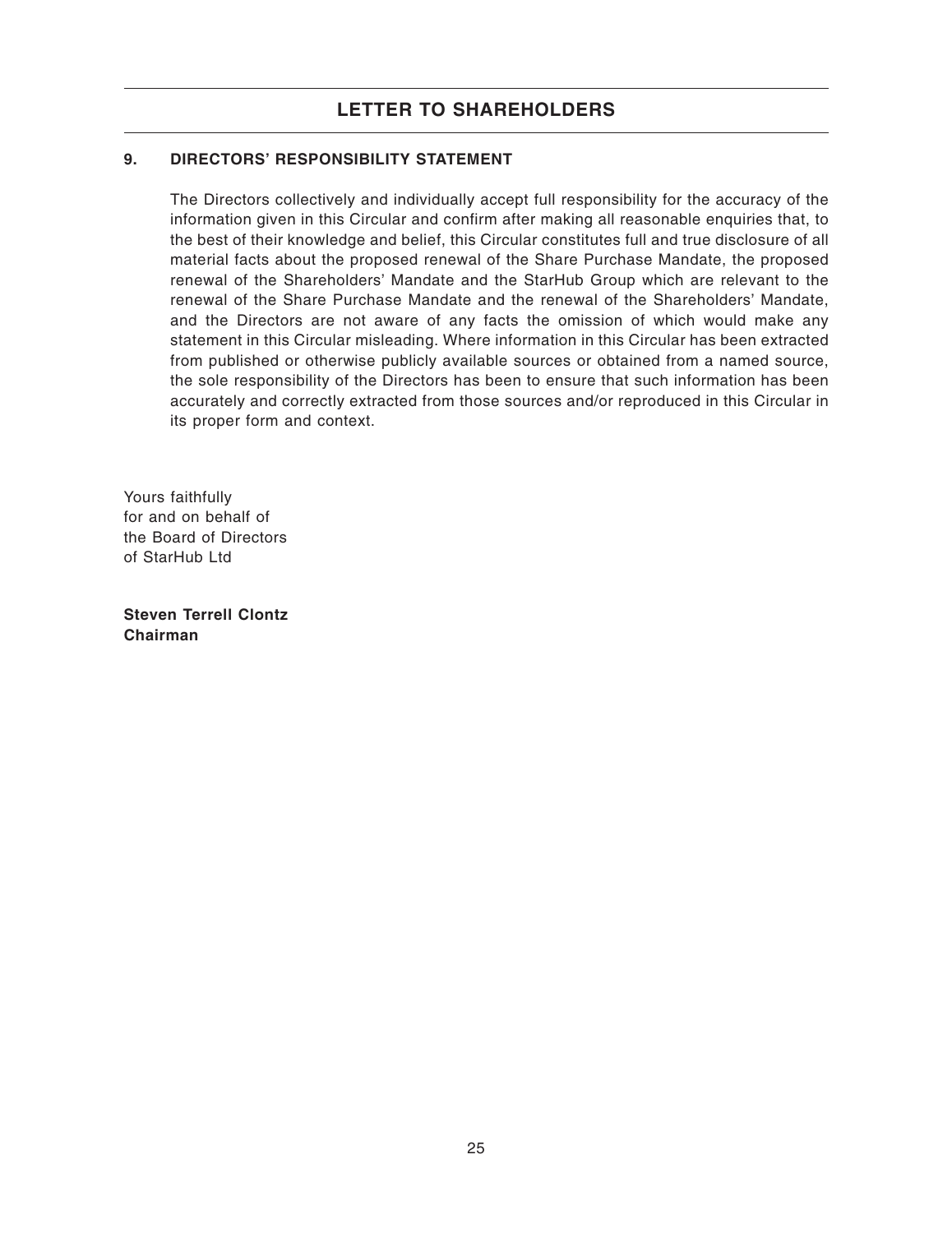### **9. DIRECTORS' RESPONSIBILITY STATEMENT**

The Directors collectively and individually accept full responsibility for the accuracy of the information given in this Circular and confirm after making all reasonable enquiries that, to the best of their knowledge and belief, this Circular constitutes full and true disclosure of all material facts about the proposed renewal of the Share Purchase Mandate, the proposed renewal of the Shareholders' Mandate and the StarHub Group which are relevant to the renewal of the Share Purchase Mandate and the renewal of the Shareholders' Mandate, and the Directors are not aware of any facts the omission of which would make any statement in this Circular misleading. Where information in this Circular has been extracted from published or otherwise publicly available sources or obtained from a named source, the sole responsibility of the Directors has been to ensure that such information has been accurately and correctly extracted from those sources and/or reproduced in this Circular in its proper form and context.

Yours faithfully for and on behalf of the Board of Directors of StarHub Ltd

**Steven Terrell Clontz Chairman**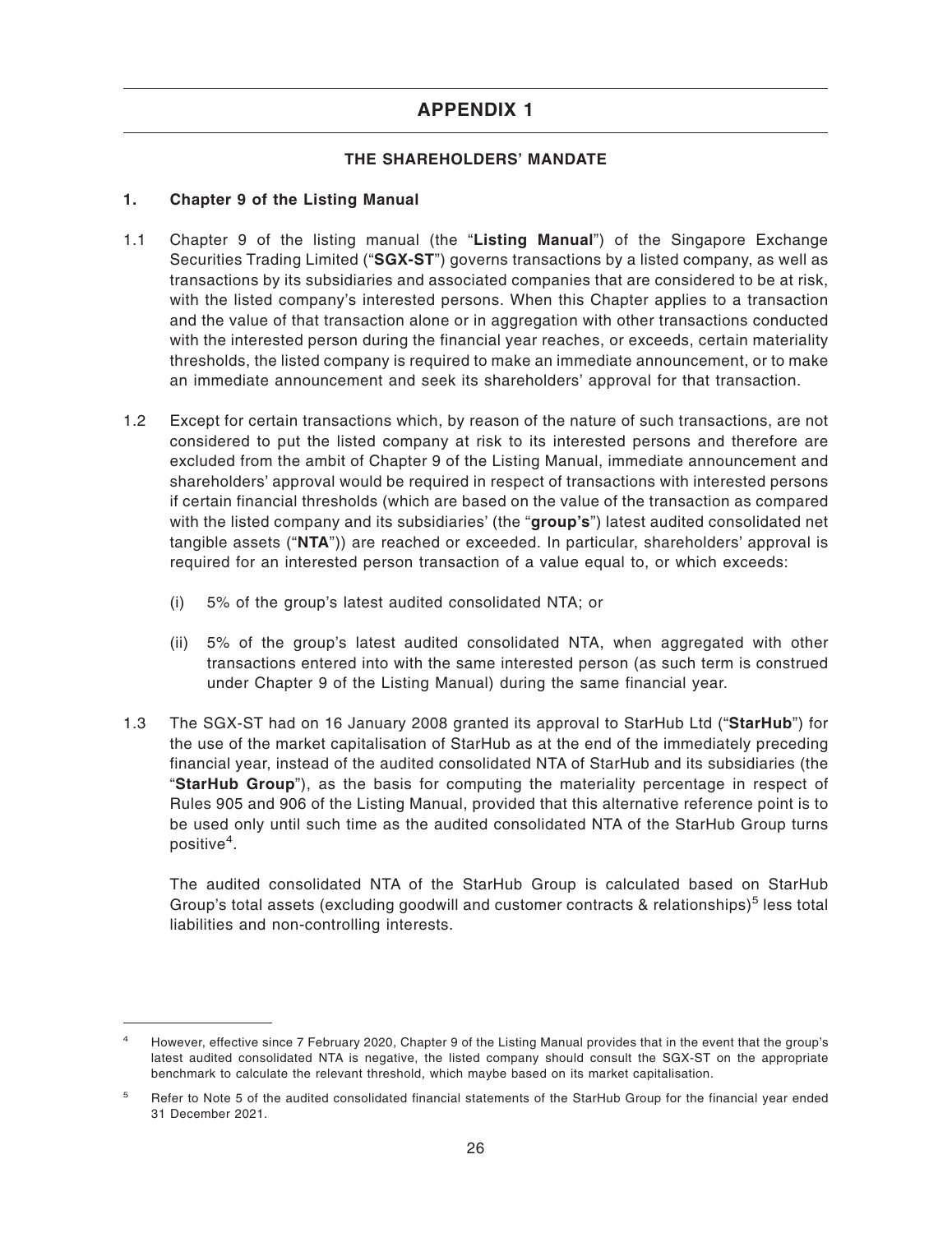### **THE SHAREHOLDERS' MANDATE**

### **1. Chapter 9 of the Listing Manual**

- 1.1 Chapter 9 of the listing manual (the "**Listing Manual**") of the Singapore Exchange Securities Trading Limited ("**SGX-ST**") governs transactions by a listed company, as well as transactions by its subsidiaries and associated companies that are considered to be at risk, with the listed company's interested persons. When this Chapter applies to a transaction and the value of that transaction alone or in aggregation with other transactions conducted with the interested person during the financial year reaches, or exceeds, certain materiality thresholds, the listed company is required to make an immediate announcement, or to make an immediate announcement and seek its shareholders' approval for that transaction.
- 1.2 Except for certain transactions which, by reason of the nature of such transactions, are not considered to put the listed company at risk to its interested persons and therefore are excluded from the ambit of Chapter 9 of the Listing Manual, immediate announcement and shareholders' approval would be required in respect of transactions with interested persons if certain financial thresholds (which are based on the value of the transaction as compared with the listed company and its subsidiaries' (the "**group's**") latest audited consolidated net tangible assets ("**NTA**")) are reached or exceeded. In particular, shareholders' approval is required for an interested person transaction of a value equal to, or which exceeds:
	- (i) 5% of the group's latest audited consolidated NTA; or
	- (ii) 5% of the group's latest audited consolidated NTA, when aggregated with other transactions entered into with the same interested person (as such term is construed under Chapter 9 of the Listing Manual) during the same financial year.
- 1.3 The SGX-ST had on 16 January 2008 granted its approval to StarHub Ltd ("**StarHub**") for the use of the market capitalisation of StarHub as at the end of the immediately preceding financial year, instead of the audited consolidated NTA of StarHub and its subsidiaries (the "**StarHub Group**"), as the basis for computing the materiality percentage in respect of Rules 905 and 906 of the Listing Manual, provided that this alternative reference point is to be used only until such time as the audited consolidated NTA of the StarHub Group turns positive<sup>4</sup>.

The audited consolidated NTA of the StarHub Group is calculated based on StarHub Group's total assets (excluding goodwill and customer contracts & relationships)<sup>5</sup> less total liabilities and non-controlling interests.

<sup>4</sup> However, effective since 7 February 2020, Chapter 9 of the Listing Manual provides that in the event that the group's latest audited consolidated NTA is negative, the listed company should consult the SGX-ST on the appropriate benchmark to calculate the relevant threshold, which maybe based on its market capitalisation.

<sup>&</sup>lt;sup>5</sup> Refer to Note 5 of the audited consolidated financial statements of the StarHub Group for the financial year ended 31 December 2021.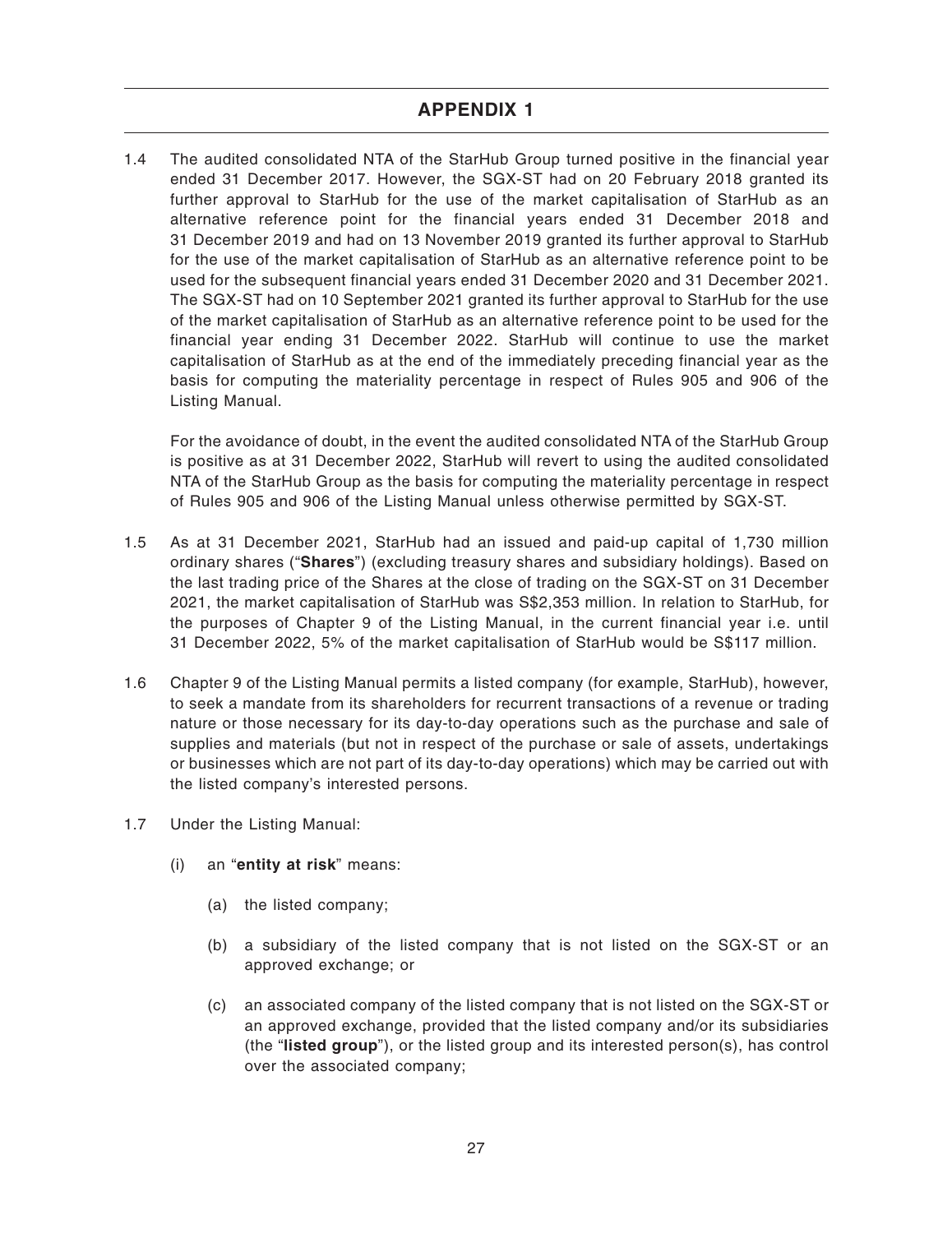1.4 The audited consolidated NTA of the StarHub Group turned positive in the financial year ended 31 December 2017. However, the SGX-ST had on 20 February 2018 granted its further approval to StarHub for the use of the market capitalisation of StarHub as an alternative reference point for the financial years ended 31 December 2018 and 31 December 2019 and had on 13 November 2019 granted its further approval to StarHub for the use of the market capitalisation of StarHub as an alternative reference point to be used for the subsequent financial years ended 31 December 2020 and 31 December 2021. The SGX-ST had on 10 September 2021 granted its further approval to StarHub for the use of the market capitalisation of StarHub as an alternative reference point to be used for the financial year ending 31 December 2022. StarHub will continue to use the market capitalisation of StarHub as at the end of the immediately preceding financial year as the basis for computing the materiality percentage in respect of Rules 905 and 906 of the Listing Manual.

For the avoidance of doubt, in the event the audited consolidated NTA of the StarHub Group is positive as at 31 December 2022, StarHub will revert to using the audited consolidated NTA of the StarHub Group as the basis for computing the materiality percentage in respect of Rules 905 and 906 of the Listing Manual unless otherwise permitted by SGX-ST.

- 1.5 As at 31 December 2021, StarHub had an issued and paid-up capital of 1,730 million ordinary shares ("**Shares**") (excluding treasury shares and subsidiary holdings). Based on the last trading price of the Shares at the close of trading on the SGX-ST on 31 December 2021, the market capitalisation of StarHub was S\$2,353 million. In relation to StarHub, for the purposes of Chapter 9 of the Listing Manual, in the current financial year i.e. until 31 December 2022, 5% of the market capitalisation of StarHub would be S\$117 million.
- 1.6 Chapter 9 of the Listing Manual permits a listed company (for example, StarHub), however, to seek a mandate from its shareholders for recurrent transactions of a revenue or trading nature or those necessary for its day-to-day operations such as the purchase and sale of supplies and materials (but not in respect of the purchase or sale of assets, undertakings or businesses which are not part of its day-to-day operations) which may be carried out with the listed company's interested persons.
- 1.7 Under the Listing Manual:
	- (i) an "**entity at risk**" means:
		- (a) the listed company;
		- (b) a subsidiary of the listed company that is not listed on the SGX-ST or an approved exchange; or
		- (c) an associated company of the listed company that is not listed on the SGX-ST or an approved exchange, provided that the listed company and/or its subsidiaries (the "**listed group**"), or the listed group and its interested person(s), has control over the associated company;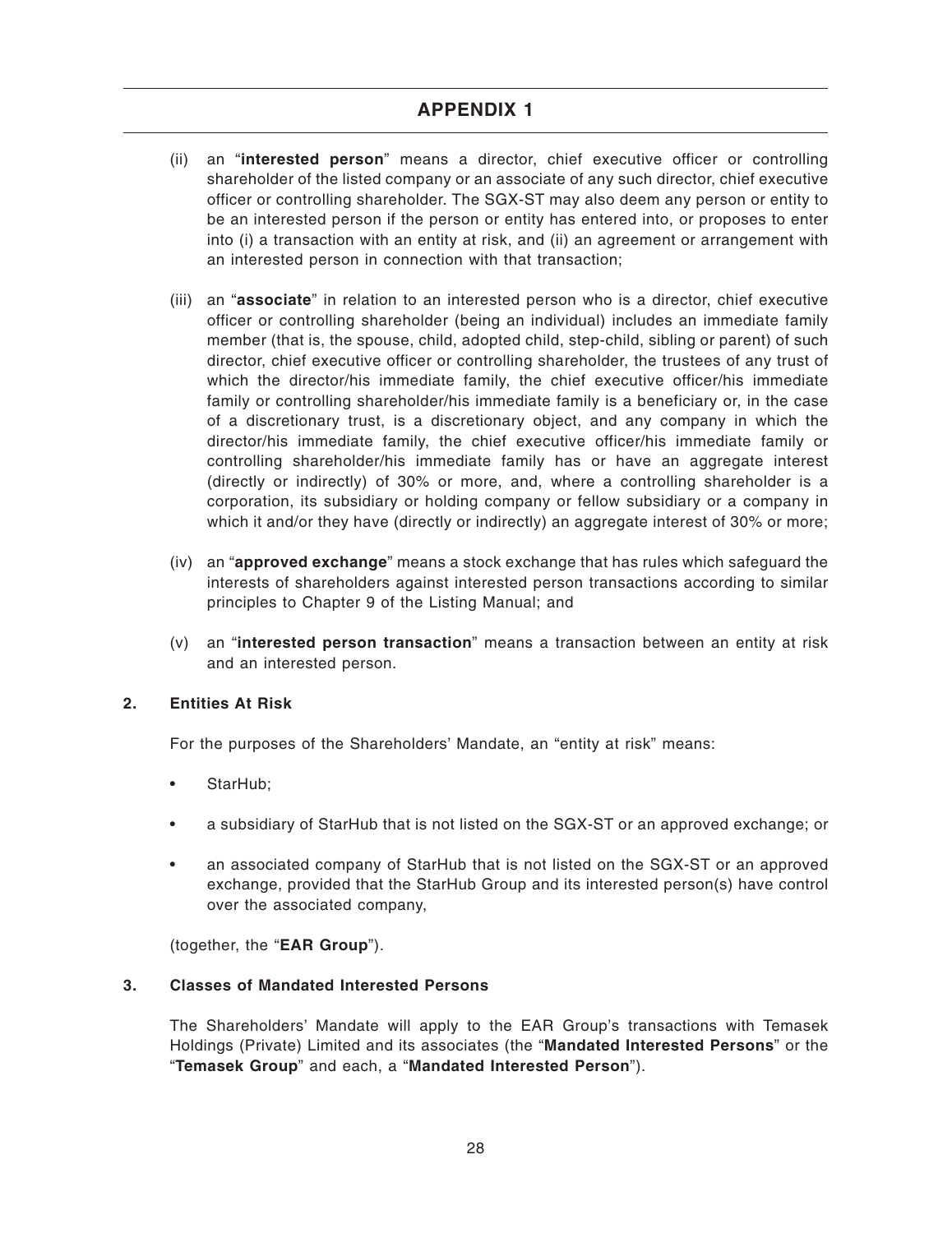- (ii) an "**interested person**" means a director, chief executive officer or controlling shareholder of the listed company or an associate of any such director, chief executive officer or controlling shareholder. The SGX-ST may also deem any person or entity to be an interested person if the person or entity has entered into, or proposes to enter into (i) a transaction with an entity at risk, and (ii) an agreement or arrangement with an interested person in connection with that transaction;
- (iii) an "**associate**" in relation to an interested person who is a director, chief executive officer or controlling shareholder (being an individual) includes an immediate family member (that is, the spouse, child, adopted child, step-child, sibling or parent) of such director, chief executive officer or controlling shareholder, the trustees of any trust of which the director/his immediate family, the chief executive officer/his immediate family or controlling shareholder/his immediate family is a beneficiary or, in the case of a discretionary trust, is a discretionary object, and any company in which the director/his immediate family, the chief executive officer/his immediate family or controlling shareholder/his immediate family has or have an aggregate interest (directly or indirectly) of 30% or more, and, where a controlling shareholder is a corporation, its subsidiary or holding company or fellow subsidiary or a company in which it and/or they have (directly or indirectly) an aggregate interest of 30% or more;
- (iv) an "**approved exchange**" means a stock exchange that has rules which safeguard the interests of shareholders against interested person transactions according to similar principles to Chapter 9 of the Listing Manual; and
- (v) an "**interested person transaction**" means a transaction between an entity at risk and an interested person.

### **2. Entities At Risk**

For the purposes of the Shareholders' Mandate, an "entity at risk" means:

- StarHub;
- a subsidiary of StarHub that is not listed on the SGX-ST or an approved exchange; or
- an associated company of StarHub that is not listed on the SGX-ST or an approved exchange, provided that the StarHub Group and its interested person(s) have control over the associated company,

(together, the "**EAR Group**").

### **3. Classes of Mandated Interested Persons**

The Shareholders' Mandate will apply to the EAR Group's transactions with Temasek Holdings (Private) Limited and its associates (the "**Mandated Interested Persons**" or the "**Temasek Group**" and each, a "**Mandated Interested Person**").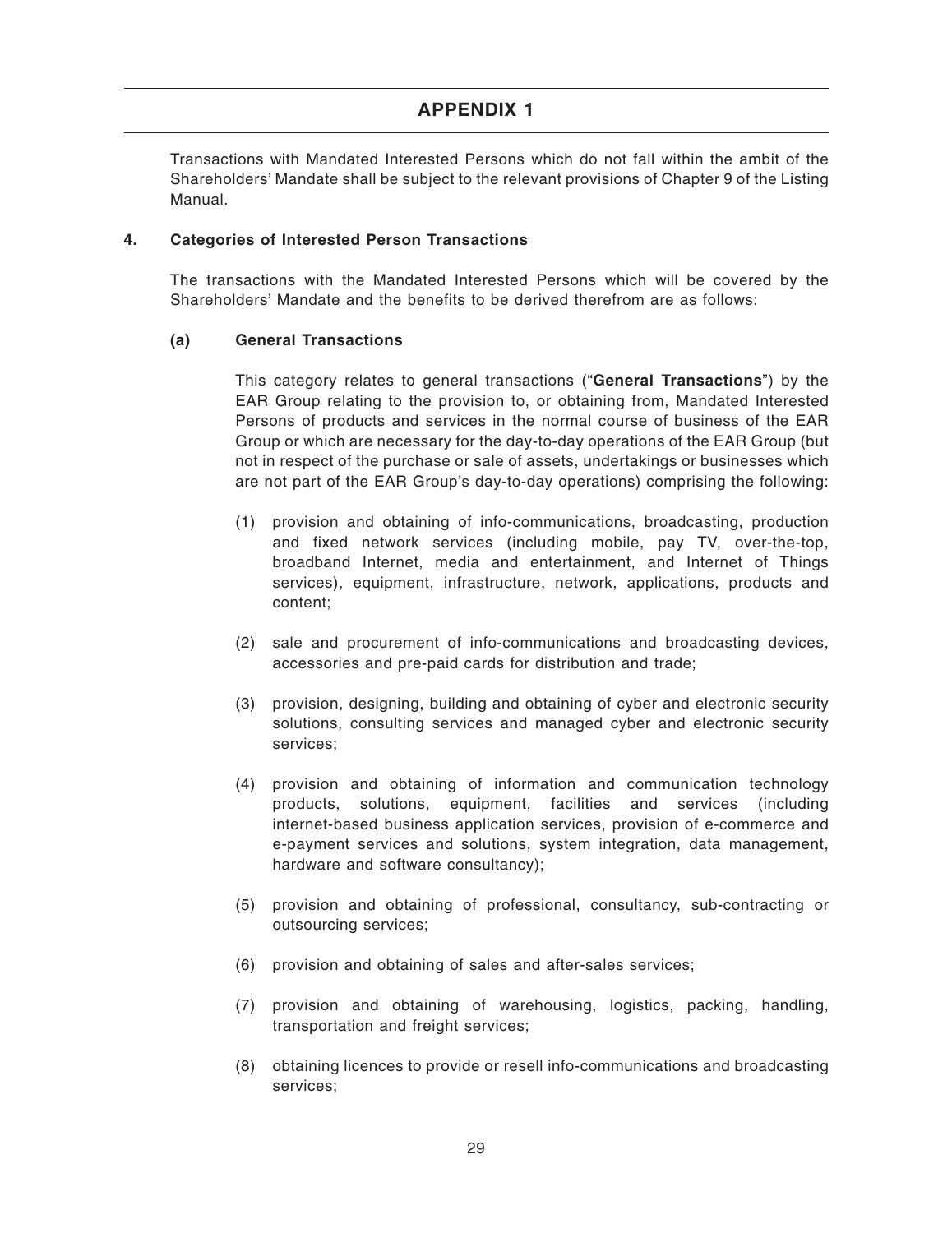Transactions with Mandated Interested Persons which do not fall within the ambit of the Shareholders' Mandate shall be subject to the relevant provisions of Chapter 9 of the Listing Manual.

### **4. Categories of Interested Person Transactions**

The transactions with the Mandated Interested Persons which will be covered by the Shareholders' Mandate and the benefits to be derived therefrom are as follows:

### **(a) General Transactions**

This category relates to general transactions ("**General Transactions**") by the EAR Group relating to the provision to, or obtaining from, Mandated Interested Persons of products and services in the normal course of business of the EAR Group or which are necessary for the day-to-day operations of the EAR Group (but not in respect of the purchase or sale of assets, undertakings or businesses which are not part of the EAR Group's day-to-day operations) comprising the following:

- (1) provision and obtaining of info-communications, broadcasting, production and fixed network services (including mobile, pay TV, over-the-top, broadband Internet, media and entertainment, and Internet of Things services), equipment, infrastructure, network, applications, products and content;
- (2) sale and procurement of info-communications and broadcasting devices, accessories and pre-paid cards for distribution and trade;
- (3) provision, designing, building and obtaining of cyber and electronic security solutions, consulting services and managed cyber and electronic security services;
- (4) provision and obtaining of information and communication technology products, solutions, equipment, facilities and services (including internet-based business application services, provision of e-commerce and e-payment services and solutions, system integration, data management, hardware and software consultancy);
- (5) provision and obtaining of professional, consultancy, sub-contracting or outsourcing services;
- (6) provision and obtaining of sales and after-sales services;
- (7) provision and obtaining of warehousing, logistics, packing, handling, transportation and freight services;
- (8) obtaining licences to provide or resell info-communications and broadcasting services;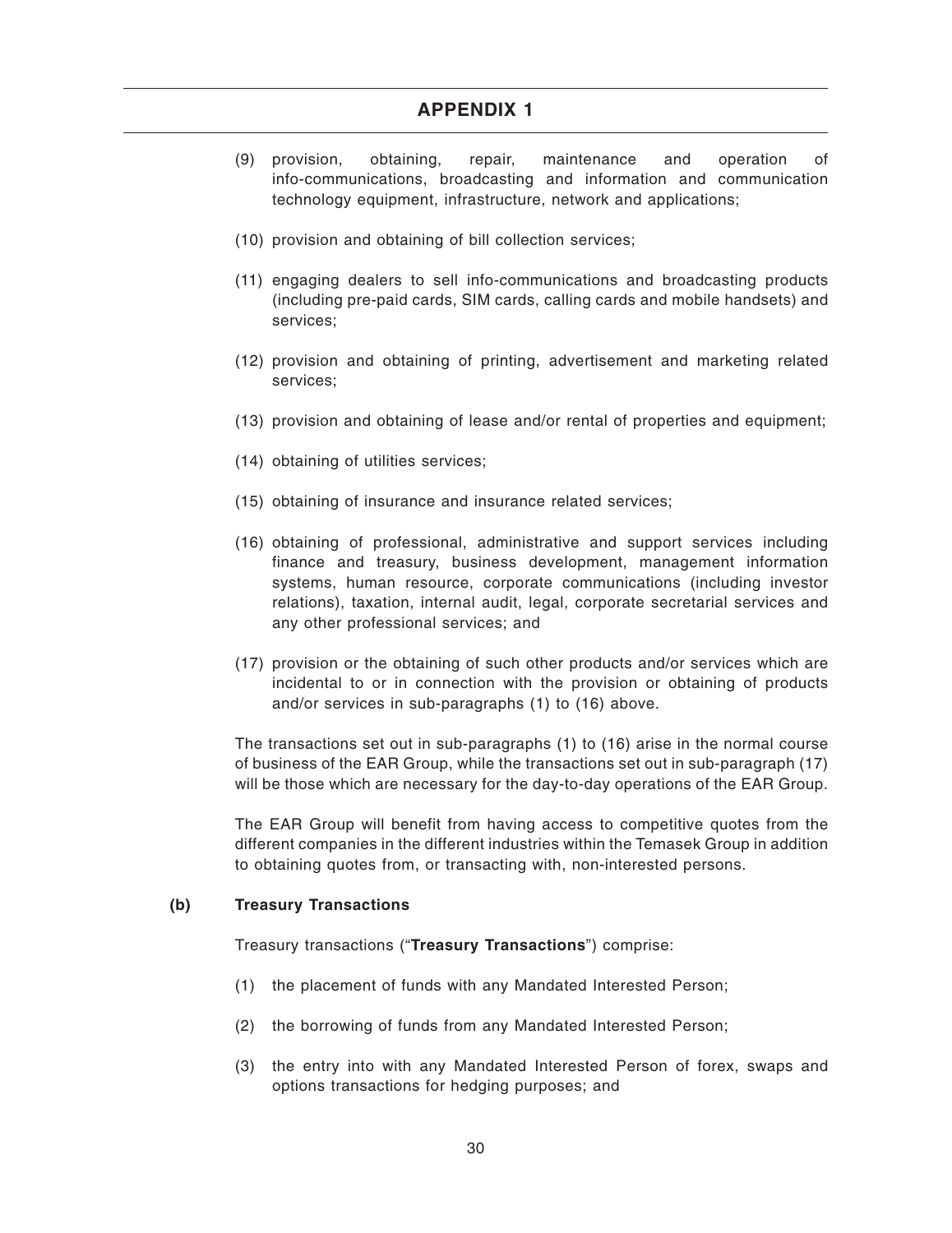- (9) provision, obtaining, repair, maintenance and operation of info-communications, broadcasting and information and communication technology equipment, infrastructure, network and applications;
- (10) provision and obtaining of bill collection services;
- (11) engaging dealers to sell info-communications and broadcasting products (including pre-paid cards, SIM cards, calling cards and mobile handsets) and services;
- (12) provision and obtaining of printing, advertisement and marketing related services;
- (13) provision and obtaining of lease and/or rental of properties and equipment;
- (14) obtaining of utilities services;
- (15) obtaining of insurance and insurance related services;
- (16) obtaining of professional, administrative and support services including finance and treasury, business development, management information systems, human resource, corporate communications (including investor relations), taxation, internal audit, legal, corporate secretarial services and any other professional services; and
- (17) provision or the obtaining of such other products and/or services which are incidental to or in connection with the provision or obtaining of products and/or services in sub-paragraphs (1) to (16) above.

The transactions set out in sub-paragraphs (1) to (16) arise in the normal course of business of the EAR Group, while the transactions set out in sub-paragraph (17) will be those which are necessary for the day-to-day operations of the EAR Group.

The EAR Group will benefit from having access to competitive quotes from the different companies in the different industries within the Temasek Group in addition to obtaining quotes from, or transacting with, non-interested persons.

#### **(b) Treasury Transactions**

Treasury transactions ("**Treasury Transactions**") comprise:

- (1) the placement of funds with any Mandated Interested Person;
- (2) the borrowing of funds from any Mandated Interested Person;
- (3) the entry into with any Mandated Interested Person of forex, swaps and options transactions for hedging purposes; and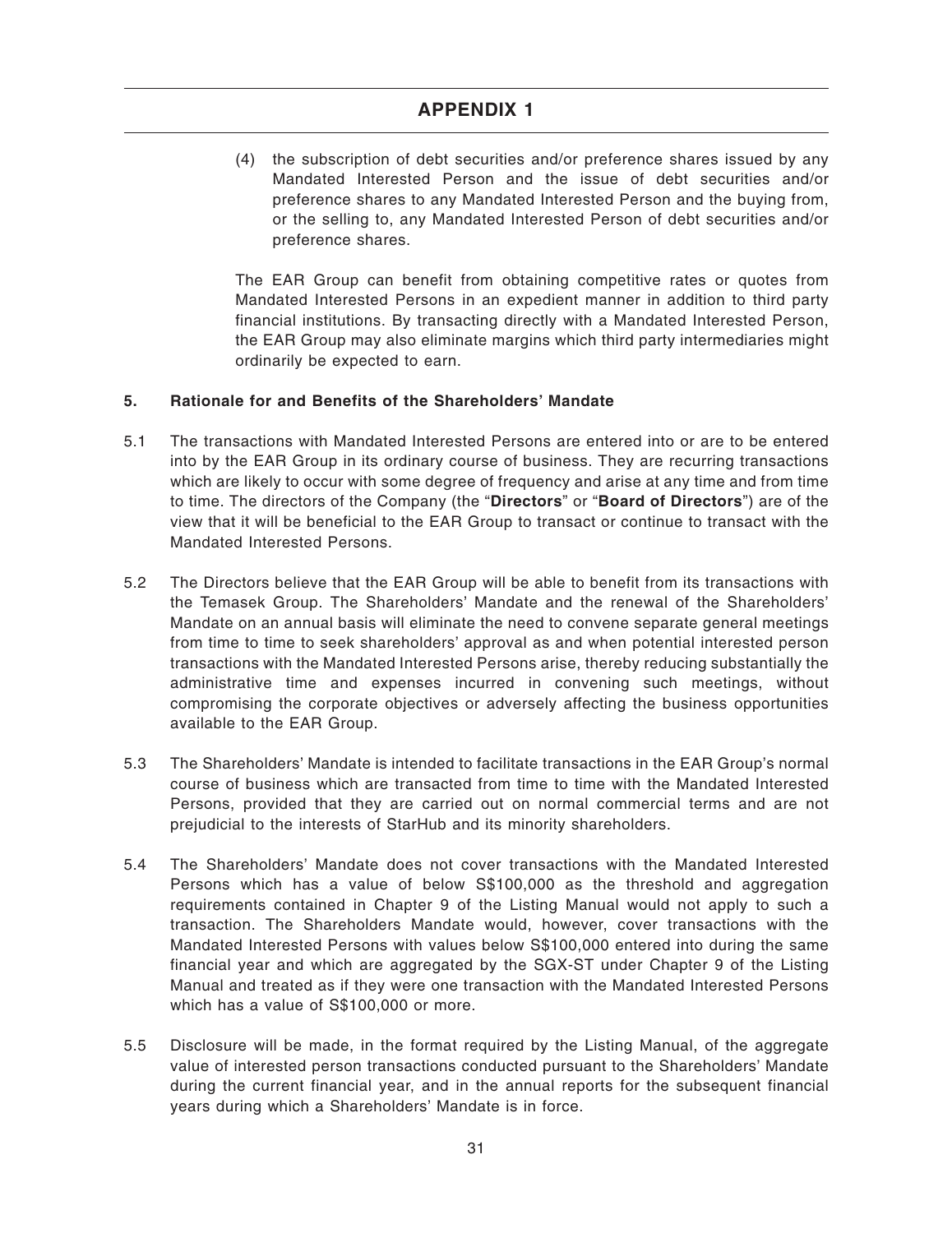(4) the subscription of debt securities and/or preference shares issued by any Mandated Interested Person and the issue of debt securities and/or preference shares to any Mandated Interested Person and the buying from, or the selling to, any Mandated Interested Person of debt securities and/or preference shares.

The EAR Group can benefit from obtaining competitive rates or quotes from Mandated Interested Persons in an expedient manner in addition to third party financial institutions. By transacting directly with a Mandated Interested Person, the EAR Group may also eliminate margins which third party intermediaries might ordinarily be expected to earn.

### **5. Rationale for and Benefits of the Shareholders' Mandate**

- 5.1 The transactions with Mandated Interested Persons are entered into or are to be entered into by the EAR Group in its ordinary course of business. They are recurring transactions which are likely to occur with some degree of frequency and arise at any time and from time to time. The directors of the Company (the "**Directors**" or "**Board of Directors**") are of the view that it will be beneficial to the EAR Group to transact or continue to transact with the Mandated Interested Persons.
- 5.2 The Directors believe that the EAR Group will be able to benefit from its transactions with the Temasek Group. The Shareholders' Mandate and the renewal of the Shareholders' Mandate on an annual basis will eliminate the need to convene separate general meetings from time to time to seek shareholders' approval as and when potential interested person transactions with the Mandated Interested Persons arise, thereby reducing substantially the administrative time and expenses incurred in convening such meetings, without compromising the corporate objectives or adversely affecting the business opportunities available to the EAR Group.
- 5.3 The Shareholders' Mandate is intended to facilitate transactions in the EAR Group's normal course of business which are transacted from time to time with the Mandated Interested Persons, provided that they are carried out on normal commercial terms and are not prejudicial to the interests of StarHub and its minority shareholders.
- 5.4 The Shareholders' Mandate does not cover transactions with the Mandated Interested Persons which has a value of below S\$100,000 as the threshold and aggregation requirements contained in Chapter 9 of the Listing Manual would not apply to such a transaction. The Shareholders Mandate would, however, cover transactions with the Mandated Interested Persons with values below S\$100,000 entered into during the same financial year and which are aggregated by the SGX-ST under Chapter 9 of the Listing Manual and treated as if they were one transaction with the Mandated Interested Persons which has a value of S\$100,000 or more.
- 5.5 Disclosure will be made, in the format required by the Listing Manual, of the aggregate value of interested person transactions conducted pursuant to the Shareholders' Mandate during the current financial year, and in the annual reports for the subsequent financial years during which a Shareholders' Mandate is in force.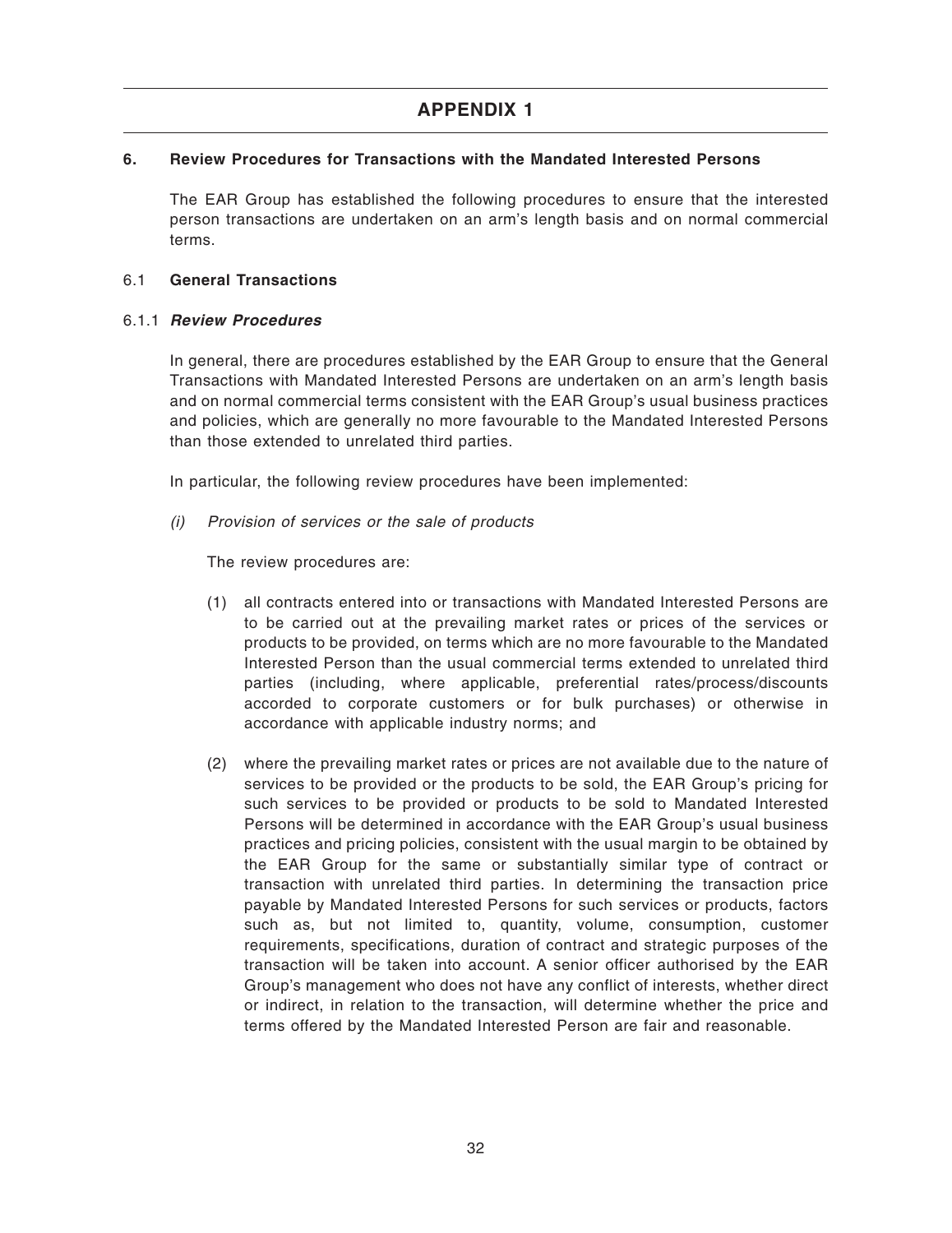### **6. Review Procedures for Transactions with the Mandated Interested Persons**

The EAR Group has established the following procedures to ensure that the interested person transactions are undertaken on an arm's length basis and on normal commercial terms.

### 6.1 **General Transactions**

### 6.1.1 **Review Procedures**

In general, there are procedures established by the EAR Group to ensure that the General Transactions with Mandated Interested Persons are undertaken on an arm's length basis and on normal commercial terms consistent with the EAR Group's usual business practices and policies, which are generally no more favourable to the Mandated Interested Persons than those extended to unrelated third parties.

In particular, the following review procedures have been implemented:

(i) Provision of services or the sale of products

The review procedures are:

- (1) all contracts entered into or transactions with Mandated Interested Persons are to be carried out at the prevailing market rates or prices of the services or products to be provided, on terms which are no more favourable to the Mandated Interested Person than the usual commercial terms extended to unrelated third parties (including, where applicable, preferential rates/process/discounts accorded to corporate customers or for bulk purchases) or otherwise in accordance with applicable industry norms; and
- (2) where the prevailing market rates or prices are not available due to the nature of services to be provided or the products to be sold, the EAR Group's pricing for such services to be provided or products to be sold to Mandated Interested Persons will be determined in accordance with the EAR Group's usual business practices and pricing policies, consistent with the usual margin to be obtained by the EAR Group for the same or substantially similar type of contract or transaction with unrelated third parties. In determining the transaction price payable by Mandated Interested Persons for such services or products, factors such as, but not limited to, quantity, volume, consumption, customer requirements, specifications, duration of contract and strategic purposes of the transaction will be taken into account. A senior officer authorised by the EAR Group's management who does not have any conflict of interests, whether direct or indirect, in relation to the transaction, will determine whether the price and terms offered by the Mandated Interested Person are fair and reasonable.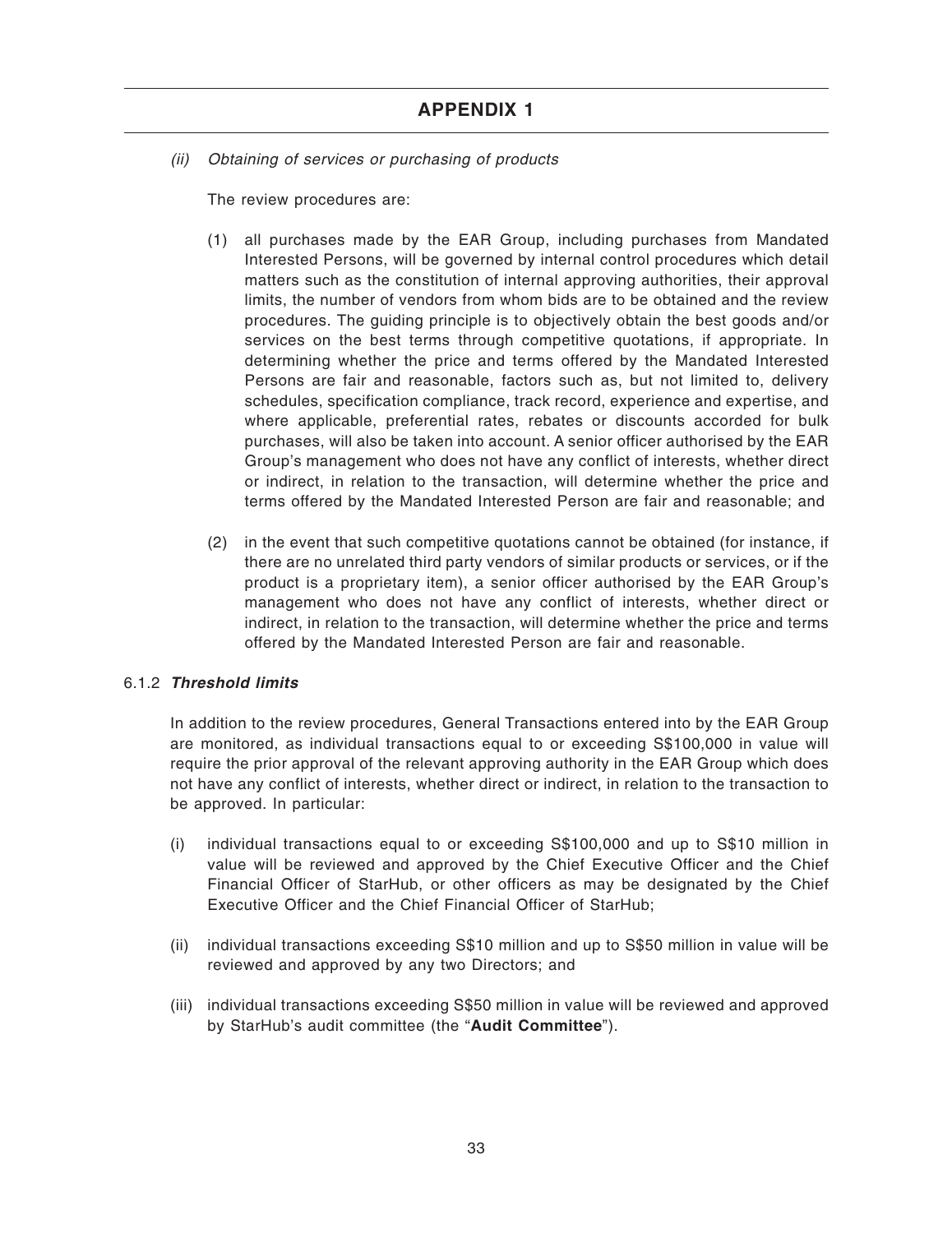(ii) Obtaining of services or purchasing of products

The review procedures are:

- (1) all purchases made by the EAR Group, including purchases from Mandated Interested Persons, will be governed by internal control procedures which detail matters such as the constitution of internal approving authorities, their approval limits, the number of vendors from whom bids are to be obtained and the review procedures. The guiding principle is to objectively obtain the best goods and/or services on the best terms through competitive quotations, if appropriate. In determining whether the price and terms offered by the Mandated Interested Persons are fair and reasonable, factors such as, but not limited to, delivery schedules, specification compliance, track record, experience and expertise, and where applicable, preferential rates, rebates or discounts accorded for bulk purchases, will also be taken into account. A senior officer authorised by the EAR Group's management who does not have any conflict of interests, whether direct or indirect, in relation to the transaction, will determine whether the price and terms offered by the Mandated Interested Person are fair and reasonable; and
- (2) in the event that such competitive quotations cannot be obtained (for instance, if there are no unrelated third party vendors of similar products or services, or if the product is a proprietary item), a senior officer authorised by the EAR Group's management who does not have any conflict of interests, whether direct or indirect, in relation to the transaction, will determine whether the price and terms offered by the Mandated Interested Person are fair and reasonable.

### 6.1.2 **Threshold limits**

In addition to the review procedures, General Transactions entered into by the EAR Group are monitored, as individual transactions equal to or exceeding S\$100,000 in value will require the prior approval of the relevant approving authority in the EAR Group which does not have any conflict of interests, whether direct or indirect, in relation to the transaction to be approved. In particular:

- (i) individual transactions equal to or exceeding S\$100,000 and up to S\$10 million in value will be reviewed and approved by the Chief Executive Officer and the Chief Financial Officer of StarHub, or other officers as may be designated by the Chief Executive Officer and the Chief Financial Officer of StarHub;
- (ii) individual transactions exceeding S\$10 million and up to S\$50 million in value will be reviewed and approved by any two Directors; and
- (iii) individual transactions exceeding S\$50 million in value will be reviewed and approved by StarHub's audit committee (the "**Audit Committee**").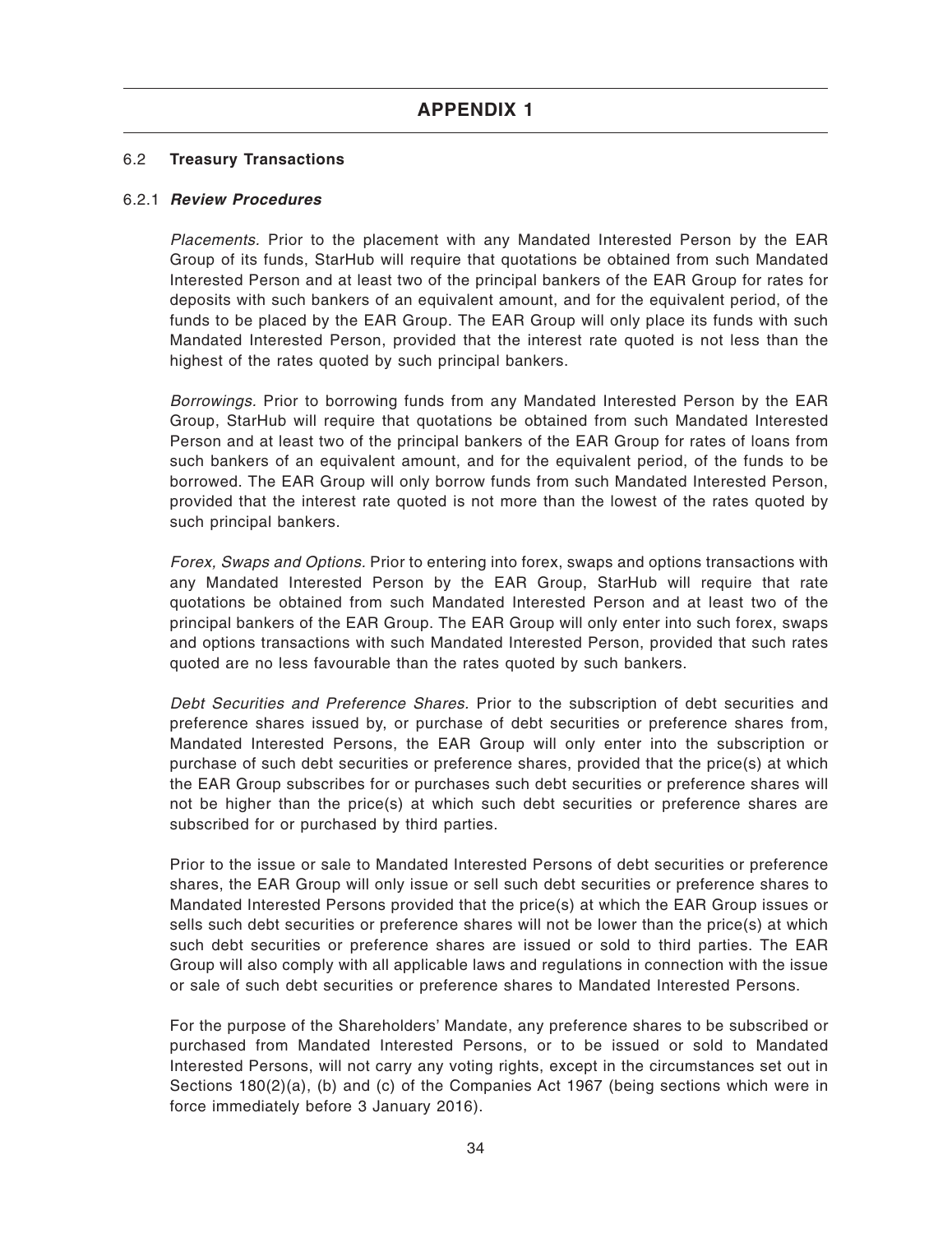### 6.2 **Treasury Transactions**

### 6.2.1 **Review Procedures**

Placements. Prior to the placement with any Mandated Interested Person by the EAR Group of its funds, StarHub will require that quotations be obtained from such Mandated Interested Person and at least two of the principal bankers of the EAR Group for rates for deposits with such bankers of an equivalent amount, and for the equivalent period, of the funds to be placed by the EAR Group. The EAR Group will only place its funds with such Mandated Interested Person, provided that the interest rate quoted is not less than the highest of the rates quoted by such principal bankers.

Borrowings. Prior to borrowing funds from any Mandated Interested Person by the EAR Group, StarHub will require that quotations be obtained from such Mandated Interested Person and at least two of the principal bankers of the EAR Group for rates of loans from such bankers of an equivalent amount, and for the equivalent period, of the funds to be borrowed. The EAR Group will only borrow funds from such Mandated Interested Person, provided that the interest rate quoted is not more than the lowest of the rates quoted by such principal bankers.

Forex, Swaps and Options. Prior to entering into forex, swaps and options transactions with any Mandated Interested Person by the EAR Group, StarHub will require that rate quotations be obtained from such Mandated Interested Person and at least two of the principal bankers of the EAR Group. The EAR Group will only enter into such forex, swaps and options transactions with such Mandated Interested Person, provided that such rates quoted are no less favourable than the rates quoted by such bankers.

Debt Securities and Preference Shares. Prior to the subscription of debt securities and preference shares issued by, or purchase of debt securities or preference shares from, Mandated Interested Persons, the EAR Group will only enter into the subscription or purchase of such debt securities or preference shares, provided that the price(s) at which the EAR Group subscribes for or purchases such debt securities or preference shares will not be higher than the price(s) at which such debt securities or preference shares are subscribed for or purchased by third parties.

Prior to the issue or sale to Mandated Interested Persons of debt securities or preference shares, the EAR Group will only issue or sell such debt securities or preference shares to Mandated Interested Persons provided that the price(s) at which the EAR Group issues or sells such debt securities or preference shares will not be lower than the price(s) at which such debt securities or preference shares are issued or sold to third parties. The EAR Group will also comply with all applicable laws and regulations in connection with the issue or sale of such debt securities or preference shares to Mandated Interested Persons.

For the purpose of the Shareholders' Mandate, any preference shares to be subscribed or purchased from Mandated Interested Persons, or to be issued or sold to Mandated Interested Persons, will not carry any voting rights, except in the circumstances set out in Sections 180(2)(a), (b) and (c) of the Companies Act 1967 (being sections which were in force immediately before 3 January 2016).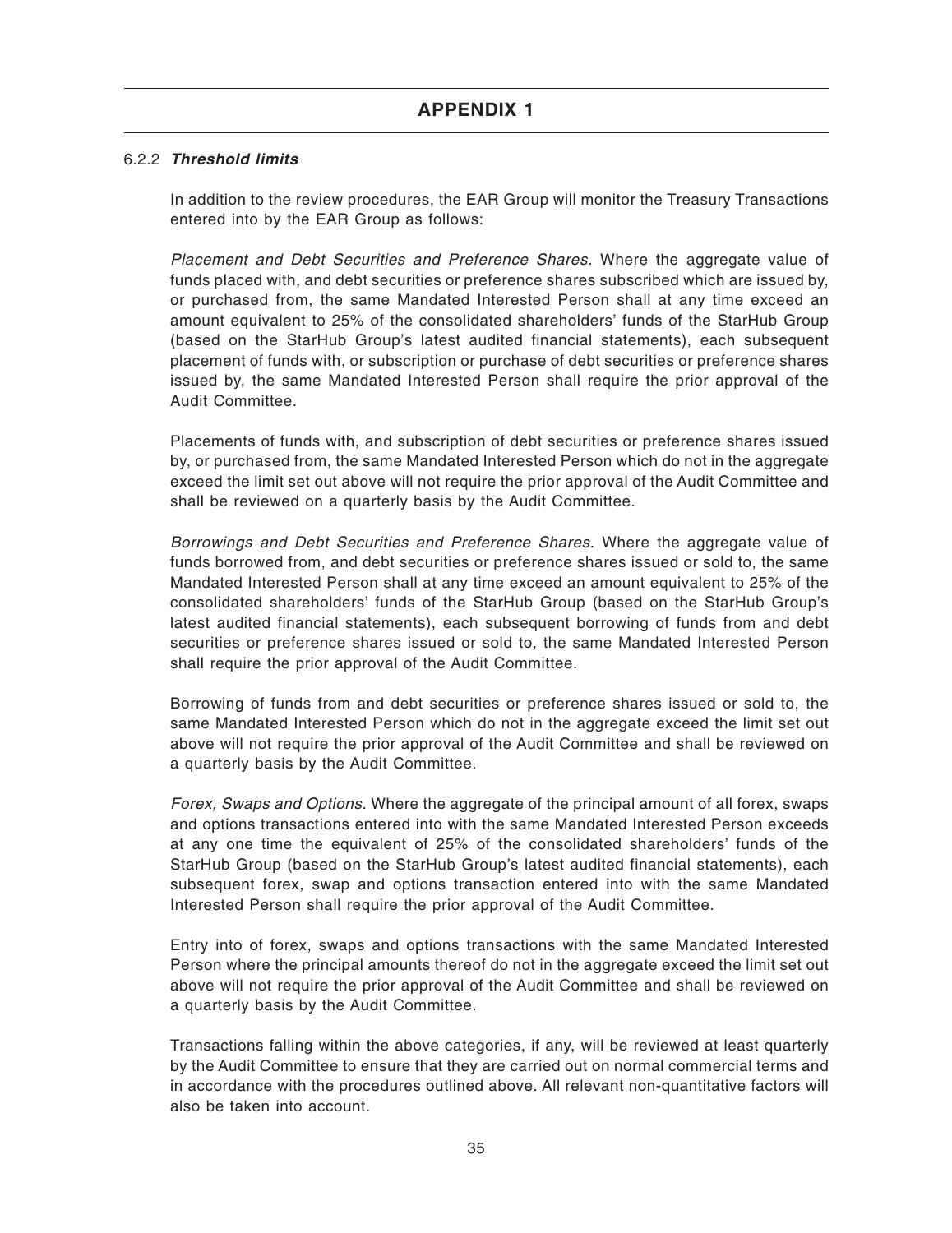### 6.2.2 **Threshold limits**

In addition to the review procedures, the EAR Group will monitor the Treasury Transactions entered into by the EAR Group as follows:

Placement and Debt Securities and Preference Shares. Where the aggregate value of funds placed with, and debt securities or preference shares subscribed which are issued by, or purchased from, the same Mandated Interested Person shall at any time exceed an amount equivalent to 25% of the consolidated shareholders' funds of the StarHub Group (based on the StarHub Group's latest audited financial statements), each subsequent placement of funds with, or subscription or purchase of debt securities or preference shares issued by, the same Mandated Interested Person shall require the prior approval of the Audit Committee.

Placements of funds with, and subscription of debt securities or preference shares issued by, or purchased from, the same Mandated Interested Person which do not in the aggregate exceed the limit set out above will not require the prior approval of the Audit Committee and shall be reviewed on a quarterly basis by the Audit Committee.

Borrowings and Debt Securities and Preference Shares. Where the aggregate value of funds borrowed from, and debt securities or preference shares issued or sold to, the same Mandated Interested Person shall at any time exceed an amount equivalent to 25% of the consolidated shareholders' funds of the StarHub Group (based on the StarHub Group's latest audited financial statements), each subsequent borrowing of funds from and debt securities or preference shares issued or sold to, the same Mandated Interested Person shall require the prior approval of the Audit Committee.

Borrowing of funds from and debt securities or preference shares issued or sold to, the same Mandated Interested Person which do not in the aggregate exceed the limit set out above will not require the prior approval of the Audit Committee and shall be reviewed on a quarterly basis by the Audit Committee.

Forex, Swaps and Options. Where the aggregate of the principal amount of all forex, swaps and options transactions entered into with the same Mandated Interested Person exceeds at any one time the equivalent of 25% of the consolidated shareholders' funds of the StarHub Group (based on the StarHub Group's latest audited financial statements), each subsequent forex, swap and options transaction entered into with the same Mandated Interested Person shall require the prior approval of the Audit Committee.

Entry into of forex, swaps and options transactions with the same Mandated Interested Person where the principal amounts thereof do not in the aggregate exceed the limit set out above will not require the prior approval of the Audit Committee and shall be reviewed on a quarterly basis by the Audit Committee.

Transactions falling within the above categories, if any, will be reviewed at least quarterly by the Audit Committee to ensure that they are carried out on normal commercial terms and in accordance with the procedures outlined above. All relevant non-quantitative factors will also be taken into account.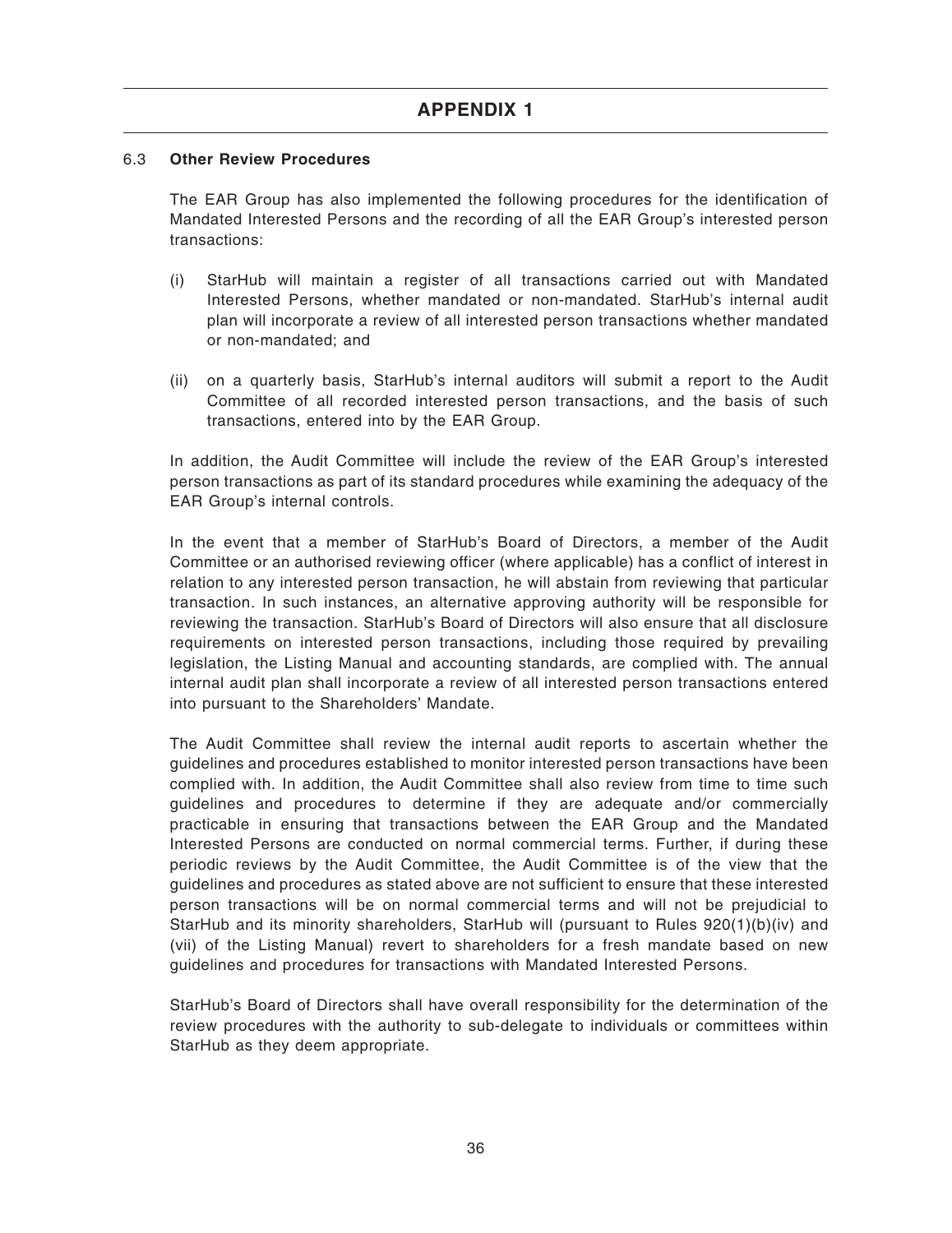### 6.3 **Other Review Procedures**

The EAR Group has also implemented the following procedures for the identification of Mandated Interested Persons and the recording of all the EAR Group's interested person transactions:

- (i) StarHub will maintain a register of all transactions carried out with Mandated Interested Persons, whether mandated or non-mandated. StarHub's internal audit plan will incorporate a review of all interested person transactions whether mandated or non-mandated; and
- (ii) on a quarterly basis, StarHub's internal auditors will submit a report to the Audit Committee of all recorded interested person transactions, and the basis of such transactions, entered into by the EAR Group.

In addition, the Audit Committee will include the review of the EAR Group's interested person transactions as part of its standard procedures while examining the adequacy of the EAR Group's internal controls.

In the event that a member of StarHub's Board of Directors, a member of the Audit Committee or an authorised reviewing officer (where applicable) has a conflict of interest in relation to any interested person transaction, he will abstain from reviewing that particular transaction. In such instances, an alternative approving authority will be responsible for reviewing the transaction. StarHub's Board of Directors will also ensure that all disclosure requirements on interested person transactions, including those required by prevailing legislation, the Listing Manual and accounting standards, are complied with. The annual internal audit plan shall incorporate a review of all interested person transactions entered into pursuant to the Shareholders' Mandate.

The Audit Committee shall review the internal audit reports to ascertain whether the guidelines and procedures established to monitor interested person transactions have been complied with. In addition, the Audit Committee shall also review from time to time such guidelines and procedures to determine if they are adequate and/or commercially practicable in ensuring that transactions between the EAR Group and the Mandated Interested Persons are conducted on normal commercial terms. Further, if during these periodic reviews by the Audit Committee, the Audit Committee is of the view that the guidelines and procedures as stated above are not sufficient to ensure that these interested person transactions will be on normal commercial terms and will not be prejudicial to StarHub and its minority shareholders, StarHub will (pursuant to Rules 920(1)(b)(iv) and (vii) of the Listing Manual) revert to shareholders for a fresh mandate based on new guidelines and procedures for transactions with Mandated Interested Persons.

StarHub's Board of Directors shall have overall responsibility for the determination of the review procedures with the authority to sub-delegate to individuals or committees within StarHub as they deem appropriate.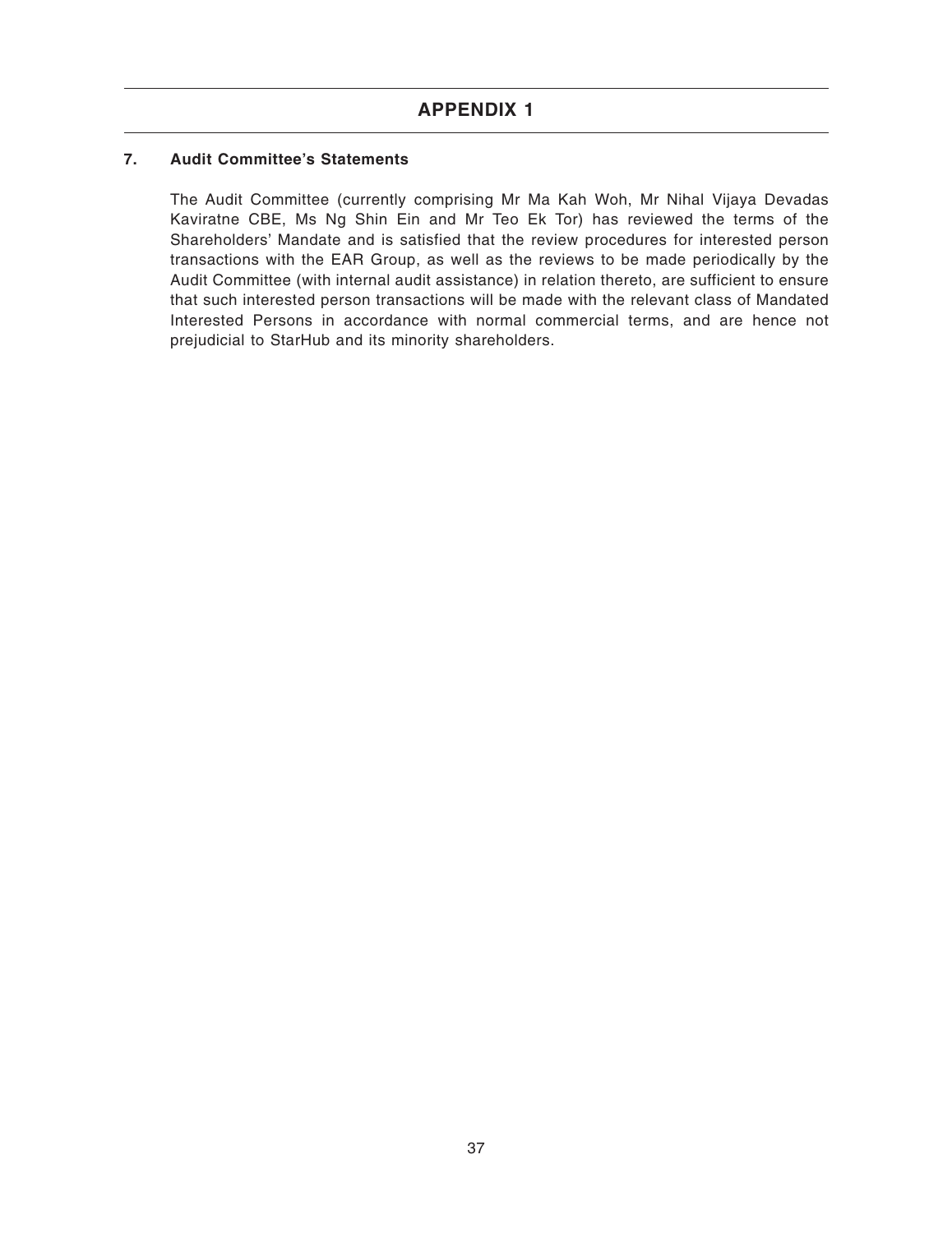### **7. Audit Committee's Statements**

The Audit Committee (currently comprising Mr Ma Kah Woh, Mr Nihal Vijaya Devadas Kaviratne CBE, Ms Ng Shin Ein and Mr Teo Ek Tor) has reviewed the terms of the Shareholders' Mandate and is satisfied that the review procedures for interested person transactions with the EAR Group, as well as the reviews to be made periodically by the Audit Committee (with internal audit assistance) in relation thereto, are sufficient to ensure that such interested person transactions will be made with the relevant class of Mandated Interested Persons in accordance with normal commercial terms, and are hence not prejudicial to StarHub and its minority shareholders.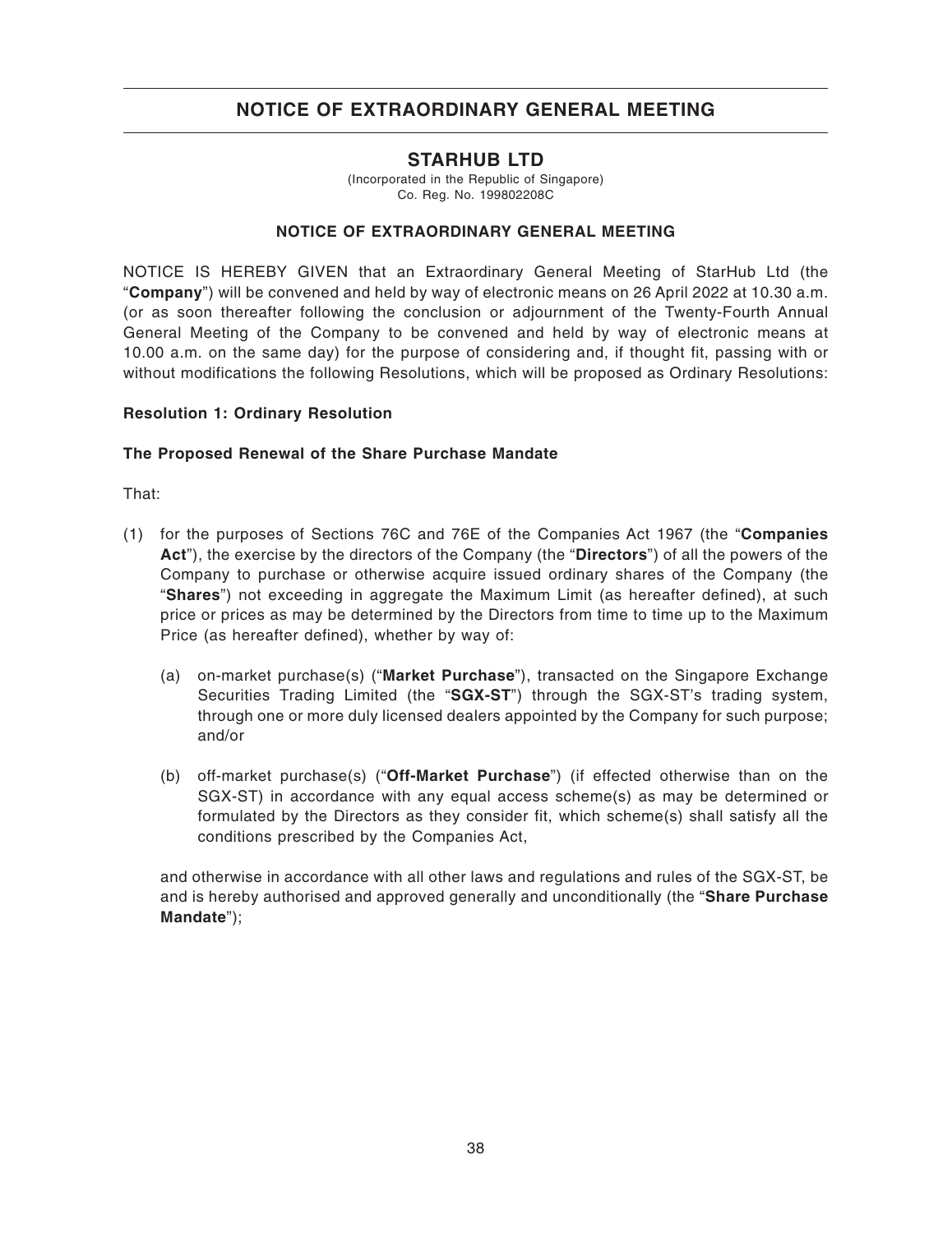### **STARHUB LTD**

(Incorporated in the Republic of Singapore) Co. Reg. No. 199802208C

### **NOTICE OF EXTRAORDINARY GENERAL MEETING**

NOTICE IS HEREBY GIVEN that an Extraordinary General Meeting of StarHub Ltd (the "**Company**") will be convened and held by way of electronic means on 26 April 2022 at 10.30 a.m. (or as soon thereafter following the conclusion or adjournment of the Twenty-Fourth Annual General Meeting of the Company to be convened and held by way of electronic means at 10.00 a.m. on the same day) for the purpose of considering and, if thought fit, passing with or without modifications the following Resolutions, which will be proposed as Ordinary Resolutions:

#### **Resolution 1: Ordinary Resolution**

### **The Proposed Renewal of the Share Purchase Mandate**

That:

- (1) for the purposes of Sections 76C and 76E of the Companies Act 1967 (the "**Companies Act**"), the exercise by the directors of the Company (the "**Directors**") of all the powers of the Company to purchase or otherwise acquire issued ordinary shares of the Company (the "**Shares**") not exceeding in aggregate the Maximum Limit (as hereafter defined), at such price or prices as may be determined by the Directors from time to time up to the Maximum Price (as hereafter defined), whether by way of:
	- (a) on-market purchase(s) ("**Market Purchase**"), transacted on the Singapore Exchange Securities Trading Limited (the "**SGX-ST**") through the SGX-ST's trading system, through one or more duly licensed dealers appointed by the Company for such purpose; and/or
	- (b) off-market purchase(s) ("**Off-Market Purchase**") (if effected otherwise than on the SGX-ST) in accordance with any equal access scheme(s) as may be determined or formulated by the Directors as they consider fit, which scheme(s) shall satisfy all the conditions prescribed by the Companies Act,

and otherwise in accordance with all other laws and regulations and rules of the SGX-ST, be and is hereby authorised and approved generally and unconditionally (the "**Share Purchase Mandate**");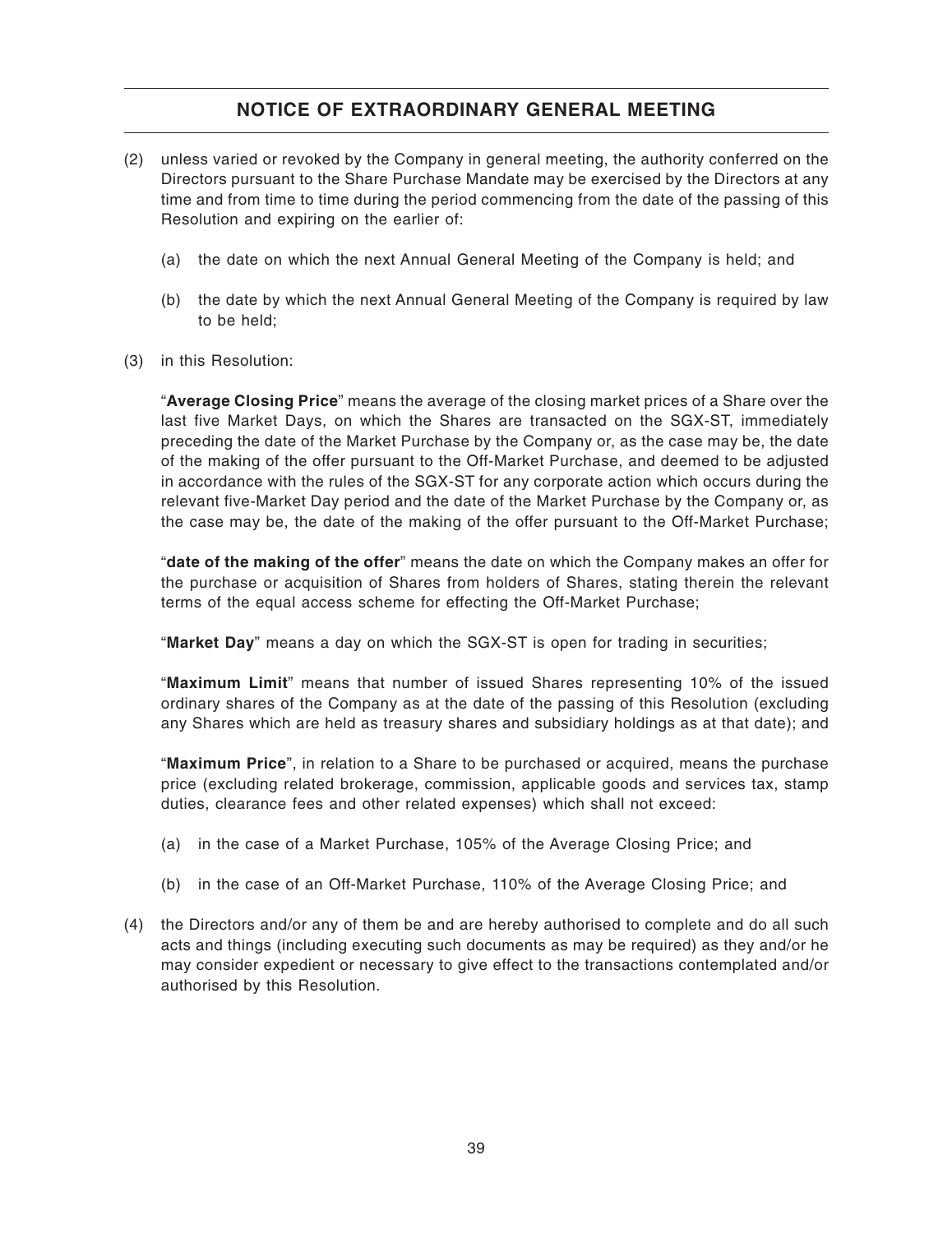- (2) unless varied or revoked by the Company in general meeting, the authority conferred on the Directors pursuant to the Share Purchase Mandate may be exercised by the Directors at any time and from time to time during the period commencing from the date of the passing of this Resolution and expiring on the earlier of:
	- (a) the date on which the next Annual General Meeting of the Company is held; and
	- (b) the date by which the next Annual General Meeting of the Company is required by law to be held;
- (3) in this Resolution:

"**Average Closing Price**" means the average of the closing market prices of a Share over the last five Market Days, on which the Shares are transacted on the SGX-ST, immediately preceding the date of the Market Purchase by the Company or, as the case may be, the date of the making of the offer pursuant to the Off-Market Purchase, and deemed to be adjusted in accordance with the rules of the SGX-ST for any corporate action which occurs during the relevant five-Market Day period and the date of the Market Purchase by the Company or, as the case may be, the date of the making of the offer pursuant to the Off-Market Purchase;

"**date of the making of the offer**" means the date on which the Company makes an offer for the purchase or acquisition of Shares from holders of Shares, stating therein the relevant terms of the equal access scheme for effecting the Off-Market Purchase;

"**Market Day**" means a day on which the SGX-ST is open for trading in securities;

"**Maximum Limit**" means that number of issued Shares representing 10% of the issued ordinary shares of the Company as at the date of the passing of this Resolution (excluding any Shares which are held as treasury shares and subsidiary holdings as at that date); and

"**Maximum Price**", in relation to a Share to be purchased or acquired, means the purchase price (excluding related brokerage, commission, applicable goods and services tax, stamp duties, clearance fees and other related expenses) which shall not exceed:

- (a) in the case of a Market Purchase, 105% of the Average Closing Price; and
- (b) in the case of an Off-Market Purchase, 110% of the Average Closing Price; and
- (4) the Directors and/or any of them be and are hereby authorised to complete and do all such acts and things (including executing such documents as may be required) as they and/or he may consider expedient or necessary to give effect to the transactions contemplated and/or authorised by this Resolution.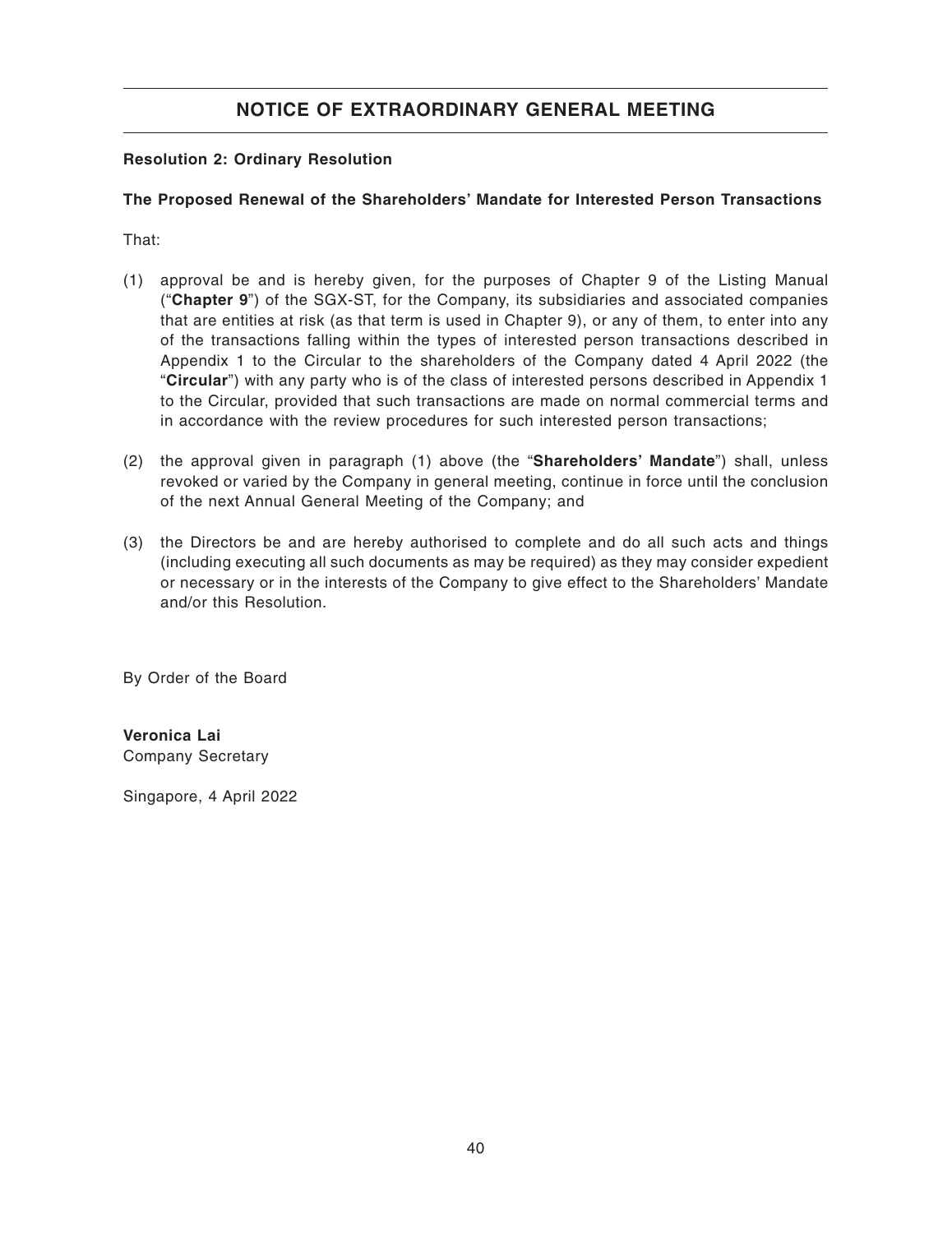### **Resolution 2: Ordinary Resolution**

### **The Proposed Renewal of the Shareholders' Mandate for Interested Person Transactions**

That:

- (1) approval be and is hereby given, for the purposes of Chapter 9 of the Listing Manual ("**Chapter 9**") of the SGX-ST, for the Company, its subsidiaries and associated companies that are entities at risk (as that term is used in Chapter 9), or any of them, to enter into any of the transactions falling within the types of interested person transactions described in Appendix 1 to the Circular to the shareholders of the Company dated 4 April 2022 (the "**Circular**") with any party who is of the class of interested persons described in Appendix 1 to the Circular, provided that such transactions are made on normal commercial terms and in accordance with the review procedures for such interested person transactions;
- (2) the approval given in paragraph (1) above (the "**Shareholders' Mandate**") shall, unless revoked or varied by the Company in general meeting, continue in force until the conclusion of the next Annual General Meeting of the Company; and
- (3) the Directors be and are hereby authorised to complete and do all such acts and things (including executing all such documents as may be required) as they may consider expedient or necessary or in the interests of the Company to give effect to the Shareholders' Mandate and/or this Resolution.

By Order of the Board

**Veronica Lai** Company Secretary

Singapore, 4 April 2022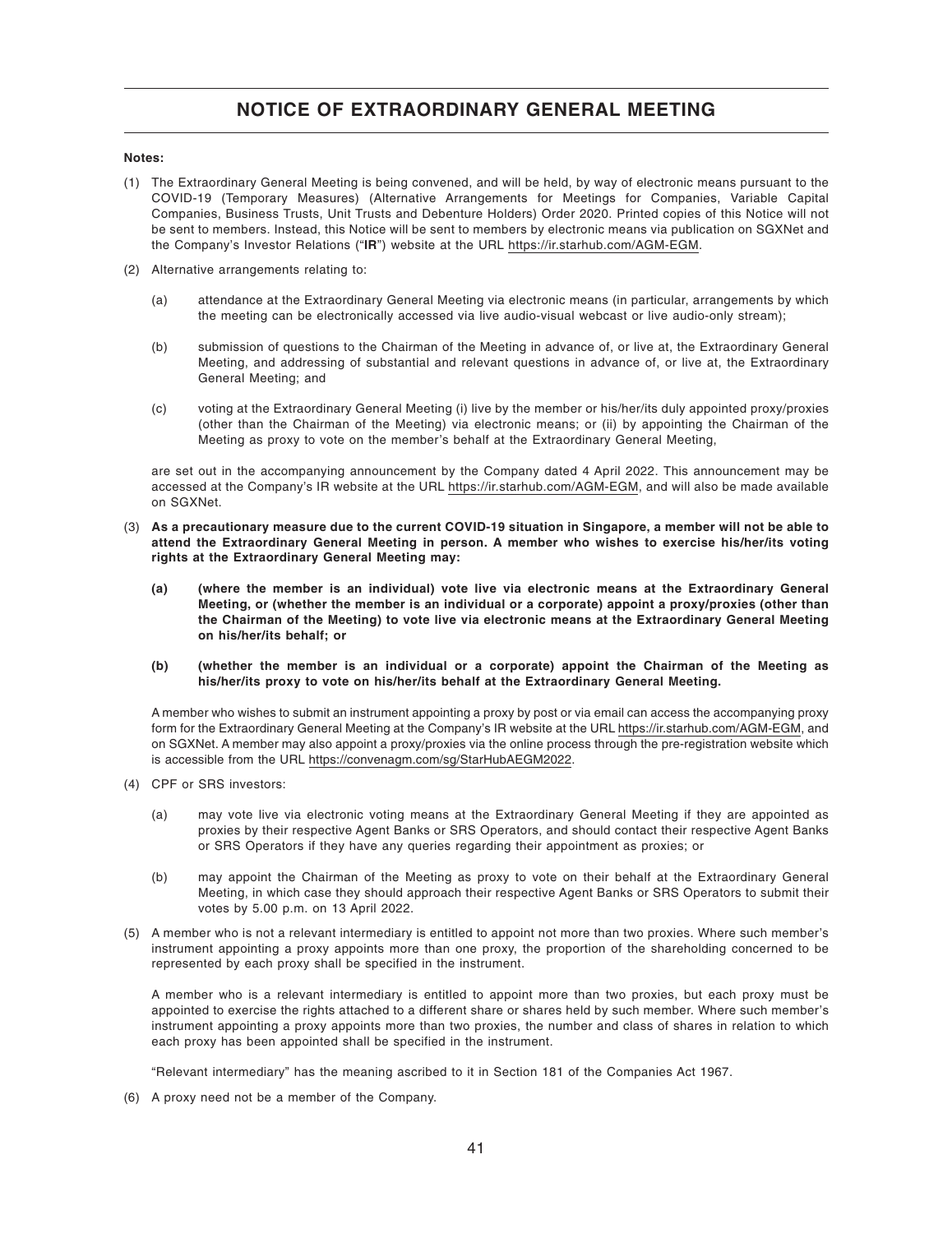#### **Notes:**

- (1) The Extraordinary General Meeting is being convened, and will be held, by way of electronic means pursuant to the COVID-19 (Temporary Measures) (Alternative Arrangements for Meetings for Companies, Variable Capital Companies, Business Trusts, Unit Trusts and Debenture Holders) Order 2020. Printed copies of this Notice will not be sent to members. Instead, this Notice will be sent to members by electronic means via publication on SGXNet and the Company's Investor Relations ("**IR**") website at the URL https://ir.starhub.com/AGM-EGM.
- (2) Alternative arrangements relating to:
	- (a) attendance at the Extraordinary General Meeting via electronic means (in particular, arrangements by which the meeting can be electronically accessed via live audio-visual webcast or live audio-only stream);
	- (b) submission of questions to the Chairman of the Meeting in advance of, or live at, the Extraordinary General Meeting, and addressing of substantial and relevant questions in advance of, or live at, the Extraordinary General Meeting; and
	- (c) voting at the Extraordinary General Meeting (i) live by the member or his/her/its duly appointed proxy/proxies (other than the Chairman of the Meeting) via electronic means; or (ii) by appointing the Chairman of the Meeting as proxy to vote on the member's behalf at the Extraordinary General Meeting,

are set out in the accompanying announcement by the Company dated 4 April 2022. This announcement may be accessed at the Company's IR website at the URL https://ir.starhub.com/AGM-EGM, and will also be made available on SGXNet.

- (3) **As a precautionary measure due to the current COVID-19 situation in Singapore, a member will not be able to attend the Extraordinary General Meeting in person. A member who wishes to exercise his/her/its voting rights at the Extraordinary General Meeting may:**
	- **(a) (where the member is an individual) vote live via electronic means at the Extraordinary General Meeting, or (whether the member is an individual or a corporate) appoint a proxy/proxies (other than the Chairman of the Meeting) to vote live via electronic means at the Extraordinary General Meeting on his/her/its behalf; or**
	- **(b) (whether the member is an individual or a corporate) appoint the Chairman of the Meeting as his/her/its proxy to vote on his/her/its behalf at the Extraordinary General Meeting.**

A member who wishes to submit an instrument appointing a proxy by post or via email can access the accompanying proxy form for the Extraordinary General Meeting at the Company's IR website at the URL https://ir.starhub.com/AGM-EGM, and on SGXNet. A member may also appoint a proxy/proxies via the online process through the pre-registration website which is accessible from the URL https://convenagm.com/sg/StarHubAEGM2022.

- (4) CPF or SRS investors:
	- (a) may vote live via electronic voting means at the Extraordinary General Meeting if they are appointed as proxies by their respective Agent Banks or SRS Operators, and should contact their respective Agent Banks or SRS Operators if they have any queries regarding their appointment as proxies; or
	- (b) may appoint the Chairman of the Meeting as proxy to vote on their behalf at the Extraordinary General Meeting, in which case they should approach their respective Agent Banks or SRS Operators to submit their votes by 5.00 p.m. on 13 April 2022.
- (5) A member who is not a relevant intermediary is entitled to appoint not more than two proxies. Where such member's instrument appointing a proxy appoints more than one proxy, the proportion of the shareholding concerned to be represented by each proxy shall be specified in the instrument.

A member who is a relevant intermediary is entitled to appoint more than two proxies, but each proxy must be appointed to exercise the rights attached to a different share or shares held by such member. Where such member's instrument appointing a proxy appoints more than two proxies, the number and class of shares in relation to which each proxy has been appointed shall be specified in the instrument.

"Relevant intermediary" has the meaning ascribed to it in Section 181 of the Companies Act 1967.

(6) A proxy need not be a member of the Company.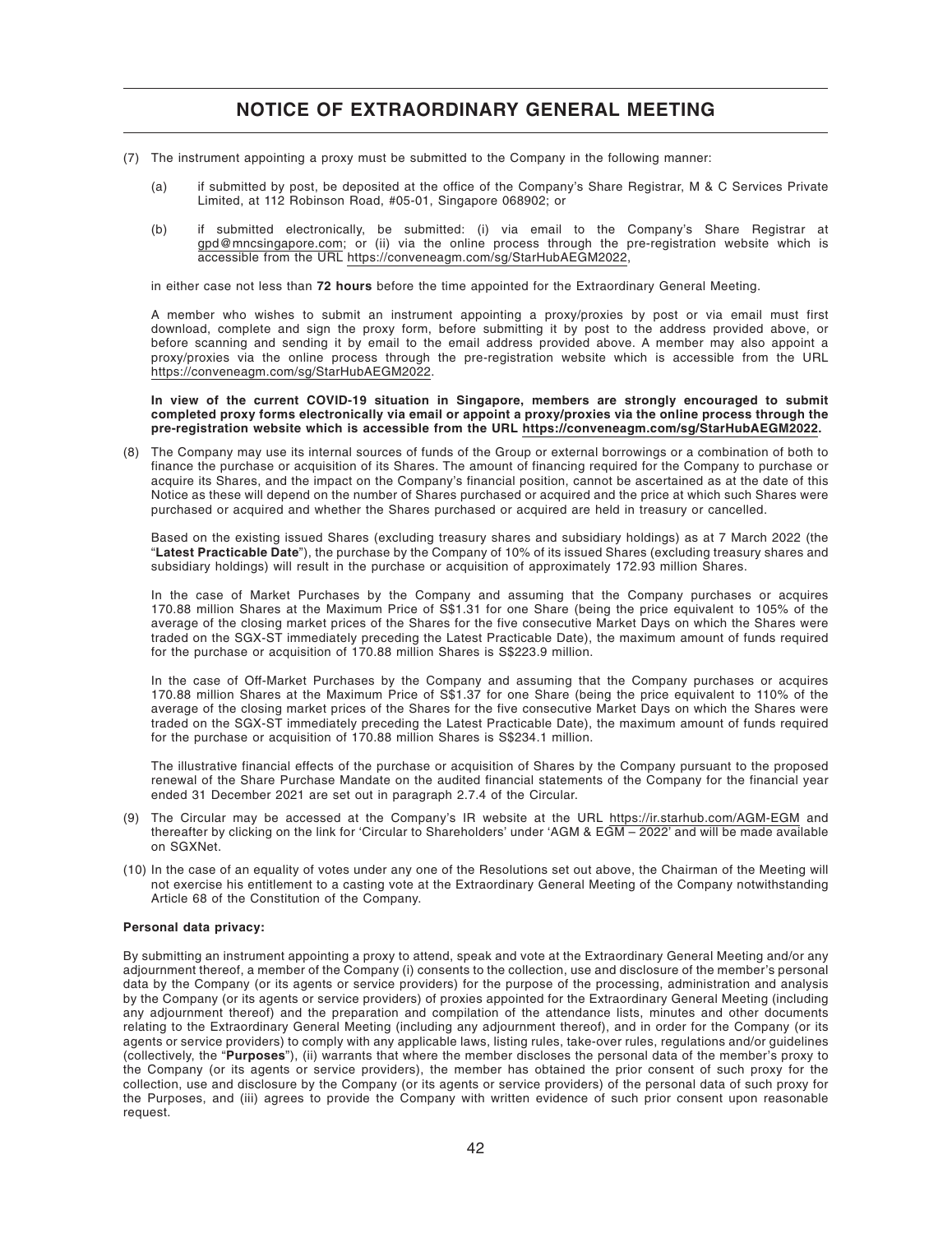- (7) The instrument appointing a proxy must be submitted to the Company in the following manner:
	- (a) if submitted by post, be deposited at the office of the Company's Share Registrar, M & C Services Private Limited, at 112 Robinson Road, #05-01, Singapore 068902; or
	- (b) if submitted electronically, be submitted: (i) via email to the Company's Share Registrar at gpd@mncsingapore.com; or (ii) via the online process through the pre-registration website which is accessible from the URL https://conveneagm.com/sg/StarHubAEGM2022,

in either case not less than **72 hours** before the time appointed for the Extraordinary General Meeting.

A member who wishes to submit an instrument appointing a proxy/proxies by post or via email must first download, complete and sign the proxy form, before submitting it by post to the address provided above, or before scanning and sending it by email to the email address provided above. A member may also appoint a proxy/proxies via the online process through the pre-registration website which is accessible from the URL https://conveneagm.com/sg/StarHubAEGM2022.

#### **In view of the current COVID-19 situation in Singapore, members are strongly encouraged to submit completed proxy forms electronically via email or appoint a proxy/proxies via the online process through the pre-registration website which is accessible from the URL https://conveneagm.com/sg/StarHubAEGM2022.**

(8) The Company may use its internal sources of funds of the Group or external borrowings or a combination of both to finance the purchase or acquisition of its Shares. The amount of financing required for the Company to purchase or acquire its Shares, and the impact on the Company's financial position, cannot be ascertained as at the date of this Notice as these will depend on the number of Shares purchased or acquired and the price at which such Shares were purchased or acquired and whether the Shares purchased or acquired are held in treasury or cancelled.

Based on the existing issued Shares (excluding treasury shares and subsidiary holdings) as at 7 March 2022 (the "**Latest Practicable Date**"), the purchase by the Company of 10% of its issued Shares (excluding treasury shares and subsidiary holdings) will result in the purchase or acquisition of approximately 172.93 million Shares.

In the case of Market Purchases by the Company and assuming that the Company purchases or acquires 170.88 million Shares at the Maximum Price of S\$1.31 for one Share (being the price equivalent to 105% of the average of the closing market prices of the Shares for the five consecutive Market Days on which the Shares were traded on the SGX-ST immediately preceding the Latest Practicable Date), the maximum amount of funds required for the purchase or acquisition of 170.88 million Shares is S\$223.9 million.

In the case of Off-Market Purchases by the Company and assuming that the Company purchases or acquires 170.88 million Shares at the Maximum Price of S\$1.37 for one Share (being the price equivalent to 110% of the average of the closing market prices of the Shares for the five consecutive Market Days on which the Shares were traded on the SGX-ST immediately preceding the Latest Practicable Date), the maximum amount of funds required for the purchase or acquisition of 170.88 million Shares is S\$234.1 million.

The illustrative financial effects of the purchase or acquisition of Shares by the Company pursuant to the proposed renewal of the Share Purchase Mandate on the audited financial statements of the Company for the financial year ended 31 December 2021 are set out in paragraph 2.7.4 of the Circular.

- (9) The Circular may be accessed at the Company's IR website at the URL https://ir.starhub.com/AGM-EGM and thereafter by clicking on the link for 'Circular to Shareholders' under 'AGM & EGM – 2022' and will be made available on SGXNet.
- (10) In the case of an equality of votes under any one of the Resolutions set out above, the Chairman of the Meeting will not exercise his entitlement to a casting vote at the Extraordinary General Meeting of the Company notwithstanding Article 68 of the Constitution of the Company.

#### **Personal data privacy:**

By submitting an instrument appointing a proxy to attend, speak and vote at the Extraordinary General Meeting and/or any adjournment thereof, a member of the Company (i) consents to the collection, use and disclosure of the member's personal data by the Company (or its agents or service providers) for the purpose of the processing, administration and analysis by the Company (or its agents or service providers) of proxies appointed for the Extraordinary General Meeting (including any adjournment thereof) and the preparation and compilation of the attendance lists, minutes and other documents relating to the Extraordinary General Meeting (including any adjournment thereof), and in order for the Company (or its agents or service providers) to comply with any applicable laws, listing rules, take-over rules, regulations and/or guidelines (collectively, the "**Purposes**"), (ii) warrants that where the member discloses the personal data of the member's proxy to the Company (or its agents or service providers), the member has obtained the prior consent of such proxy for the collection, use and disclosure by the Company (or its agents or service providers) of the personal data of such proxy for the Purposes, and (iii) agrees to provide the Company with written evidence of such prior consent upon reasonable request.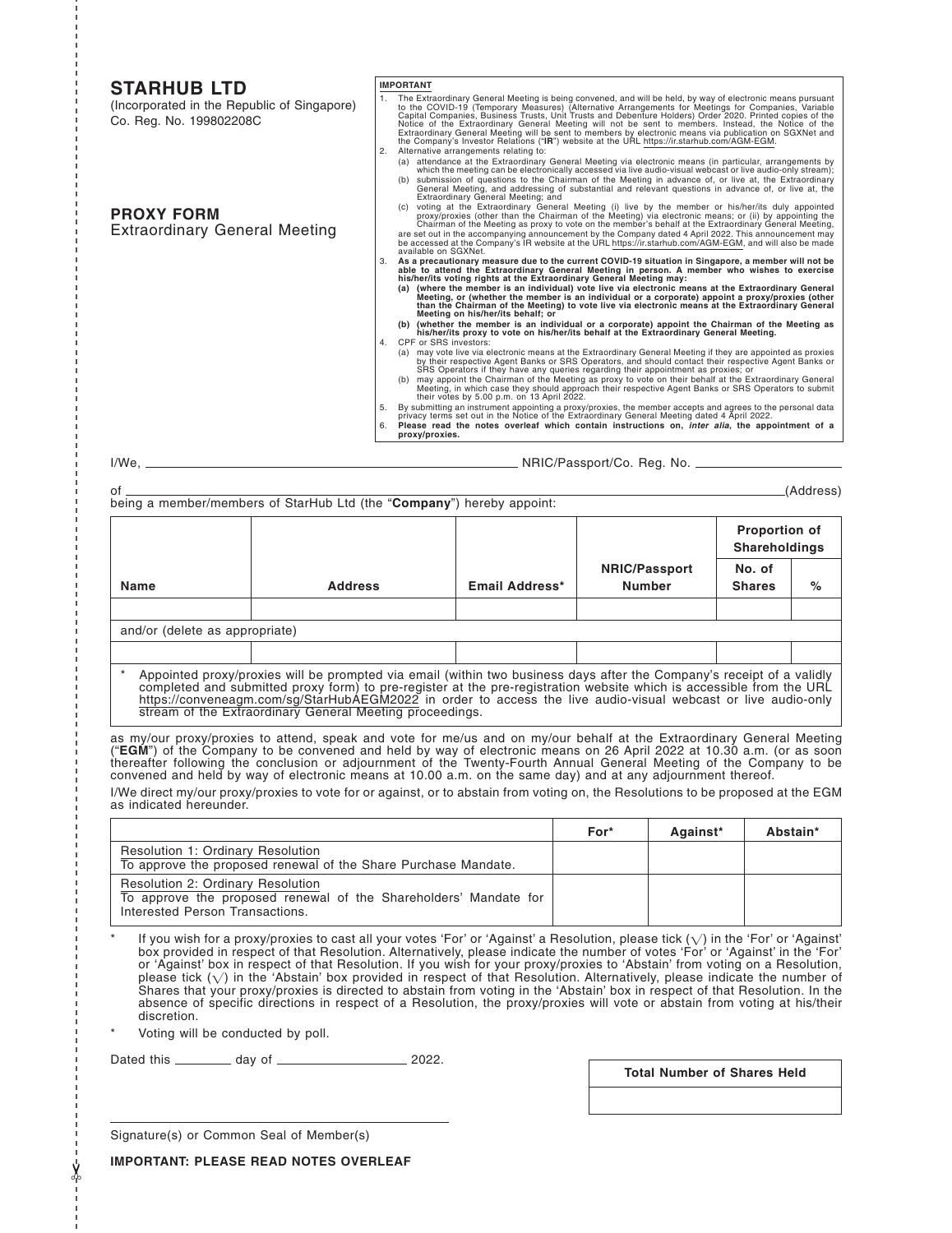#### **STARHUB LTD**

(Incorporated in the Republic of Singapore) Co. Reg. No. 199802208C

#### **IMPORTANT**

- 1. The Extraordinary General Meeting is being convened, and will be held, by way of electronic means pursuant<br>to the COVID-19 (Temporary Measures) (Alternative Arrangements for Meetings for Companies, Variable<br>Capital Comp Extraordinary General Meeting will be sent to members by electronic means via publication on SGXNet and the Company's Investor Relations ("**IR**") website at the URL https://ir.starhub.com/AGM-EGM.
- 
- 2. Alternative arrangements relating to: (a) attendance at the Extraordinary General Meeting via electronic means (in particular, arrangements by which the meeting can be electronically accessed via live audio-visual webcast or live audio-only stream);<br>(b) submission of the chairman of the Meeting in advance of, or live at, the Extraordinary<br>General Meeting, and add
- **PROXY FORM** Extraordinary General Meeting
- (c) voting at the Extraordinary General Meeting (i) live by the member or his/her/its duly appointed<br>proxy/proxies (other than the Chairman of the Meeting) via electronic means; or (ii) by appointing the<br>Chairman of the Me
- 
- 3. As a precautionary measure due to the current COVID-19 situation in Singapore, a member will not be<br>able to attend the Extraordinary General Meeting in person. A member who wishes to exercise<br>his/her/its voting rights a
	- **(b) (whether the member is an individual or a corporate) appoint the Chairman of the Meeting as his/her/its proxy to vote on his/her/its behalf at the Extraordinary General Meeting.**
- 4. CPF or SRS investors:<br>(a) may vote live via el a) may vote live via electronic means at the Extraordinary General Meeting if they are appointed as proxies)<br>by their respective Agent Banks or SRS Operators, and should contact their respective Agent Banks or<br>SRS Operator
	-
	-
- (b) may appoint the Chairman of the Meeting as proxy to vote on their behalf at the Extraordinary General<br>Meeting, in which case they should approach their respective Agent Banks or SRS Operators to submit<br>their votes by **proxy/proxies.**

-------------------------------------------------------------------------------------------------------------------------------------------

✂

I/We, NRIC/Passport/Co. Reg. No.

| οf |                                                                       |  | (Address)            |
|----|-----------------------------------------------------------------------|--|----------------------|
|    | being a member/members of StarHub Ltd (the "Company") hereby appoint: |  |                      |
|    |                                                                       |  | <b>Proportion of</b> |

|                                |                                                                                                                                                                                                                                                                                                                                                               |                       |                                       | <b>Proportion of</b><br><b>Shareholdings</b> |   |
|--------------------------------|---------------------------------------------------------------------------------------------------------------------------------------------------------------------------------------------------------------------------------------------------------------------------------------------------------------------------------------------------------------|-----------------------|---------------------------------------|----------------------------------------------|---|
| Name                           | <b>Address</b>                                                                                                                                                                                                                                                                                                                                                | <b>Email Address*</b> | <b>NRIC/Passport</b><br><b>Number</b> | No. of<br><b>Shares</b>                      | % |
|                                |                                                                                                                                                                                                                                                                                                                                                               |                       |                                       |                                              |   |
| and/or (delete as appropriate) |                                                                                                                                                                                                                                                                                                                                                               |                       |                                       |                                              |   |
|                                |                                                                                                                                                                                                                                                                                                                                                               |                       |                                       |                                              |   |
|                                | Appointed proxy/proxies will be prompted via email (within two business days after the Company's receipt of a validly<br>completed and submitted proxy form) to pre-register at the pre-registration website which is accessible from the URL<br>bttps://eapuapaam.com/ea/CterLub/ECN0000 in arder to essess the live qudie visual websest as live qudie ealy |                       |                                       |                                              |   |

https://conveneagm.com/sg/StarHubAEGM2022 in order to access the live audio-visual webcast or live audio-only stream of the Extraordinary General Meeting proceedings.

as my/our proxy/proxies to attend, speak and vote for me/us and on my/our behalf at the Extraordinary General Meeting ("**EGM**") of the Company to be convened and held by way of electronic means on 26 April 2022 at 10.30 a.m. (or as soon<br>thereafter following the conclusion or adjournment of the Twenty-Fourth Annual General Meeting of the C convened and held by way of electronic means at 10.00 a.m. on the same day) and at any adjournment thereof.

I/We direct my/our proxy/proxies to vote for or against, or to abstain from voting on, the Resolutions to be proposed at the EGM as indicated hereunder.

|                                                                                                                                                 | For* | Against* | Abstain* |
|-------------------------------------------------------------------------------------------------------------------------------------------------|------|----------|----------|
| <b>Resolution 1: Ordinary Resolution</b><br>To approve the proposed renewal of the Share Purchase Mandate.                                      |      |          |          |
| <b>Resolution 2: Ordinary Resolution</b><br>To approve the proposed renewal of the Shareholders' Mandate for<br>Interested Person Transactions. |      |          |          |

 $^*$  If you wish for a proxy/proxies to cast all your votes 'For' or 'Against' a Resolution, please tick ( $\sqrt{}$ ) in the 'For' or 'Against' box provided in respect of that Resolution. Alternatively, please indicate the number of votes 'For' or 'Against' in the 'For' or 'Against' box in respect of that Resolution. If you wish for your proxy/proxies to 'Abstain' from voting on a Resolution, please tick  $(\sqrt)$  in the 'Abstain' box provided in respect of that Resolution. Alternatively, please indicate the number of Shares that your proxy/proxies is directed to abstain from voting in the 'Abstain' box in respect of that Resolution. In the absence of specific directions in respect of a Resolution, the proxy/proxies will vote or abstain from voting at his/their discretion.

Voting will be conducted by poll.

Dated this \_\_\_\_\_\_\_\_\_\_ day of \_\_\_\_\_\_\_\_\_\_\_\_\_\_\_\_\_\_\_\_\_\_\_\_\_ 2022.

**Total Number of Shares Held**

Signature(s) or Common Seal of Member(s)

**IMPORTANT: PLEASE READ NOTES OVERLEAF**